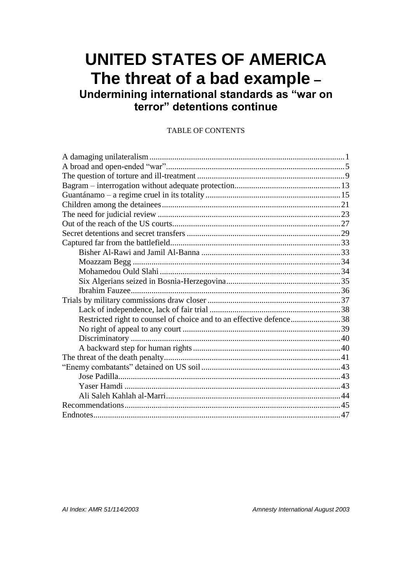# **UNITED STATES OF AMERICA** The threat of a bad example -

Undermining international standards as "war on<br>terror" detentions continue

#### **TABLE OF CONTENTS**

| Restricted right to counsel of choice and to an effective defence38 |  |
|---------------------------------------------------------------------|--|
|                                                                     |  |
|                                                                     |  |
|                                                                     |  |
|                                                                     |  |
|                                                                     |  |
|                                                                     |  |
|                                                                     |  |
|                                                                     |  |
|                                                                     |  |
|                                                                     |  |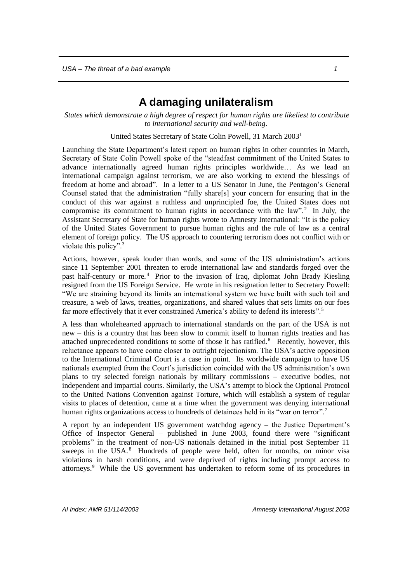## **A damaging unilateralism**

<span id="page-2-0"></span>*States which demonstrate a high degree of respect for human rights are likeliest to contribute to international security and well-being*.

United States Secretary of State Colin Powell, 31 March 2003<sup>1</sup>

Launching the State Department's latest report on human rights in other countries in March, Secretary of State Colin Powell spoke of the "steadfast commitment of the United States to advance internationally agreed human rights principles worldwide… As we lead an international campaign against terrorism, we are also working to extend the blessings of freedom at home and abroad". In a letter to a US Senator in June, the Pentagon's General Counsel stated that the administration "fully share[s] your concern for ensuring that in the conduct of this war against a ruthless and unprincipled foe, the United States does not compromise its commitment to human rights in accordance with the  $law$ <sup>"</sup>.<sup>2</sup> In July, the Assistant Secretary of State for human rights wrote to Amnesty International: "It is the policy of the United States Government to pursue human rights and the rule of law as a central element of foreign policy. The US approach to countering terrorism does not conflict with or violate this policy".<sup>3</sup>

Actions, however, speak louder than words, and some of the US administration's actions since 11 September 2001 threaten to erode international law and standards forged over the past half-century or more. <sup>4</sup> Prior to the invasion of Iraq, diplomat John Brady Kiesling resigned from the US Foreign Service. He wrote in his resignation letter to Secretary Powell: "We are straining beyond its limits an international system we have built with such toil and treasure, a web of laws, treaties, organizations, and shared values that sets limits on our foes far more effectively that it ever constrained America's ability to defend its interests".<sup>5</sup>

A less than wholehearted approach to international standards on the part of the USA is not new – this is a country that has been slow to commit itself to human rights treaties and has attached unprecedented conditions to some of those it has ratified.<sup>6</sup> Recently, however, this reluctance appears to have come closer to outright rejectionism. The USA's active opposition to the International Criminal Court is a case in point. Its worldwide campaign to have US nationals exempted from the Court's jurisdiction coincided with the US administration's own plans to try selected foreign nationals by military commissions – executive bodies, not independent and impartial courts. Similarly, the USA's attempt to block the Optional Protocol to the United Nations Convention against Torture, which will establish a system of regular visits to places of detention, came at a time when the government was denying international human rights organizations access to hundreds of detainees held in its "war on terror".<sup>7</sup>

A report by an independent US government watchdog agency – the Justice Department's Office of Inspector General – published in June 2003, found there were "significant problems" in the treatment of non-US nationals detained in the initial post September 11 sweeps in the USA.<sup>8</sup> Hundreds of people were held, often for months, on minor visa violations in harsh conditions, and were deprived of rights including prompt access to attorneys.<sup>9</sup> While the US government has undertaken to reform some of its procedures in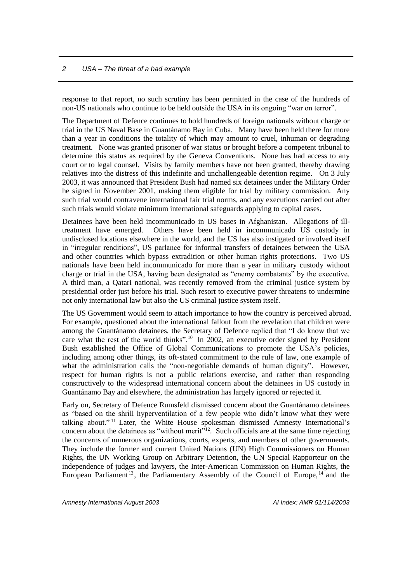response to that report, no such scrutiny has been permitted in the case of the hundreds of non-US nationals who continue to be held outside the USA in its ongoing "war on terror".

The Department of Defence continues to hold hundreds of foreign nationals without charge or trial in the US Naval Base in Guantánamo Bay in Cuba. Many have been held there for more than a year in conditions the totality of which may amount to cruel, inhuman or degrading treatment. None was granted prisoner of war status or brought before a competent tribunal to determine this status as required by the Geneva Conventions. None has had access to any court or to legal counsel. Visits by family members have not been granted, thereby drawing relatives into the distress of this indefinite and unchallengeable detention regime. On 3 July 2003, it was announced that President Bush had named six detainees under the Military Order he signed in November 2001, making them eligible for trial by military commission. Any such trial would contravene international fair trial norms, and any executions carried out after such trials would violate minimum international safeguards applying to capital cases.

Detainees have been held incommunicado in US bases in Afghanistan. Allegations of illtreatment have emerged. Others have been held in incommunicado US custody in undisclosed locations elsewhere in the world, and the US has also instigated or involved itself in "irregular renditions", US parlance for informal transfers of detainees between the USA and other countries which bypass extradition or other human rights protections. Two US nationals have been held incommunicado for more than a year in military custody without charge or trial in the USA, having been designated as "enemy combatants" by the executive. A third man, a Qatari national, was recently removed from the criminal justice system by presidential order just before his trial. Such resort to executive power threatens to undermine not only international law but also the US criminal justice system itself.

The US Government would seem to attach importance to how the country is perceived abroad. For example, questioned about the international fallout from the revelation that children were among the Guantánamo detainees, the Secretary of Defence replied that "I do know that we care what the rest of the world thinks".<sup>10</sup> In 2002, an executive order signed by President Bush established the Office of Global Communications to promote the USA's policies, including among other things, its oft-stated commitment to the rule of law, one example of what the administration calls the "non-negotiable demands of human dignity". However, respect for human rights is not a public relations exercise, and rather than responding constructively to the widespread international concern about the detainees in US custody in Guantánamo Bay and elsewhere, the administration has largely ignored or rejected it.

Early on, Secretary of Defence Rumsfeld dismissed concern about the Guantánamo detainees as "based on the shrill hyperventilation of a few people who didn't know what they were talking about." <sup>11</sup> Later, the White House spokesman dismissed Amnesty International's concern about the detainees as "without merit"<sup>12</sup>. Such officials are at the same time rejecting the concerns of numerous organizations, courts, experts, and members of other governments. They include the former and current United Nations (UN) High Commissioners on Human Rights, the UN Working Group on Arbitrary Detention, the UN Special Rapporteur on the independence of judges and lawyers, the Inter-American Commission on Human Rights, the European Parliament<sup>13</sup>, the Parliamentary Assembly of the Council of Europe,  $^{14}$  and the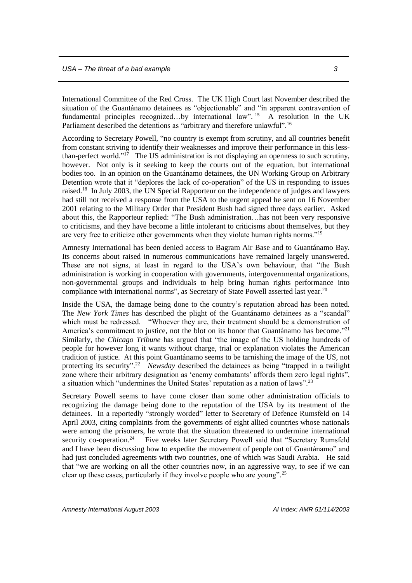International Committee of the Red Cross. The UK High Court last November described the situation of the Guantánamo detainees as "objectionable" and "in apparent contravention of fundamental principles recognized...by international law".<sup>15</sup> A resolution in the UK Parliament described the detentions as "arbitrary and therefore unlawful".<sup>16</sup>

According to Secretary Powell, "no country is exempt from scrutiny, and all countries benefit from constant striving to identify their weaknesses and improve their performance in this lessthan-perfect world."<sup>17</sup> The US administration is not displaying an openness to such scrutiny, however. Not only is it seeking to keep the courts out of the equation, but international bodies too. In an opinion on the Guantánamo detainees, the UN Working Group on Arbitrary Detention wrote that it "deplores the lack of co-operation" of the US in responding to issues raised.<sup>18</sup> In July 2003, the UN Special Rapporteur on the independence of judges and lawyers had still not received a response from the USA to the urgent appeal he sent on 16 November 2001 relating to the Military Order that President Bush had signed three days earlier. Asked about this, the Rapporteur replied: "The Bush administration…has not been very responsive to criticisms, and they have become a little intolerant to criticisms about themselves, but they are very free to criticize other governments when they violate human rights norms."<sup>19</sup>

Amnesty International has been denied access to Bagram Air Base and to Guantánamo Bay. Its concerns about raised in numerous communications have remained largely unanswered. These are not signs, at least in regard to the USA's own behaviour, that "the Bush administration is working in cooperation with governments, intergovernmental organizations, non-governmental groups and individuals to help bring human rights performance into compliance with international norms", as Secretary of State Powell asserted last year. $20$ 

Inside the USA, the damage being done to the country's reputation abroad has been noted. The *New York Times* has described the plight of the Guantánamo detainees as a "scandal" which must be redressed. "Whoever they are, their treatment should be a demonstration of America's commitment to justice, not the blot on its honor that Guantánamo has become."<sup>21</sup> Similarly, the *Chicago Tribune* has argued that "the image of the US holding hundreds of people for however long it wants without charge, trial or explanation violates the American tradition of justice. At this point Guantánamo seems to be tarnishing the image of the US, not protecting its security".<sup>22</sup> *Newsday* described the detainees as being "trapped in a twilight zone where their arbitrary designation as 'enemy combatants' affords them zero legal rights", a situation which "undermines the United States' reputation as a nation of laws".<sup>23</sup>

Secretary Powell seems to have come closer than some other administration officials to recognizing the damage being done to the reputation of the USA by its treatment of the detainees. In a reportedly "strongly worded" letter to Secretary of Defence Rumsfeld on 14 April 2003, citing complaints from the governments of eight allied countries whose nationals were among the prisoners, he wrote that the situation threatened to undermine international security co-operation.<sup>24</sup> Five weeks later Secretary Powell said that "Secretary Rumsfeld and I have been discussing how to expedite the movement of people out of Guantánamo" and had just concluded agreements with two countries, one of which was Saudi Arabia. He said that "we are working on all the other countries now, in an aggressive way, to see if we can clear up these cases, particularly if they involve people who are young".25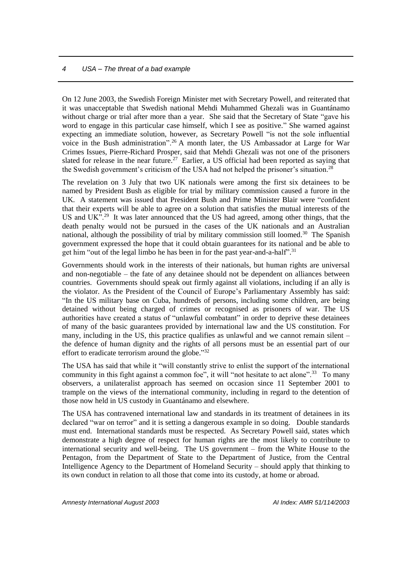On 12 June 2003, the Swedish Foreign Minister met with Secretary Powell, and reiterated that it was unacceptable that Swedish national Mehdi Muhammed Ghezali was in Guantánamo without charge or trial after more than a year. She said that the Secretary of State "gave his word to engage in this particular case himself, which I see as positive." She warned against expecting an immediate solution, however, as Secretary Powell "is not the sole influential voice in the Bush administration".<sup>26</sup> A month later, the US Ambassador at Large for War Crimes Issues, Pierre-Richard Prosper, said that Mehdi Ghezali was not one of the prisoners slated for release in the near future.<sup>27</sup> Earlier, a US official had been reported as saying that the Swedish government's criticism of the USA had not helped the prisoner's situation.<sup>28</sup>

The revelation on 3 July that two UK nationals were among the first six detainees to be named by President Bush as eligible for trial by military commission caused a furore in the UK. A statement was issued that President Bush and Prime Minister Blair were "confident that their experts will be able to agree on a solution that satisfies the mutual interests of the US and UK".<sup>29</sup> It was later announced that the US had agreed, among other things, that the death penalty would not be pursued in the cases of the UK nationals and an Australian national, although the possibility of trial by military commission still loomed.<sup>30</sup> The Spanish government expressed the hope that it could obtain guarantees for its national and be able to get him "out of the legal limbo he has been in for the past year-and-a-half".<sup>31</sup>

Governments should work in the interests of their nationals, but human rights are universal and non-negotiable – the fate of any detainee should not be dependent on alliances between countries. Governments should speak out firmly against all violations, including if an ally is the violator. As the President of the Council of Europe's Parliamentary Assembly has said: "In the US military base on Cuba, hundreds of persons, including some children, are being detained without being charged of crimes or recognised as prisoners of war. The US authorities have created a status of "unlawful combatant" in order to deprive these detainees of many of the basic guarantees provided by international law and the US constitution. For many, including in the US, this practice qualifies as unlawful and we cannot remain silent – the defence of human dignity and the rights of all persons must be an essential part of our effort to eradicate terrorism around the globe."32

The USA has said that while it "will constantly strive to enlist the support of the international community in this fight against a common foe", it will "not hesitate to act alone".<sup>33</sup> To many observers, a unilateralist approach has seemed on occasion since 11 September 2001 to trample on the views of the international community, including in regard to the detention of those now held in US custody in Guantánamo and elsewhere.

The USA has contravened international law and standards in its treatment of detainees in its declared "war on terror" and it is setting a dangerous example in so doing. Double standards must end. International standards must be respected. As Secretary Powell said, states which demonstrate a high degree of respect for human rights are the most likely to contribute to international security and well-being. The US government – from the White House to the Pentagon, from the Department of State to the Department of Justice, from the Central Intelligence Agency to the Department of Homeland Security – should apply that thinking to its own conduct in relation to all those that come into its custody, at home or abroad.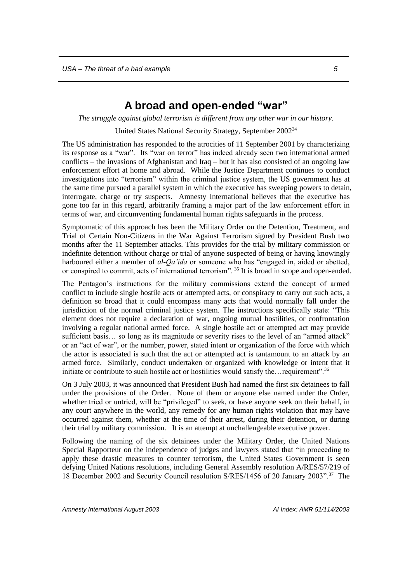## **A broad and open-ended "war"**

<span id="page-6-0"></span>*The struggle against global terrorism is different from any other war in our history.*

United States National Security Strategy, September 2002<sup>34</sup>

The US administration has responded to the atrocities of 11 September 2001 by characterizing its response as a "war". Its "war on terror" has indeed already seen two international armed conflicts – the invasions of Afghanistan and Iraq – but it has also consisted of an ongoing law enforcement effort at home and abroad. While the Justice Department continues to conduct investigations into "terrorism" within the criminal justice system, the US government has at the same time pursued a parallel system in which the executive has sweeping powers to detain, interrogate, charge or try suspects. Amnesty International believes that the executive has gone too far in this regard, arbitrarily framing a major part of the law enforcement effort in terms of war, and circumventing fundamental human rights safeguards in the process.

Symptomatic of this approach has been the Military Order on the Detention, Treatment, and Trial of Certain Non-Citizens in the War Against Terrorism signed by President Bush two months after the 11 September attacks. This provides for the trial by military commission or indefinite detention without charge or trial of anyone suspected of being or having knowingly harboured either a member of *al-Qa'ida* or someone who has "engaged in, aided or abetted, or conspired to commit, acts of international terrorism". <sup>35</sup> It is broad in scope and open-ended.

The Pentagon's instructions for the military commissions extend the concept of armed conflict to include single hostile acts or attempted acts, or conspiracy to carry out such acts, a definition so broad that it could encompass many acts that would normally fall under the jurisdiction of the normal criminal justice system. The instructions specifically state: "This element does not require a declaration of war, ongoing mutual hostilities, or confrontation involving a regular national armed force. A single hostile act or attempted act may provide sufficient basis... so long as its magnitude or severity rises to the level of an "armed attack" or an "act of war", or the number, power, stated intent or organization of the force with which the actor is associated is such that the act or attempted act is tantamount to an attack by an armed force. Similarly, conduct undertaken or organized with knowledge or intent that it initiate or contribute to such hostile act or hostilities would satisfy the…requirement".<sup>36</sup>

On 3 July 2003, it was announced that President Bush had named the first six detainees to fall under the provisions of the Order. None of them or anyone else named under the Order, whether tried or untried, will be "privileged" to seek, or have anyone seek on their behalf, in any court anywhere in the world, any remedy for any human rights violation that may have occurred against them, whether at the time of their arrest, during their detention, or during their trial by military commission. It is an attempt at unchallengeable executive power.

Following the naming of the six detainees under the Military Order, the United Nations Special Rapporteur on the independence of judges and lawyers stated that "in proceeding to apply these drastic measures to counter terrorism, the United States Government is seen defying United Nations resolutions, including General Assembly resolution A/RES/57/219 of 18 December 2002 and Security Council resolution S/RES/1456 of 20 January 2003".<sup>37</sup> The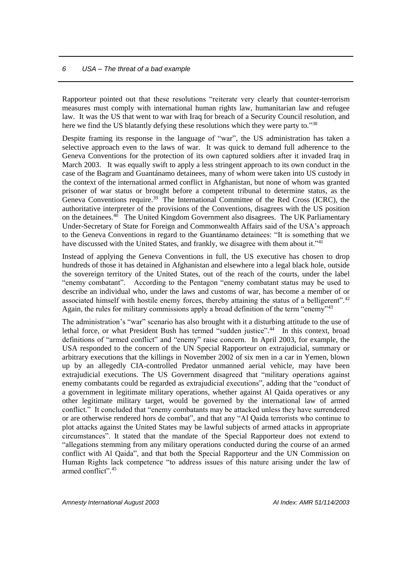Rapporteur pointed out that these resolutions "reiterate very clearly that counter-terrorism measures must comply with international human rights law, humanitarian law and refugee law. It was the US that went to war with Iraq for breach of a Security Council resolution, and here we find the US blatantly defying these resolutions which they were party to."38

Despite framing its response in the language of "war", the US administration has taken a selective approach even to the laws of war. It was quick to demand full adherence to the Geneva Conventions for the protection of its own captured soldiers after it invaded Iraq in March 2003. It was equally swift to apply a less stringent approach to its own conduct in the case of the Bagram and Guantánamo detainees, many of whom were taken into US custody in the context of the international armed conflict in Afghanistan, but none of whom was granted prisoner of war status or brought before a competent tribunal to determine status, as the Geneva Conventions require.<sup>39</sup> The International Committee of the Red Cross (ICRC), the authoritative interpreter of the provisions of the Conventions, disagrees with the US position on the detainees.<sup>40</sup> The United Kingdom Government also disagrees. The UK Parliamentary Under-Secretary of State for Foreign and Commonwealth Affairs said of the USA's approach to the Geneva Conventions in regard to the Guantánamo detainees: "It is something that we have discussed with the United States, and frankly, we disagree with them about it."<sup>41</sup>

Instead of applying the Geneva Conventions in full, the US executive has chosen to drop hundreds of those it has detained in Afghanistan and elsewhere into a legal black hole, outside the sovereign territory of the United States, out of the reach of the courts, under the label "enemy combatant". According to the Pentagon "enemy combatant status may be used to describe an individual who, under the laws and customs of war, has become a member of or associated himself with hostile enemy forces, thereby attaining the status of a belligerent".<sup>42</sup> Again, the rules for military commissions apply a broad definition of the term "enemy"<sup>43</sup>

The administration's "war" scenario has also brought with it a disturbing attitude to the use of lethal force, or what President Bush has termed "sudden justice".<sup>44</sup> In this context, broad definitions of "armed conflict" and "enemy" raise concern. In April 2003, for example, the USA responded to the concern of the UN Special Rapporteur on extrajudicial, summary or arbitrary executions that the killings in November 2002 of six men in a car in Yemen, blown up by an allegedly CIA-controlled Predator unmanned aerial vehicle, may have been extrajudicial executions. The US Government disagreed that "military operations against enemy combatants could be regarded as extrajudicial executions", adding that the "conduct of a government in legitimate military operations, whether against Al Qaida operatives or any other legitimate military target, would be governed by the international law of armed conflict." It concluded that "enemy combatants may be attacked unless they have surrendered or are otherwise rendered hors de combat", and that any "Al Qaida terrorists who continue to plot attacks against the United States may be lawful subjects of armed attacks in appropriate circumstances". It stated that the mandate of the Special Rapporteur does not extend to "allegations stemming from any military operations conducted during the course of an armed conflict with Al Qaida", and that both the Special Rapporteur and the UN Commission on Human Rights lack competence "to address issues of this nature arising under the law of armed conflict".45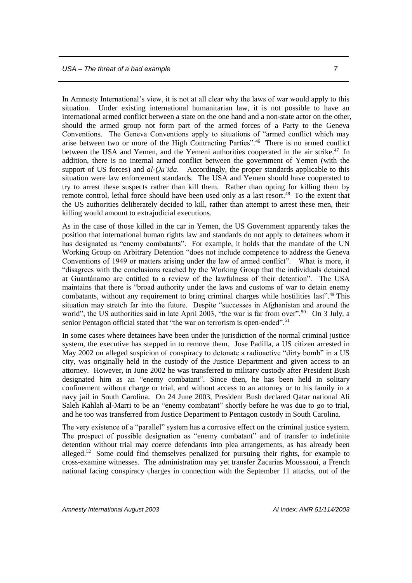In Amnesty International's view, it is not at all clear why the laws of war would apply to this situation. Under existing international humanitarian law, it is not possible to have an international armed conflict between a state on the one hand and a non-state actor on the other, should the armed group not form part of the armed forces of a Party to the Geneva Conventions. The Geneva Conventions apply to situations of "armed conflict which may arise between two or more of the High Contracting Parties".<sup>46</sup> There is no armed conflict between the USA and Yemen, and the Yemeni authorities cooperated in the air strike.<sup>47</sup> In addition, there is no internal armed conflict between the government of Yemen (with the support of US forces) and *al-Qa'ida*. Accordingly, the proper standards applicable to this situation were law enforcement standards. The USA and Yemen should have cooperated to try to arrest these suspects rather than kill them. Rather than opting for killing them by remote control, lethal force should have been used only as a last resort.<sup>48</sup> To the extent that the US authorities deliberately decided to kill, rather than attempt to arrest these men, their killing would amount to extrajudicial executions.

As in the case of those killed in the car in Yemen, the US Government apparently takes the position that international human rights law and standards do not apply to detainees whom it has designated as "enemy combatants". For example, it holds that the mandate of the UN Working Group on Arbitrary Detention "does not include competence to address the Geneva Conventions of 1949 or matters arising under the law of armed conflict". What is more, it "disagrees with the conclusions reached by the Working Group that the individuals detained at Guantánamo are entitled to a review of the lawfulness of their detention". The USA maintains that there is "broad authority under the laws and customs of war to detain enemy combatants, without any requirement to bring criminal charges while hostilities last".<sup>49</sup> This situation may stretch far into the future. Despite "successes in Afghanistan and around the world", the US authorities said in late April 2003, "the war is far from over".<sup>50</sup> On 3 July, a senior Pentagon official stated that "the war on terrorism is open-ended".<sup>51</sup>

In some cases where detainees have been under the jurisdiction of the normal criminal justice system, the executive has stepped in to remove them. Jose Padilla, a US citizen arrested in May 2002 on alleged suspicion of conspiracy to detonate a radioactive "dirty bomb" in a US city, was originally held in the custody of the Justice Department and given access to an attorney. However, in June 2002 he was transferred to military custody after President Bush designated him as an "enemy combatant"*.* Since then, he has been held in solitary confinement without charge or trial, and without access to an attorney or to his family in a navy jail in South Carolina. On 24 June 2003, President Bush declared Qatar national Ali Saleh Kahlah al-Marri to be an "enemy combatant" shortly before he was due to go to trial, and he too was transferred from Justice Department to Pentagon custody in South Carolina.

The very existence of a "parallel" system has a corrosive effect on the criminal justice system. The prospect of possible designation as "enemy combatant" and of transfer to indefinite detention without trial may coerce defendants into plea arrangements, as has already been alleged.<sup>52</sup> Some could find themselves penalized for pursuing their rights, for example to cross-examine witnesses. The administration may yet transfer Zacarias Moussaoui, a French national facing conspiracy charges in connection with the September 11 attacks, out of the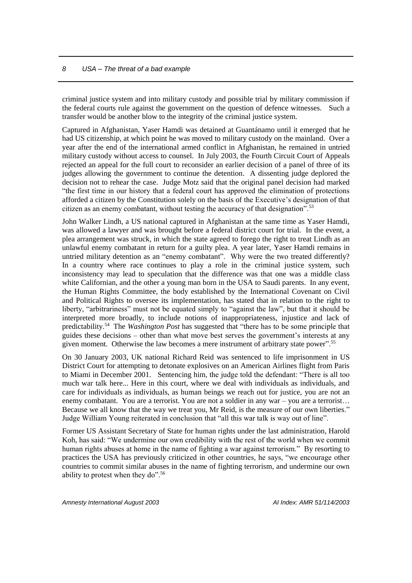criminal justice system and into military custody and possible trial by military commission if the federal courts rule against the government on the question of defence witnesses. Such a transfer would be another blow to the integrity of the criminal justice system.

Captured in Afghanistan, Yaser Hamdi was detained at Guantánamo until it emerged that he had US citizenship, at which point he was moved to military custody on the mainland. Over a year after the end of the international armed conflict in Afghanistan, he remained in untried military custody without access to counsel. In July 2003, the Fourth Circuit Court of Appeals rejected an appeal for the full court to reconsider an earlier decision of a panel of three of its judges allowing the government to continue the detention. A dissenting judge deplored the decision not to rehear the case. Judge Motz said that the original panel decision had marked "the first time in our history that a federal court has approved the elimination of protections afforded a citizen by the Constitution solely on the basis of the Executive's designation of that citizen as an enemy combatant, without testing the accuracy of that designation".<sup>53</sup>

John Walker Lindh, a US national captured in Afghanistan at the same time as Yaser Hamdi, was allowed a lawyer and was brought before a federal district court for trial. In the event, a plea arrangement was struck, in which the state agreed to forego the right to treat Lindh as an unlawful enemy combatant in return for a guilty plea. A year later, Yaser Hamdi remains in untried military detention as an "enemy combatant". Why were the two treated differently? In a country where race continues to play a role in the criminal justice system, such inconsistency may lead to speculation that the difference was that one was a middle class white Californian, and the other a young man born in the USA to Saudi parents. In any event, the Human Rights Committee, the body established by the International Covenant on Civil and Political Rights to oversee its implementation, has stated that in relation to the right to liberty, "arbitrariness" must not be equated simply to "against the law", but that it should be interpreted more broadly, to include notions of inappropriateness, injustice and lack of predictability.<sup>54</sup> The *Washington Post* has suggested that "there has to be some principle that guides these decisions – other than what move best serves the government's interests at any given moment. Otherwise the law becomes a mere instrument of arbitrary state power".<sup>55</sup>

On 30 January 2003, UK national Richard Reid was sentenced to life imprisonment in US District Court for attempting to detonate explosives on an American Airlines flight from Paris to Miami in December 2001. Sentencing him, the judge told the defendant: "There is all too much war talk here... Here in this court, where we deal with individuals as individuals, and care for individuals as individuals, as human beings we reach out for justice, you are not an enemy combatant. You are a terrorist. You are not a soldier in any war – you are a terrorist… Because we all know that the way we treat you, Mr Reid, is the measure of our own liberties." Judge William Young reiterated in conclusion that "all this war talk is way out of line".

Former US Assistant Secretary of State for human rights under the last administration, Harold Koh, has said: "We undermine our own credibility with the rest of the world when we commit human rights abuses at home in the name of fighting a war against terrorism." By resorting to practices the USA has previously criticized in other countries, he says, "we encourage other countries to commit similar abuses in the name of fighting terrorism, and undermine our own ability to protest when they do".<sup>56</sup>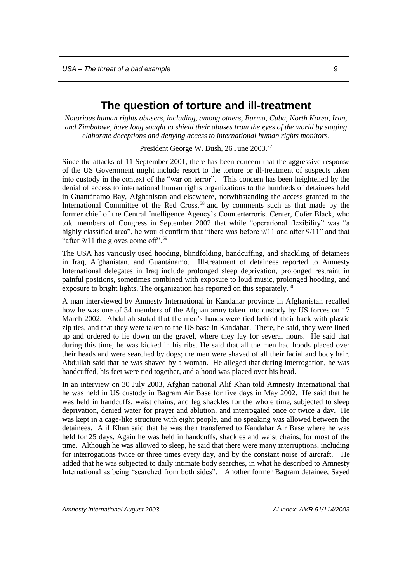## **The question of torture and ill-treatment**

<span id="page-10-0"></span>*Notorious human rights abusers, including, among others, Burma, Cuba, North Korea, Iran, and Zimbabwe, have long sought to shield their abuses from the eyes of the world by staging elaborate deceptions and denying access to international human rights monitors*.

President George W. Bush, 26 June 2003.<sup>57</sup>

Since the attacks of 11 September 2001, there has been concern that the aggressive response of the US Government might include resort to the torture or ill-treatment of suspects taken into custody in the context of the "war on terror". This concern has been heightened by the denial of access to international human rights organizations to the hundreds of detainees held in Guantánamo Bay, Afghanistan and elsewhere, notwithstanding the access granted to the International Committee of the Red Cross,<sup>58</sup> and by comments such as that made by the former chief of the Central Intelligence Agency's Counterterrorist Center, Cofer Black, who told members of Congress in September 2002 that while "operational flexibility" was "a highly classified area", he would confirm that "there was before  $9/11$  and after  $9/11$ " and that "after  $9/11$  the gloves come off".<sup>59</sup>

The USA has variously used hooding, blindfolding, handcuffing, and shackling of detainees in Iraq, Afghanistan, and Guantánamo. Ill-treatment of detainees reported to Amnesty International delegates in Iraq include prolonged sleep deprivation, prolonged restraint in painful positions, sometimes combined with exposure to loud music, prolonged hooding, and exposure to bright lights. The organization has reported on this separately.<sup>60</sup>

A man interviewed by Amnesty International in Kandahar province in Afghanistan recalled how he was one of 34 members of the Afghan army taken into custody by US forces on 17 March 2002. Abdullah stated that the men's hands were tied behind their back with plastic zip ties, and that they were taken to the US base in Kandahar. There, he said, they were lined up and ordered to lie down on the gravel, where they lay for several hours. He said that during this time, he was kicked in his ribs. He said that all the men had hoods placed over their heads and were searched by dogs; the men were shaved of all their facial and body hair. Abdullah said that he was shaved by a woman. He alleged that during interrogation, he was handcuffed, his feet were tied together, and a hood was placed over his head.

In an interview on 30 July 2003, Afghan national Alif Khan told Amnesty International that he was held in US custody in Bagram Air Base for five days in May 2002. He said that he was held in handcuffs, waist chains, and leg shackles for the whole time, subjected to sleep deprivation, denied water for prayer and ablution, and interrogated once or twice a day. He was kept in a cage-like structure with eight people, and no speaking was allowed between the detainees. Alif Khan said that he was then transferred to Kandahar Air Base where he was held for 25 days. Again he was held in handcuffs, shackles and waist chains, for most of the time. Although he was allowed to sleep, he said that there were many interruptions, including for interrogations twice or three times every day, and by the constant noise of aircraft. He added that he was subjected to daily intimate body searches, in what he described to Amnesty International as being "searched from both sides". Another former Bagram detainee, Sayed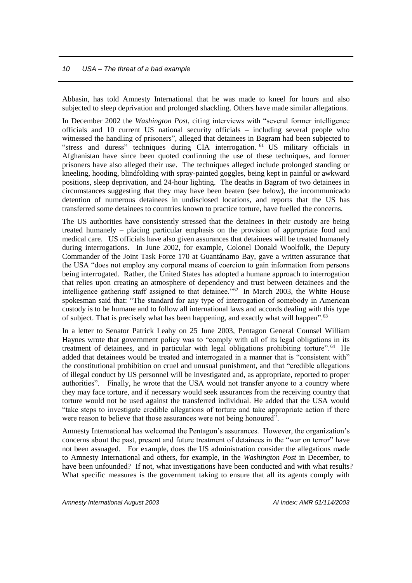Abbasin, has told Amnesty International that he was made to kneel for hours and also subjected to sleep deprivation and prolonged shackling. Others have made similar allegations.

In December 2002 the *Washington Post*, citing interviews with "several former intelligence officials and 10 current US national security officials – including several people who witnessed the handling of prisoners", alleged that detainees in Bagram had been subjected to "stress and duress" techniques during CIA interrogation. <sup>61</sup> US military officials in Afghanistan have since been quoted confirming the use of these techniques, and former prisoners have also alleged their use. The techniques alleged include prolonged standing or kneeling, hooding, blindfolding with spray-painted goggles, being kept in painful or awkward positions, sleep deprivation, and 24-hour lighting. The deaths in Bagram of two detainees in circumstances suggesting that they may have been beaten (see below), the incommunicado detention of numerous detainees in undisclosed locations, and reports that the US has transferred some detainees to countries known to practice torture, have fuelled the concerns.

The US authorities have consistently stressed that the detainees in their custody are being treated humanely – placing particular emphasis on the provision of appropriate food and medical care. US officials have also given assurances that detainees will be treated humanely during interrogations. In June 2002, for example, Colonel Donald Woolfolk, the Deputy Commander of the Joint Task Force 170 at Guantánamo Bay, gave a written assurance that the USA "does not employ any corporal means of coercion to gain information from persons being interrogated. Rather, the United States has adopted a humane approach to interrogation that relies upon creating an atmosphere of dependency and trust between detainees and the intelligence gathering staff assigned to that detainee." $62$  In March 2003, the White House spokesman said that: "The standard for any type of interrogation of somebody in American custody is to be humane and to follow all international laws and accords dealing with this type of subject. That is precisely what has been happening, and exactly what will happen".<sup>63</sup>

In a letter to Senator Patrick Leahy on 25 June 2003, Pentagon General Counsel William Haynes wrote that government policy was to "comply with all of its legal obligations in its treatment of detainees, and in particular with legal obligations prohibiting torture".<sup>64</sup> He added that detainees would be treated and interrogated in a manner that is "consistent with" the constitutional prohibition on cruel and unusual punishment, and that "credible allegations of illegal conduct by US personnel will be investigated and, as appropriate, reported to proper authorities". Finally, he wrote that the USA would not transfer anyone to a country where they may face torture, and if necessary would seek assurances from the receiving country that torture would not be used against the transferred individual. He added that the USA would "take steps to investigate credible allegations of torture and take appropriate action if there were reason to believe that those assurances were not being honoured".

Amnesty International has welcomed the Pentagon's assurances. However, the organization's concerns about the past, present and future treatment of detainees in the "war on terror" have not been assuaged. For example, does the US administration consider the allegations made to Amnesty International and others, for example, in the *Washington Post* in December, to have been unfounded? If not, what investigations have been conducted and with what results? What specific measures is the government taking to ensure that all its agents comply with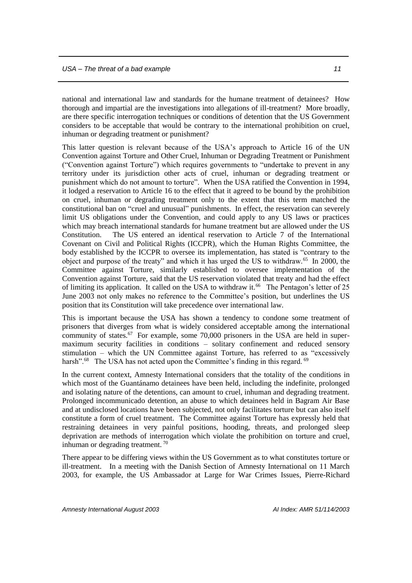national and international law and standards for the humane treatment of detainees? How thorough and impartial are the investigations into allegations of ill-treatment? More broadly, are there specific interrogation techniques or conditions of detention that the US Government considers to be acceptable that would be contrary to the international prohibition on cruel, inhuman or degrading treatment or punishment?

This latter question is relevant because of the USA's approach to Article 16 of the UN Convention against Torture and Other Cruel, Inhuman or Degrading Treatment or Punishment ("Convention against Torture") which requires governments to "undertake to prevent in any territory under its jurisdiction other acts of cruel, inhuman or degrading treatment or punishment which do not amount to torture". When the USA ratified the Convention in 1994, it lodged a reservation to Article 16 to the effect that it agreed to be bound by the prohibition on cruel, inhuman or degrading treatment only to the extent that this term matched the constitutional ban on "cruel and unusual" punishments. In effect, the reservation can severely limit US obligations under the Convention, and could apply to any US laws or practices which may breach international standards for humane treatment but are allowed under the US Constitution. The US entered an identical reservation to Article 7 of the International Covenant on Civil and Political Rights (ICCPR), which the Human Rights Committee, the body established by the ICCPR to oversee its implementation, has stated is "contrary to the object and purpose of the treaty" and which it has urged the US to withdraw.<sup>65</sup> In 2000, the Committee against Torture, similarly established to oversee implementation of the Convention against Torture, said that the US reservation violated that treaty and had the effect of limiting its application. It called on the USA to withdraw it.<sup>66</sup> The Pentagon's letter of 25 June 2003 not only makes no reference to the Committee's position, but underlines the US position that its Constitution will take precedence over international law.

This is important because the USA has shown a tendency to condone some treatment of prisoners that diverges from what is widely considered acceptable among the international community of states.<sup>67</sup> For example, some 70,000 prisoners in the USA are held in supermaximum security facilities in conditions – solitary confinement and reduced sensory stimulation – which the UN Committee against Torture, has referred to as "excessively harsh".<sup>68</sup> The USA has not acted upon the Committee's finding in this regard. <sup>69</sup>

In the current context, Amnesty International considers that the totality of the conditions in which most of the Guantánamo detainees have been held, including the indefinite, prolonged and isolating nature of the detentions, can amount to cruel, inhuman and degrading treatment. Prolonged incommunicado detention, an abuse to which detainees held in Bagram Air Base and at undisclosed locations have been subjected, not only facilitates torture but can also itself constitute a form of cruel treatment. The Committee against Torture has expressly held that restraining detainees in very painful positions, hooding, threats, and prolonged sleep deprivation are methods of interrogation which violate the prohibition on torture and cruel, inhuman or degrading treatment.<sup>70</sup>

There appear to be differing views within the US Government as to what constitutes torture or ill-treatment. In a meeting with the Danish Section of Amnesty International on 11 March 2003, for example, the US Ambassador at Large for War Crimes Issues, Pierre-Richard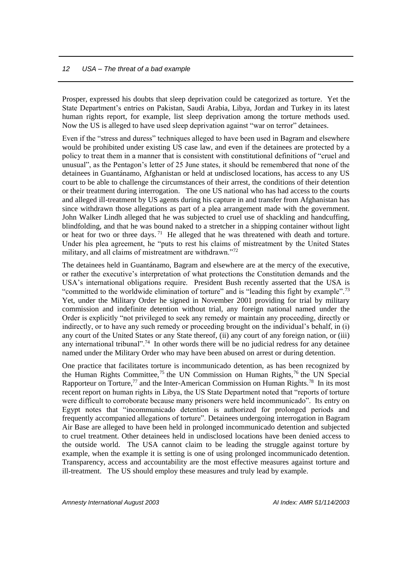Prosper, expressed his doubts that sleep deprivation could be categorized as torture. Yet the State Department's entries on Pakistan, Saudi Arabia, Libya, Jordan and Turkey in its latest human rights report, for example, list sleep deprivation among the torture methods used. Now the US is alleged to have used sleep deprivation against "war on terror" detainees.

Even if the "stress and duress" techniques alleged to have been used in Bagram and elsewhere would be prohibited under existing US case law, and even if the detainees are protected by a policy to treat them in a manner that is consistent with constitutional definitions of "cruel and unusual", as the Pentagon's letter of 25 June states, it should be remembered that none of the detainees in Guantánamo, Afghanistan or held at undisclosed locations, has access to any US court to be able to challenge the circumstances of their arrest, the conditions of their detention or their treatment during interrogation. The one US national who has had access to the courts and alleged ill-treatment by US agents during his capture in and transfer from Afghanistan has since withdrawn those allegations as part of a plea arrangement made with the government. John Walker Lindh alleged that he was subjected to cruel use of shackling and handcuffing, blindfolding, and that he was bound naked to a stretcher in a shipping container without light or heat for two or three days.<sup>71</sup> He alleged that he was threatened with death and torture. Under his plea agreement, he "puts to rest his claims of mistreatment by the United States military, and all claims of mistreatment are withdrawn."<sup>72</sup>

The detainees held in Guantánamo, Bagram and elsewhere are at the mercy of the executive, or rather the executive's interpretation of what protections the Constitution demands and the USA's international obligations require. President Bush recently asserted that the USA is "committed to the worldwide elimination of torture" and is "leading this fight by example".<sup>73</sup> Yet, under the Military Order he signed in November 2001 providing for trial by military commission and indefinite detention without trial, any foreign national named under the Order is explicitly "not privileged to seek any remedy or maintain any proceeding, directly or indirectly, or to have any such remedy or proceeding brought on the individual's behalf, in (i) any court of the United States or any State thereof, (ii) any court of any foreign nation, or (iii) any international tribunal".<sup>74</sup> In other words there will be no judicial redress for any detainee named under the Military Order who may have been abused on arrest or during detention.

One practice that facilitates torture is incommunicado detention, as has been recognized by the Human Rights Committee,<sup>75</sup> the UN Commission on Human Rights,<sup>76</sup> the UN Special Rapporteur on Torture,<sup>77</sup> and the Inter-American Commission on Human Rights.<sup>78</sup> In its most recent report on human rights in Libya, the US State Department noted that "reports of torture were difficult to corroborate because many prisoners were held incommunicado". Its entry on Egypt notes that "incommunicado detention is authorized for prolonged periods and frequently accompanied allegations of torture". Detainees undergoing interrogation in Bagram Air Base are alleged to have been held in prolonged incommunicado detention and subjected to cruel treatment. Other detainees held in undisclosed locations have been denied access to the outside world. The USA cannot claim to be leading the struggle against torture by example, when the example it is setting is one of using prolonged incommunicado detention. Transparency, access and accountability are the most effective measures against torture and ill-treatment. The US should employ these measures and truly lead by example.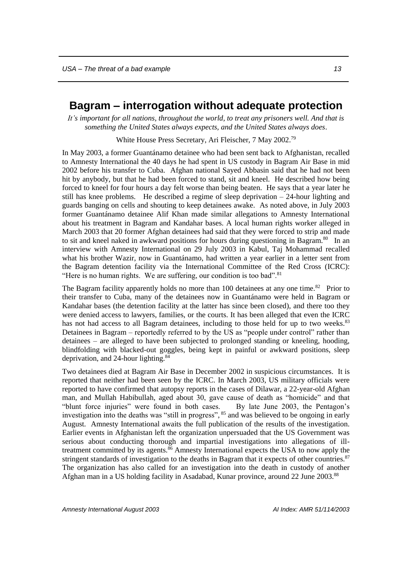## <span id="page-14-0"></span>**Bagram – interrogation without adequate protection**

*It's important for all nations, throughout the world, to treat any prisoners well. And that is something the United States always expects, and the United States always does*.

White House Press Secretary, Ari Fleischer, 7 May 2002.<sup>79</sup>

In May 2003, a former Guantánamo detainee who had been sent back to Afghanistan, recalled to Amnesty International the 40 days he had spent in US custody in Bagram Air Base in mid 2002 before his transfer to Cuba. Afghan national Sayed Abbasin said that he had not been hit by anybody, but that he had been forced to stand, sit and kneel. He described how being forced to kneel for four hours a day felt worse than being beaten. He says that a year later he still has knee problems. He described a regime of sleep deprivation  $-24$ -hour lighting and guards banging on cells and shouting to keep detainees awake. As noted above, in July 2003 former Guantánamo detainee Alif Khan made similar allegations to Amnesty International about his treatment in Bagram and Kandahar bases. A local human rights worker alleged in March 2003 that 20 former Afghan detainees had said that they were forced to strip and made to sit and kneel naked in awkward positions for hours during questioning in Bagram. $80$  In an interview with Amnesty International on 29 July 2003 in Kabul, Taj Mohammad recalled what his brother Wazir, now in Guantánamo, had written a year earlier in a letter sent from the Bagram detention facility via the International Committee of the Red Cross (ICRC): "Here is no human rights. We are suffering, our condition is too bad".<sup>81</sup>

The Bagram facility apparently holds no more than  $100$  detainees at any one time.<sup>82</sup> Prior to their transfer to Cuba, many of the detainees now in Guantánamo were held in Bagram or Kandahar bases (the detention facility at the latter has since been closed), and there too they were denied access to lawyers, families, or the courts. It has been alleged that even the ICRC has not had access to all Bagram detainees, including to those held for up to two weeks.<sup>83</sup> Detainees in Bagram – reportedly referred to by the US as "people under control" rather than detainees – are alleged to have been subjected to prolonged standing or kneeling, hooding, blindfolding with blacked-out goggles, being kept in painful or awkward positions, sleep deprivation, and 24-hour lighting.<sup>84</sup>

Two detainees died at Bagram Air Base in December 2002 in suspicious circumstances. It is reported that neither had been seen by the ICRC. In March 2003, US military officials were reported to have confirmed that autopsy reports in the cases of Dilawar, a 22-year-old Afghan man, and Mullah Habibullah, aged about 30, gave cause of death as "homicide" and that "blunt force injuries" were found in both cases. By late June 2003, the Pentagon's investigation into the deaths was "still in progress", <sup>85</sup> and was believed to be ongoing in early August. Amnesty International awaits the full publication of the results of the investigation. Earlier events in Afghanistan left the organization unpersuaded that the US Government was serious about conducting thorough and impartial investigations into allegations of illtreatment committed by its agents.<sup>86</sup> Amnesty International expects the USA to now apply the stringent standards of investigation to the deaths in Bagram that it expects of other countries.<sup>87</sup> The organization has also called for an investigation into the death in custody of another Afghan man in a US holding facility in Asadabad, Kunar province, around 22 June 2003.<sup>88</sup>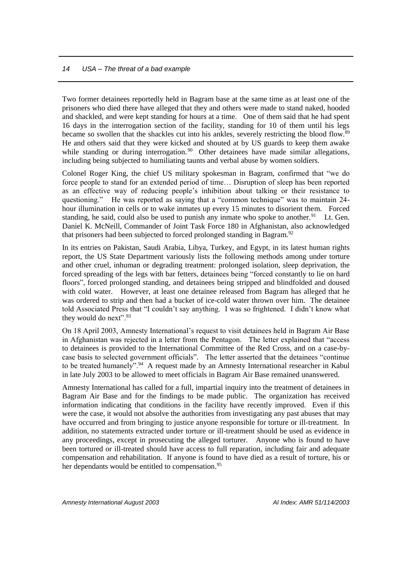Two former detainees reportedly held in Bagram base at the same time as at least one of the prisoners who died there have alleged that they and others were made to stand naked, hooded and shackled, and were kept standing for hours at a time. One of them said that he had spent 16 days in the interrogation section of the facility, standing for 10 of them until his legs became so swollen that the shackles cut into his ankles, severely restricting the blood flow.<sup>89</sup> He and others said that they were kicked and shouted at by US guards to keep them awake while standing or during interrogation.<sup>90</sup> Other detainees have made similar allegations, including being subjected to humiliating taunts and verbal abuse by women soldiers.

Colonel Roger King, the chief US military spokesman in Bagram, confirmed that "we do force people to stand for an extended period of time… Disruption of sleep has been reported as an effective way of reducing people's inhibition about talking or their resistance to questioning." He was reported as saying that a "common technique" was to maintain 24 hour illumination in cells or to wake inmates up every 15 minutes to disorient them. Forced standing, he said, could also be used to punish any inmate who spoke to another.<sup>91</sup> Lt. Gen. Daniel K. McNeill, Commander of Joint Task Force 180 in Afghanistan, also acknowledged that prisoners had been subjected to forced prolonged standing in Bagram.<sup>92</sup>

In its entries on Pakistan, Saudi Arabia, Libya, Turkey, and Egypt, in its latest human rights report, the US State Department variously lists the following methods among under torture and other cruel, inhuman or degrading treatment: prolonged isolation, sleep deprivation, the forced spreading of the legs with bar fetters, detainees being "forced constantly to lie on hard floors", forced prolonged standing, and detainees being stripped and blindfolded and doused with cold water. However, at least one detainee released from Bagram has alleged that he was ordered to strip and then had a bucket of ice-cold water thrown over him. The detainee told Associated Press that "I couldn't say anything. I was so frightened. I didn't know what they would do next".<sup>93</sup>

On 18 April 2003, Amnesty International's request to visit detainees held in Bagram Air Base in Afghanistan was rejected in a letter from the Pentagon. The letter explained that "access to detainees is provided to the International Committee of the Red Cross, and on a case-bycase basis to selected government officials". The letter asserted that the detainees "continue to be treated humanely".<sup>94</sup> A request made by an Amnesty International researcher in Kabul in late July 2003 to be allowed to meet officials in Bagram Air Base remained unanswered.

Amnesty International has called for a full, impartial inquiry into the treatment of detainees in Bagram Air Base and for the findings to be made public. The organization has received information indicating that conditions in the facility have recently improved. Even if this were the case, it would not absolve the authorities from investigating any past abuses that may have occurred and from bringing to justice anyone responsible for torture or ill-treatment. In addition, no statements extracted under torture or ill-treatment should be used as evidence in any proceedings, except in prosecuting the alleged torturer. Anyone who is found to have been tortured or ill-treated should have access to full reparation, including fair and adequate compensation and rehabilitation. If anyone is found to have died as a result of torture, his or her dependants would be entitled to compensation.<sup>95</sup>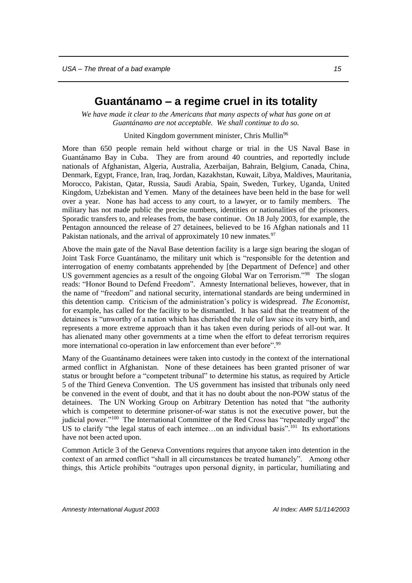### **Guantánamo – a regime cruel in its totality**

<span id="page-16-0"></span>*We have made it clear to the Americans that many aspects of what has gone on at Guantánamo are not acceptable. We shall continue to do so.* 

United Kingdom government minister, Chris Mullin<sup>96</sup>

More than 650 people remain held without charge or trial in the US Naval Base in Guantánamo Bay in Cuba. They are from around 40 countries, and reportedly include nationals of Afghanistan, Algeria, Australia, Azerbaijan, Bahrain, Belgium, Canada, China, Denmark, Egypt, France, Iran, Iraq, Jordan, Kazakhstan, Kuwait, Libya, Maldives, Mauritania, Morocco, Pakistan, Qatar, Russia, Saudi Arabia, Spain, Sweden, Turkey, Uganda, United Kingdom, Uzbekistan and Yemen. Many of the detainees have been held in the base for well over a year. None has had access to any court, to a lawyer, or to family members. The military has not made public the precise numbers, identities or nationalities of the prisoners. Sporadic transfers to, and releases from, the base continue. On 18 July 2003, for example, the Pentagon announced the release of 27 detainees, believed to be 16 Afghan nationals and 11 Pakistan nationals, and the arrival of approximately 10 new inmates.<sup>97</sup>

Above the main gate of the Naval Base detention facility is a large sign bearing the slogan of Joint Task Force Guantánamo, the military unit which is "responsible for the detention and interrogation of enemy combatants apprehended by [the Department of Defence] and other US government agencies as a result of the ongoing Global War on Terrorism."<sup>98</sup> The slogan reads: "Honor Bound to Defend Freedom". Amnesty International believes, however, that in the name of "freedom" and national security, international standards are being undermined in this detention camp. Criticism of the administration's policy is widespread. *The Economist*, for example, has called for the facility to be dismantled. It has said that the treatment of the detainees is "unworthy of a nation which has cherished the rule of law since its very birth, and represents a more extreme approach than it has taken even during periods of all-out war. It has alienated many other governments at a time when the effort to defeat terrorism requires more international co-operation in law enforcement than ever before".<sup>99</sup>

Many of the Guantánamo detainees were taken into custody in the context of the international armed conflict in Afghanistan. None of these detainees has been granted prisoner of war status or brought before a "competent tribunal" to determine his status, as required by Article 5 of the Third Geneva Convention. The US government has insisted that tribunals only need be convened in the event of doubt, and that it has no doubt about the non-POW status of the detainees. The UN Working Group on Arbitrary Detention has noted that "the authority which is competent to determine prisoner-of-war status is not the executive power, but the judicial power."<sup>100</sup> The International Committee of the Red Cross has "repeatedly urged" the US to clarify "the legal status of each internee...on an individual basis".<sup>101</sup> Its exhortations have not been acted upon.

Common Article 3 of the Geneva Conventions requires that anyone taken into detention in the context of an armed conflict "shall in all circumstances be treated humanely". Among other things, this Article prohibits "outrages upon personal dignity, in particular, humiliating and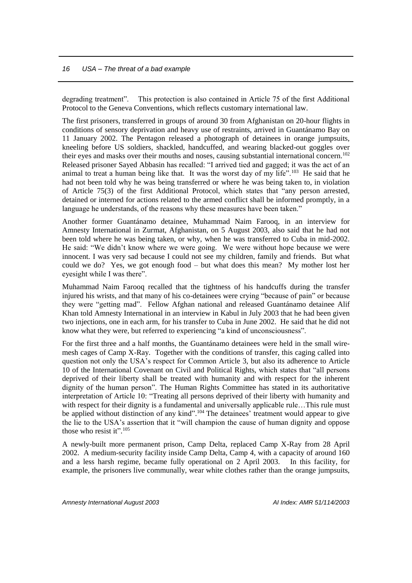degrading treatment". This protection is also contained in Article 75 of the first Additional Protocol to the Geneva Conventions, which reflects customary international law.

The first prisoners, transferred in groups of around 30 from Afghanistan on 20-hour flights in conditions of sensory deprivation and heavy use of restraints, arrived in Guantánamo Bay on 11 January 2002. The Pentagon released a photograph of detainees in orange jumpsuits, kneeling before US soldiers, shackled, handcuffed, and wearing blacked-out goggles over their eyes and masks over their mouths and noses, causing substantial international concern.<sup>102</sup> Released prisoner Sayed Abbasin has recalled: "I arrived tied and gagged; it was the act of an animal to treat a human being like that. It was the worst day of my life".<sup>103</sup> He said that he had not been told why he was being transferred or where he was being taken to, in violation of Article 75(3) of the first Additional Protocol, which states that "any person arrested, detained or interned for actions related to the armed conflict shall be informed promptly, in a language he understands, of the reasons why these measures have been taken."

Another former Guantánamo detainee, Muhammad Naim Farooq, in an interview for Amnesty International in Zurmat, Afghanistan, on 5 August 2003, also said that he had not been told where he was being taken, or why, when he was transferred to Cuba in mid-2002. He said: "We didn't know where we were going. We were without hope because we were innocent. I was very sad because I could not see my children, family and friends. But what could we do? Yes, we got enough food – but what does this mean? My mother lost her eyesight while I was there".

Muhammad Naim Farooq recalled that the tightness of his handcuffs during the transfer injured his wrists, and that many of his co-detainees were crying "because of pain" or because they were "getting mad". Fellow Afghan national and released Guantánamo detainee Alif Khan told Amnesty International in an interview in Kabul in July 2003 that he had been given two injections, one in each arm, for his transfer to Cuba in June 2002. He said that he did not know what they were, but referred to experiencing "a kind of unconsciousness".

For the first three and a half months, the Guantánamo detainees were held in the small wiremesh cages of Camp X-Ray. Together with the conditions of transfer, this caging called into question not only the USA's respect for Common Article 3, but also its adherence to Article 10 of the International Covenant on Civil and Political Rights, which states that "all persons deprived of their liberty shall be treated with humanity and with respect for the inherent dignity of the human person". The Human Rights Committee has stated in its authoritative interpretation of Article 10: "Treating all persons deprived of their liberty with humanity and with respect for their dignity is a fundamental and universally applicable rule...This rule must be applied without distinction of any kind".<sup>104</sup> The detainees' treatment would appear to give the lie to the USA's assertion that it "will champion the cause of human dignity and oppose those who resist it". 105

A newly-built more permanent prison, Camp Delta, replaced Camp X-Ray from 28 April 2002. A medium-security facility inside Camp Delta, Camp 4, with a capacity of around 160 and a less harsh regime, became fully operational on 2 April 2003. In this facility, for example, the prisoners live communally, wear white clothes rather than the orange jumpsuits,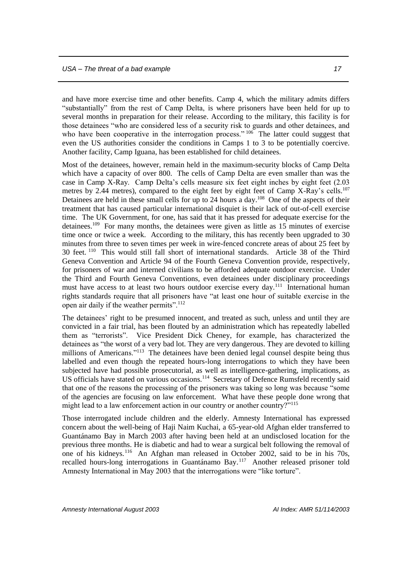and have more exercise time and other benefits. Camp 4, which the military admits differs "substantially" from the rest of Camp Delta, is where prisoners have been held for up to several months in preparation for their release. According to the military, this facility is for those detainees "who are considered less of a security risk to guards and other detainees, and who have been cooperative in the interrogation process."  $106$  The latter could suggest that even the US authorities consider the conditions in Camps 1 to 3 to be potentially coercive. Another facility, Camp Iguana, has been established for child detainees.

Most of the detainees, however, remain held in the maximum-security blocks of Camp Delta which have a capacity of over 800. The cells of Camp Delta are even smaller than was the case in Camp X-Ray. Camp Delta's cells measure six feet eight inches by eight feet (2.03 metres by 2.44 metres), compared to the eight feet by eight feet of Camp X-Ray's cells.<sup>107</sup> Detainees are held in these small cells for up to 24 hours a day.<sup>108</sup> One of the aspects of their treatment that has caused particular international disquiet is their lack of out-of-cell exercise time. The UK Government, for one, has said that it has pressed for adequate exercise for the detainees.<sup>109</sup> For many months, the detainees were given as little as 15 minutes of exercise time once or twice a week. According to the military, this has recently been upgraded to 30 minutes from three to seven times per week in wire-fenced concrete areas of about 25 feet by 30 feet. <sup>110</sup> This would still fall short of international standards. Article 38 of the Third Geneva Convention and Article 94 of the Fourth Geneva Convention provide, respectively, for prisoners of war and interned civilians to be afforded adequate outdoor exercise. Under the Third and Fourth Geneva Conventions, even detainees under disciplinary proceedings must have access to at least two hours outdoor exercise every day.<sup>111</sup> International human rights standards require that all prisoners have "at least one hour of suitable exercise in the open air daily if the weather permits".<sup>112</sup>

The detainees' right to be presumed innocent, and treated as such, unless and until they are convicted in a fair trial, has been flouted by an administration which has repeatedly labelled them as "terrorists". Vice President Dick Cheney, for example, has characterized the detainees as "the worst of a very bad lot. They are very dangerous. They are devoted to killing millions of Americans."<sup>113</sup> The detainees have been denied legal counsel despite being thus labelled and even though the repeated hours-long interrogations to which they have been subjected have had possible prosecutorial, as well as intelligence-gathering, implications, as US officials have stated on various occasions.<sup>114</sup> Secretary of Defence Rumsfeld recently said that one of the reasons the processing of the prisoners was taking so long was because "some of the agencies are focusing on law enforcement. What have these people done wrong that might lead to a law enforcement action in our country or another country?"<sup>115</sup>

Those interrogated include children and the elderly. Amnesty International has expressed concern about the well-being of Haji Naim Kuchai, a 65-year-old Afghan elder transferred to Guantánamo Bay in March 2003 after having been held at an undisclosed location for the previous three months. He is diabetic and had to wear a surgical belt following the removal of one of his kidneys.<sup>116</sup> An Afghan man released in October 2002, said to be in his 70s, recalled hours-long interrogations in Guantánamo Bay.<sup>117</sup> Another released prisoner told Amnesty International in May 2003 that the interrogations were "like torture".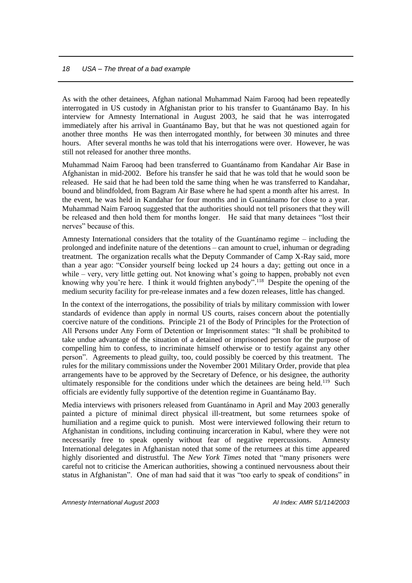As with the other detainees, Afghan national Muhammad Naim Farooq had been repeatedly interrogated in US custody in Afghanistan prior to his transfer to Guantánamo Bay. In his interview for Amnesty International in August 2003, he said that he was interrogated immediately after his arrival in Guantánamo Bay, but that he was not questioned again for another three months He was then interrogated monthly, for between 30 minutes and three hours. After several months he was told that his interrogations were over. However, he was still not released for another three months.

Muhammad Naim Farooq had been transferred to Guantánamo from Kandahar Air Base in Afghanistan in mid-2002. Before his transfer he said that he was told that he would soon be released. He said that he had been told the same thing when he was transferred to Kandahar, bound and blindfolded, from Bagram Air Base where he had spent a month after his arrest. In the event, he was held in Kandahar for four months and in Guantánamo for close to a year. Muhammad Naim Farooq suggested that the authorities should not tell prisoners that they will be released and then hold them for months longer. He said that many detainees "lost their nerves" because of this.

Amnesty International considers that the totality of the Guantánamo regime – including the prolonged and indefinite nature of the detentions – can amount to cruel, inhuman or degrading treatment. The organization recalls what the Deputy Commander of Camp X-Ray said, more than a year ago: "Consider yourself being locked up 24 hours a day; getting out once in a while – very, very little getting out. Not knowing what's going to happen, probably not even knowing why you're here. I think it would frighten anybody".<sup>118</sup> Despite the opening of the medium security facility for pre-release inmates and a few dozen releases, little has changed.

In the context of the interrogations, the possibility of trials by military commission with lower standards of evidence than apply in normal US courts, raises concern about the potentially coercive nature of the conditions. Principle 21 of the Body of Principles for the Protection of All Persons under Any Form of Detention or Imprisonment states: "It shall be prohibited to take undue advantage of the situation of a detained or imprisoned person for the purpose of compelling him to confess, to incriminate himself otherwise or to testify against any other person". Agreements to plead guilty, too, could possibly be coerced by this treatment. The rules for the military commissions under the November 2001 Military Order, provide that plea arrangements have to be approved by the Secretary of Defence, or his designee, the authority ultimately responsible for the conditions under which the detainees are being held.<sup>119</sup> Such officials are evidently fully supportive of the detention regime in Guantánamo Bay.

Media interviews with prisoners released from Guantánamo in April and May 2003 generally painted a picture of minimal direct physical ill-treatment, but some returnees spoke of humiliation and a regime quick to punish. Most were interviewed following their return to Afghanistan in conditions, including continuing incarceration in Kabul, where they were not necessarily free to speak openly without fear of negative repercussions. Amnesty International delegates in Afghanistan noted that some of the returnees at this time appeared highly disoriented and distrustful. The *New York Times* noted that "many prisoners were careful not to criticise the American authorities, showing a continued nervousness about their status in Afghanistan". One of man had said that it was "too early to speak of conditions" in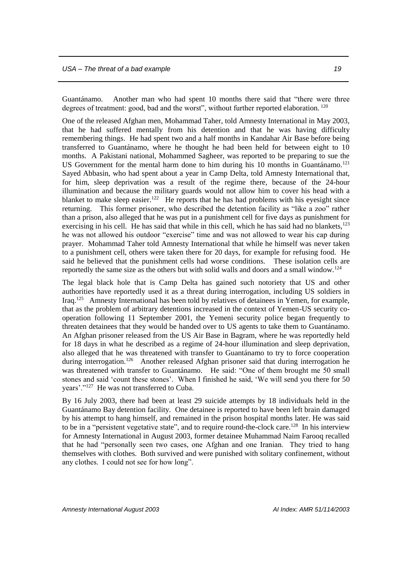Guantánamo. Another man who had spent 10 months there said that "there were three degrees of treatment: good, bad and the worst", without further reported elaboration. <sup>120</sup>

One of the released Afghan men, Mohammad Taher, told Amnesty International in May 2003, that he had suffered mentally from his detention and that he was having difficulty remembering things. He had spent two and a half months in Kandahar Air Base before being transferred to Guantánamo, where he thought he had been held for between eight to 10 months. A Pakistani national, Mohammed Sagheer, was reported to be preparing to sue the US Government for the mental harm done to him during his 10 months in Guantánamo.<sup>121</sup> Sayed Abbasin, who had spent about a year in Camp Delta, told Amnesty International that, for him, sleep deprivation was a result of the regime there, because of the 24-hour illumination and because the military guards would not allow him to cover his head with a blanket to make sleep easier.<sup>122</sup> He reports that he has had problems with his eyesight since returning. This former prisoner, who described the detention facility as "like a zoo" rather than a prison, also alleged that he was put in a punishment cell for five days as punishment for exercising in his cell. He has said that while in this cell, which he has said had no blankets,  $123$ he was not allowed his outdoor "exercise" time and was not allowed to wear his cap during prayer. Mohammad Taher told Amnesty International that while he himself was never taken to a punishment cell, others were taken there for 20 days, for example for refusing food. He said he believed that the punishment cells had worse conditions. These isolation cells are reportedly the same size as the others but with solid walls and doors and a small window.<sup>124</sup>

The legal black hole that is Camp Delta has gained such notoriety that US and other authorities have reportedly used it as a threat during interrogation, including US soldiers in Iraq.<sup>125</sup> Amnesty International has been told by relatives of detainees in Yemen, for example, that as the problem of arbitrary detentions increased in the context of Yemen-US security cooperation following 11 September 2001, the Yemeni security police began frequently to threaten detainees that they would be handed over to US agents to take them to Guantánamo. An Afghan prisoner released from the US Air Base in Bagram, where he was reportedly held for 18 days in what he described as a regime of 24-hour illumination and sleep deprivation, also alleged that he was threatened with transfer to Guantánamo to try to force cooperation during interrogation.<sup>126</sup> Another released Afghan prisoner said that during interrogation he was threatened with transfer to Guantánamo. He said: "One of them brought me 50 small stones and said 'count these stones'. When I finished he said, 'We will send you there for 50 years'."<sup>127</sup> He was not transferred to Cuba.

By 16 July 2003, there had been at least 29 suicide attempts by 18 individuals held in the Guantánamo Bay detention facility. One detainee is reported to have been left brain damaged by his attempt to hang himself, and remained in the prison hospital months later. He was said to be in a "persistent vegetative state", and to require round-the-clock care.<sup>128</sup> In his interview for Amnesty International in August 2003, former detainee Muhammad Naim Farooq recalled that he had "personally seen two cases, one Afghan and one Iranian. They tried to hang themselves with clothes. Both survived and were punished with solitary confinement, without any clothes. I could not see for how long".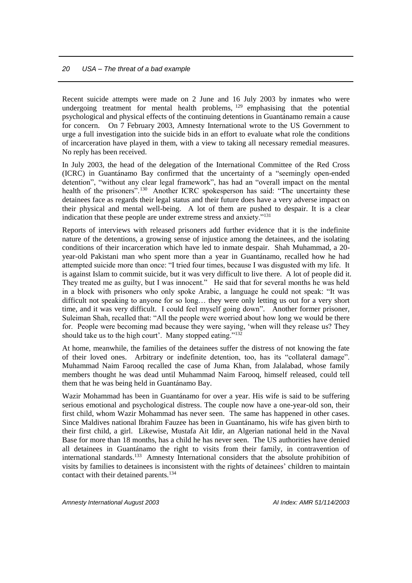Recent suicide attempts were made on 2 June and 16 July 2003 by inmates who were undergoing treatment for mental health problems, <sup>129</sup> emphasising that the potential psychological and physical effects of the continuing detentions in Guantánamo remain a cause for concern. On 7 February 2003, Amnesty International wrote to the US Government to urge a full investigation into the suicide bids in an effort to evaluate what role the conditions of incarceration have played in them, with a view to taking all necessary remedial measures. No reply has been received.

In July 2003, the head of the delegation of the International Committee of the Red Cross (ICRC) in Guantánamo Bay confirmed that the uncertainty of a "seemingly open-ended detention", "without any clear legal framework", has had an "overall impact on the mental health of the prisoners".<sup>130</sup> Another ICRC spokesperson has said: "The uncertainty these detainees face as regards their legal status and their future does have a very adverse impact on their physical and mental well-being. A lot of them are pushed to despair. It is a clear indication that these people are under extreme stress and anxiety."<sup>131</sup>

Reports of interviews with released prisoners add further evidence that it is the indefinite nature of the detentions, a growing sense of injustice among the detainees, and the isolating conditions of their incarceration which have led to inmate despair. Shah Muhammad, a 20 year-old Pakistani man who spent more than a year in Guantánamo, recalled how he had attempted suicide more than once: "I tried four times, because I was disgusted with my life. It is against Islam to commit suicide, but it was very difficult to live there. A lot of people did it. They treated me as guilty, but I was innocent." He said that for several months he was held in a block with prisoners who only spoke Arabic, a language he could not speak: "It was difficult not speaking to anyone for so long… they were only letting us out for a very short time, and it was very difficult. I could feel myself going down". Another former prisoner, Suleiman Shah, recalled that: "All the people were worried about how long we would be there for. People were becoming mad because they were saying, 'when will they release us? They should take us to the high court'. Many stopped eating."<sup>132</sup>

At home, meanwhile, the families of the detainees suffer the distress of not knowing the fate of their loved ones. Arbitrary or indefinite detention, too, has its "collateral damage". Muhammad Naim Farooq recalled the case of Juma Khan, from Jalalabad, whose family members thought he was dead until Muhammad Naim Farooq, himself released, could tell them that he was being held in Guantánamo Bay.

Wazir Mohammad has been in Guantánamo for over a year. His wife is said to be suffering serious emotional and psychological distress. The couple now have a one-year-old son, their first child, whom Wazir Mohammad has never seen. The same has happened in other cases. Since Maldives national Ibrahim Fauzee has been in Guantánamo, his wife has given birth to their first child, a girl. Likewise, Mustafa Ait Idir, an Algerian national held in the Naval Base for more than 18 months, has a child he has never seen. The US authorities have denied all detainees in Guantánamo the right to visits from their family, in contravention of international standards.<sup>133</sup> Amnesty International considers that the absolute prohibition of visits by families to detainees is inconsistent with the rights of detainees' children to maintain contact with their detained parents.<sup>134</sup>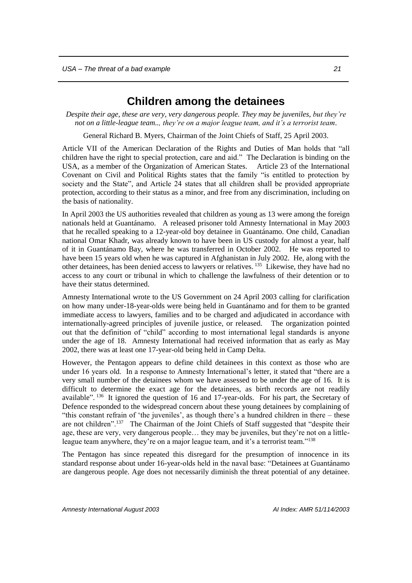## **Children among the detainees**

<span id="page-22-0"></span>*Despite their age, these are very, very dangerous people. They may be juveniles, but they're not on a little-league team.., they're on a major league team, and it's a terrorist team*.

General Richard B. Myers, Chairman of the Joint Chiefs of Staff, 25 April 2003.

Article VII of the American Declaration of the Rights and Duties of Man holds that "all children have the right to special protection, care and aid." The Declaration is binding on the USA, as a member of the Organization of American States. Article 23 of the International Covenant on Civil and Political Rights states that the family "is entitled to protection by society and the State", and Article 24 states that all children shall be provided appropriate protection, according to their status as a minor, and free from any discrimination, including on the basis of nationality.

In April 2003 the US authorities revealed that children as young as 13 were among the foreign nationals held at Guantánamo. A released prisoner told Amnesty International in May 2003 that he recalled speaking to a 12-year-old boy detainee in Guantánamo. One child, Canadian national Omar Khadr, was already known to have been in US custody for almost a year, half of it in Guantánamo Bay, where he was transferred in October 2002. He was reported to have been 15 years old when he was captured in Afghanistan in July 2002. He, along with the other detainees, has been denied access to lawyers or relatives. <sup>135</sup> Likewise, they have had no access to any court or tribunal in which to challenge the lawfulness of their detention or to have their status determined.

Amnesty International wrote to the US Government on 24 April 2003 calling for clarification on how many under-18-year-olds were being held in Guantánamo and for them to be granted immediate access to lawyers, families and to be charged and adjudicated in accordance with internationally-agreed principles of juvenile justice, or released. The organization pointed out that the definition of "child" according to most international legal standards is anyone under the age of 18. Amnesty International had received information that as early as May 2002, there was at least one 17-year-old being held in Camp Delta.

However, the Pentagon appears to define child detainees in this context as those who are under 16 years old. In a response to Amnesty International's letter, it stated that "there are a very small number of the detainees whom we have assessed to be under the age of 16. It is difficult to determine the exact age for the detainees, as birth records are not readily available". <sup>136</sup> It ignored the question of 16 and 17-year-olds. For his part, the Secretary of Defence responded to the widespread concern about these young detainees by complaining of "this constant refrain of 'the juveniles', as though there's a hundred children in there – these are not children".<sup>137</sup> The Chairman of the Joint Chiefs of Staff suggested that "despite their age, these are very, very dangerous people… they may be juveniles, but they're not on a littleleague team anywhere, they're on a major league team, and it's a terrorist team."<sup>138</sup>

The Pentagon has since repeated this disregard for the presumption of innocence in its standard response about under 16-year-olds held in the naval base: "Detainees at Guantánamo are dangerous people. Age does not necessarily diminish the threat potential of any detainee.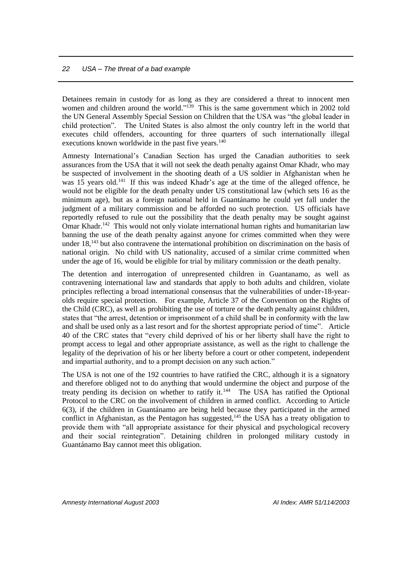Detainees remain in custody for as long as they are considered a threat to innocent men women and children around the world."<sup>139</sup> This is the same government which in 2002 told the UN General Assembly Special Session on Children that the USA was "the global leader in child protection". The United States is also almost the only country left in the world that executes child offenders, accounting for three quarters of such internationally illegal executions known worldwide in the past five years.<sup>140</sup>

Amnesty International's Canadian Section has urged the Canadian authorities to seek assurances from the USA that it will not seek the death penalty against Omar Khadr, who may be suspected of involvement in the shooting death of a US soldier in Afghanistan when he was 15 years old.<sup>141</sup> If this was indeed Khadr's age at the time of the alleged offence, he would not be eligible for the death penalty under US constitutional law (which sets 16 as the minimum age), but as a foreign national held in Guantánamo he could yet fall under the judgment of a military commission and be afforded no such protection. US officials have reportedly refused to rule out the possibility that the death penalty may be sought against Omar Khadr.<sup>142</sup> This would not only violate international human rights and humanitarian law banning the use of the death penalty against anyone for crimes committed when they were under 18,<sup>143</sup> but also contravene the international prohibition on discrimination on the basis of national origin. No child with US nationality, accused of a similar crime committed when under the age of 16, would be eligible for trial by military commission or the death penalty.

The detention and interrogation of unrepresented children in Guantanamo, as well as contravening international law and standards that apply to both adults and children, violate principles reflecting a broad international consensus that the vulnerabilities of under-18-yearolds require special protection. For example, Article 37 of the Convention on the Rights of the Child (CRC), as well as prohibiting the use of torture or the death penalty against children, states that "the arrest, detention or imprisonment of a child shall be in conformity with the law and shall be used only as a last resort and for the shortest appropriate period of time". Article 40 of the CRC states that "every child deprived of his or her liberty shall have the right to prompt access to legal and other appropriate assistance, as well as the right to challenge the legality of the deprivation of his or her liberty before a court or other competent, independent and impartial authority, and to a prompt decision on any such action."

The USA is not one of the 192 countries to have ratified the CRC, although it is a signatory and therefore obliged not to do anything that would undermine the object and purpose of the treaty pending its decision on whether to ratify it.<sup>144</sup> The USA has ratified the Optional Protocol to the CRC on the involvement of children in armed conflict. According to Article 6(3), if the children in Guantánamo are being held because they participated in the armed conflict in Afghanistan, as the Pentagon has suggested,<sup>145</sup> the USA has a treaty obligation to provide them with "all appropriate assistance for their physical and psychological recovery and their social reintegration". Detaining children in prolonged military custody in Guantánamo Bay cannot meet this obligation.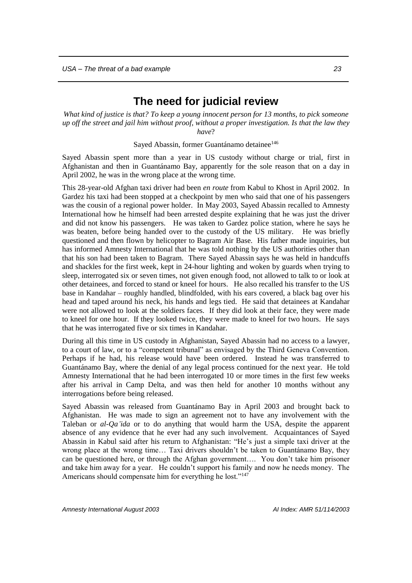## **The need for judicial review**

<span id="page-24-0"></span>*What kind of justice is that? To keep a young innocent person for 13 months, to pick someone up off the street and jail him without proof, without a proper investigation. Is that the law they have*?

Sayed Abassin, former Guantánamo detainee<sup>146</sup>

Sayed Abassin spent more than a year in US custody without charge or trial, first in Afghanistan and then in Guantánamo Bay, apparently for the sole reason that on a day in April 2002, he was in the wrong place at the wrong time.

This 28-year-old Afghan taxi driver had been *en route* from Kabul to Khost in April 2002. In Gardez his taxi had been stopped at a checkpoint by men who said that one of his passengers was the cousin of a regional power holder. In May 2003, Sayed Abassin recalled to Amnesty International how he himself had been arrested despite explaining that he was just the driver and did not know his passengers. He was taken to Gardez police station, where he says he was beaten, before being handed over to the custody of the US military. He was briefly questioned and then flown by helicopter to Bagram Air Base. His father made inquiries, but has informed Amnesty International that he was told nothing by the US authorities other than that his son had been taken to Bagram. There Sayed Abassin says he was held in handcuffs and shackles for the first week, kept in 24-hour lighting and woken by guards when trying to sleep, interrogated six or seven times, not given enough food, not allowed to talk to or look at other detainees, and forced to stand or kneel for hours. He also recalled his transfer to the US base in Kandahar – roughly handled, blindfolded, with his ears covered, a black bag over his head and taped around his neck, his hands and legs tied. He said that detainees at Kandahar were not allowed to look at the soldiers faces. If they did look at their face, they were made to kneel for one hour. If they looked twice, they were made to kneel for two hours. He says that he was interrogated five or six times in Kandahar.

During all this time in US custody in Afghanistan, Sayed Abassin had no access to a lawyer, to a court of law, or to a "competent tribunal" as envisaged by the Third Geneva Convention. Perhaps if he had, his release would have been ordered. Instead he was transferred to Guantánamo Bay, where the denial of any legal process continued for the next year. He told Amnesty International that he had been interrogated 10 or more times in the first few weeks after his arrival in Camp Delta, and was then held for another 10 months without any interrogations before being released.

Sayed Abassin was released from Guantánamo Bay in April 2003 and brought back to Afghanistan. He was made to sign an agreement not to have any involvement with the Taleban or *al-Qa'ida* or to do anything that would harm the USA, despite the apparent absence of any evidence that he ever had any such involvement. Acquaintances of Sayed Abassin in Kabul said after his return to Afghanistan: "He's just a simple taxi driver at the wrong place at the wrong time… Taxi drivers shouldn't be taken to Guantánamo Bay, they can be questioned here, or through the Afghan government…. You don't take him prisoner and take him away for a year. He couldn't support his family and now he needs money. The Americans should compensate him for everything he lost."147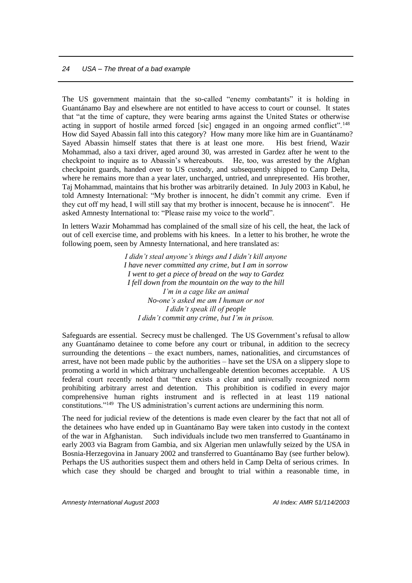The US government maintain that the so-called "enemy combatants" it is holding in Guantánamo Bay and elsewhere are not entitled to have access to court or counsel. It states that "at the time of capture, they were bearing arms against the United States or otherwise acting in support of hostile armed forced [sic] engaged in an ongoing armed conflict".<sup>148</sup> How did Sayed Abassin fall into this category? How many more like him are in Guantánamo? Sayed Abassin himself states that there is at least one more. His best friend, Wazir Mohammad, also a taxi driver, aged around 30, was arrested in Gardez after he went to the checkpoint to inquire as to Abassin's whereabouts. He, too, was arrested by the Afghan checkpoint guards, handed over to US custody, and subsequently shipped to Camp Delta, where he remains more than a year later, uncharged, untried, and unrepresented. His brother, Taj Mohammad, maintains that his brother was arbitrarily detained. In July 2003 in Kabul, he told Amnesty International: "My brother is innocent, he didn't commit any crime. Even if they cut off my head, I will still say that my brother is innocent, because he is innocent". He asked Amnesty International to: "Please raise my voice to the world".

In letters Wazir Mohammad has complained of the small size of his cell, the heat, the lack of out of cell exercise time, and problems with his knees. In a letter to his brother, he wrote the following poem, seen by Amnesty International, and here translated as:

> *I didn't steal anyone's things and I didn't kill anyone I have never committed any crime, but I am in sorrow I went to get a piece of bread on the way to Gardez I fell down from the mountain on the way to the hill I'm in a cage like an animal No-one's asked me am I human or not I didn't speak ill of people I didn't commit any crime, but I'm in prison.*

Safeguards are essential. Secrecy must be challenged. The US Government's refusal to allow any Guantánamo detainee to come before any court or tribunal, in addition to the secrecy surrounding the detentions – the exact numbers, names, nationalities, and circumstances of arrest, have not been made public by the authorities – have set the USA on a slippery slope to promoting a world in which arbitrary unchallengeable detention becomes acceptable. A US federal court recently noted that "there exists a clear and universally recognized norm prohibiting arbitrary arrest and detention. This prohibition is codified in every major comprehensive human rights instrument and is reflected in at least 119 national constitutions." 149 The US administration's current actions are undermining this norm.

The need for judicial review of the detentions is made even clearer by the fact that not all of the detainees who have ended up in Guantánamo Bay were taken into custody in the context of the war in Afghanistan. Such individuals include two men transferred to Guantánamo in early 2003 via Bagram from Gambia, and six Algerian men unlawfully seized by the USA in Bosnia-Herzegovina in January 2002 and transferred to Guantánamo Bay (see further below). Perhaps the US authorities suspect them and others held in Camp Delta of serious crimes. In which case they should be charged and brought to trial within a reasonable time, in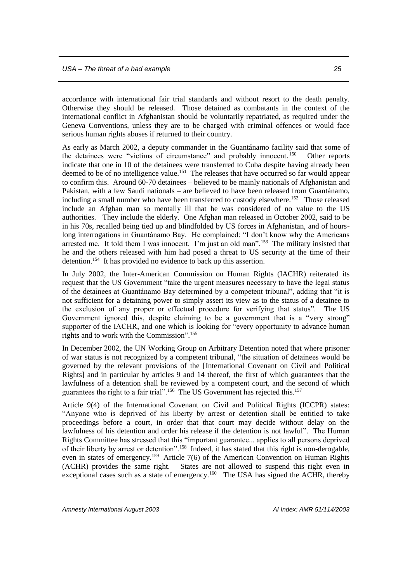accordance with international fair trial standards and without resort to the death penalty. Otherwise they should be released. Those detained as combatants in the context of the international conflict in Afghanistan should be voluntarily repatriated, as required under the Geneva Conventions, unless they are to be charged with criminal offences or would face serious human rights abuses if returned to their country.

As early as March 2002, a deputy commander in the Guantánamo facility said that some of the detainees were "victims of circumstance" and probably innocent.<sup>150</sup> Other reports indicate that one in 10 of the detainees were transferred to Cuba despite having already been deemed to be of no intelligence value.<sup>151</sup> The releases that have occurred so far would appear to confirm this. Around 60-70 detainees – believed to be mainly nationals of Afghanistan and Pakistan, with a few Saudi nationals – are believed to have been released from Guantánamo, including a small number who have been transferred to custody elsewhere.<sup>152</sup> Those released include an Afghan man so mentally ill that he was considered of no value to the US authorities. They include the elderly. One Afghan man released in October 2002, said to be in his 70s, recalled being tied up and blindfolded by US forces in Afghanistan, and of hourslong interrogations in Guantánamo Bay. He complained: "I don't know why the Americans arrested me. It told them I was innocent. I'm just an old man".<sup>153</sup> The military insisted that he and the others released with him had posed a threat to US security at the time of their detention.<sup>154</sup> It has provided no evidence to back up this assertion.

In July 2002, the Inter-American Commission on Human Rights (IACHR) reiterated its request that the US Government "take the urgent measures necessary to have the legal status of the detainees at Guantánamo Bay determined by a competent tribunal", adding that "it is not sufficient for a detaining power to simply assert its view as to the status of a detainee to the exclusion of any proper or effectual procedure for verifying that status". The US Government ignored this, despite claiming to be a government that is a "very strong" supporter of the IACHR, and one which is looking for "every opportunity to advance human rights and to work with the Commission". 155

In December 2002, the UN Working Group on Arbitrary Detention noted that where prisoner of war status is not recognized by a competent tribunal, "the situation of detainees would be governed by the relevant provisions of the [International Covenant on Civil and Political Rights] and in particular by articles 9 and 14 thereof, the first of which guarantees that the lawfulness of a detention shall be reviewed by a competent court, and the second of which guarantees the right to a fair trial".<sup>156</sup> The US Government has rejected this.<sup>157</sup>

Article 9(4) of the International Covenant on Civil and Political Rights (ICCPR) states: "Anyone who is deprived of his liberty by arrest or detention shall be entitled to take proceedings before a court, in order that that court may decide without delay on the lawfulness of his detention and order his release if the detention is not lawful". The Human Rights Committee has stressed that this "important guarantee... applies to all persons deprived of their liberty by arrest or detention".<sup>158</sup> Indeed, it has stated that this right is non-derogable, even in states of emergency.<sup>159</sup> Article 7(6) of the American Convention on Human Rights (ACHR) provides the same right. States are not allowed to suspend this right even in exceptional cases such as a state of emergency.<sup>160</sup> The USA has signed the ACHR, thereby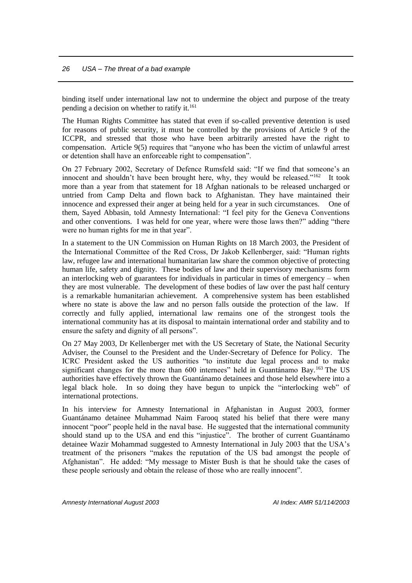binding itself under international law not to undermine the object and purpose of the treaty pending a decision on whether to ratify it.<sup>161</sup>

The Human Rights Committee has stated that even if so-called preventive detention is used for reasons of public security, it must be controlled by the provisions of Article 9 of the ICCPR, and stressed that those who have been arbitrarily arrested have the right to compensation. Article 9(5) requires that "anyone who has been the victim of unlawful arrest or detention shall have an enforceable right to compensation".

On 27 February 2002, Secretary of Defence Rumsfeld said: "If we find that someone's an innocent and shouldn't have been brought here, why, they would be released."<sup>162</sup> It took more than a year from that statement for 18 Afghan nationals to be released uncharged or untried from Camp Delta and flown back to Afghanistan. They have maintained their innocence and expressed their anger at being held for a year in such circumstances. One of them, Sayed Abbasin, told Amnesty International: "I feel pity for the Geneva Conventions and other conventions. I was held for one year, where were those laws then?" adding "there were no human rights for me in that year".

In a statement to the UN Commission on Human Rights on 18 March 2003, the President of the International Committee of the Red Cross, Dr Jakob Kellenberger, said: "Human rights law, refugee law and international humanitarian law share the common objective of protecting human life, safety and dignity. These bodies of law and their supervisory mechanisms form an interlocking web of guarantees for individuals in particular in times of emergency – when they are most vulnerable. The development of these bodies of law over the past half century is a remarkable humanitarian achievement. A comprehensive system has been established where no state is above the law and no person falls outside the protection of the law. If correctly and fully applied, international law remains one of the strongest tools the international community has at its disposal to maintain international order and stability and to ensure the safety and dignity of all persons".

On 27 May 2003, Dr Kellenberger met with the US Secretary of State, the National Security Adviser, the Counsel to the President and the Under-Secretary of Defence for Policy. The ICRC President asked the US authorities "to institute due legal process and to make significant changes for the more than 600 internees" held in Guantánamo Bay.<sup>163</sup> The US authorities have effectively thrown the Guantánamo detainees and those held elsewhere into a legal black hole. In so doing they have begun to unpick the "interlocking web" of international protections.

In his interview for Amnesty International in Afghanistan in August 2003, former Guantánamo detainee Muhammad Naim Farooq stated his belief that there were many innocent "poor" people held in the naval base. He suggested that the international community should stand up to the USA and end this "injustice". The brother of current Guantánamo detainee Wazir Mohammad suggested to Amnesty International in July 2003 that the USA's treatment of the prisoners "makes the reputation of the US bad amongst the people of Afghanistan". He added: "My message to Mister Bush is that he should take the cases of these people seriously and obtain the release of those who are really innocent".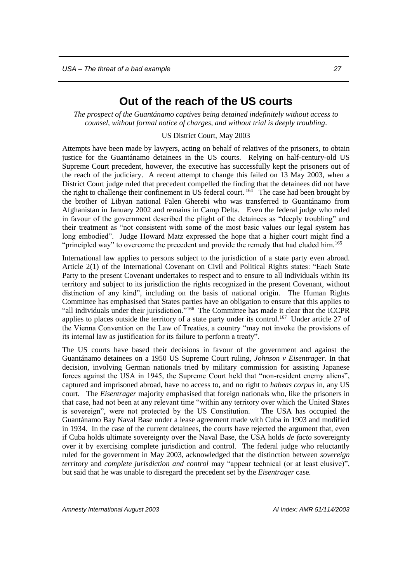## **Out of the reach of the US courts**

<span id="page-28-0"></span>*The prospect of the Guantánamo captives being detained indefinitely without access to counsel, without formal notice of charges, and without trial is deeply troubling*.

#### US District Court, May 2003

Attempts have been made by lawyers, acting on behalf of relatives of the prisoners, to obtain justice for the Guantánamo detainees in the US courts. Relying on half-century-old US Supreme Court precedent, however, the executive has successfully kept the prisoners out of the reach of the judiciary. A recent attempt to change this failed on 13 May 2003, when a District Court judge ruled that precedent compelled the finding that the detainees did not have the right to challenge their confinement in US federal court.<sup>164</sup> The case had been brought by the brother of Libyan national Falen Gherebi who was transferred to Guantánamo from Afghanistan in January 2002 and remains in Camp Delta. Even the federal judge who ruled in favour of the government described the plight of the detainees as "deeply troubling" and their treatment as "not consistent with some of the most basic values our legal system has long embodied". Judge Howard Matz expressed the hope that a higher court might find a "principled way" to overcome the precedent and provide the remedy that had eluded him.<sup>165</sup>

International law applies to persons subject to the jurisdiction of a state party even abroad. Article 2(1) of the International Covenant on Civil and Political Rights states: "Each State Party to the present Covenant undertakes to respect and to ensure to all individuals within its territory and subject to its jurisdiction the rights recognized in the present Covenant, without distinction of any kind", including on the basis of national origin. The Human Rights Committee has emphasised that States parties have an obligation to ensure that this applies to "all individuals under their jurisdiction."<sup>166</sup> The Committee has made it clear that the ICCPR applies to places outside the territory of a state party under its control.<sup>167</sup> Under article 27 of the Vienna Convention on the Law of Treaties, a country "may not invoke the provisions of its internal law as justification for its failure to perform a treaty".

The US courts have based their decisions in favour of the government and against the Guantánamo detainees on a 1950 US Supreme Court ruling, *Johnson v Eisentrager*. In that decision, involving German nationals tried by military commission for assisting Japanese forces against the USA in 1945, the Supreme Court held that "non-resident enemy aliens", captured and imprisoned abroad, have no access to, and no right to *habeas corpus* in, any US court. The *Eisentrager* majority emphasised that foreign nationals who, like the prisoners in that case, had not been at any relevant time "within any territory over which the United States is sovereign", were not protected by the US Constitution. The USA has occupied the Guantánamo Bay Naval Base under a lease agreement made with Cuba in 1903 and modified in 1934. In the case of the current detainees, the courts have rejected the argument that, even if Cuba holds ultimate sovereignty over the Naval Base, the USA holds *de facto* sovereignty over it by exercising complete jurisdiction and control. The federal judge who reluctantly ruled for the government in May 2003, acknowledged that the distinction between *sovereign territory* and *complete jurisdiction and control* may "appear technical (or at least elusive)", but said that he was unable to disregard the precedent set by the *Eisentrager* case.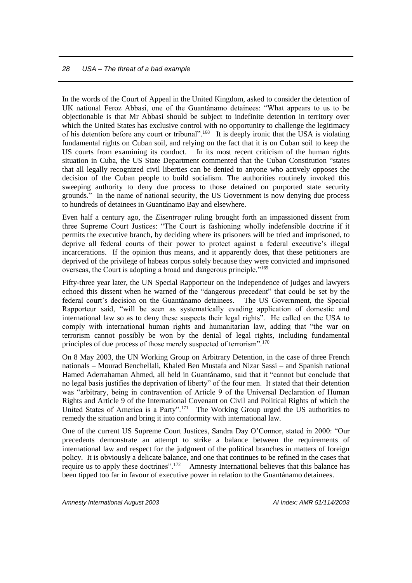In the words of the Court of Appeal in the United Kingdom, asked to consider the detention of UK national Feroz Abbasi, one of the Guantánamo detainees: "What appears to us to be objectionable is that Mr Abbasi should be subject to indefinite detention in territory over which the United States has exclusive control with no opportunity to challenge the legitimacy of his detention before any court or tribunal".<sup>168</sup> It is deeply ironic that the USA is violating fundamental rights on Cuban soil, and relying on the fact that it is on Cuban soil to keep the US courts from examining its conduct. In its most recent criticism of the human rights situation in Cuba, the US State Department commented that the Cuban Constitution "states that all legally recognized civil liberties can be denied to anyone who actively opposes the decision of the Cuban people to build socialism. The authorities routinely invoked this sweeping authority to deny due process to those detained on purported state security grounds." In the name of national security, the US Government is now denying due process to hundreds of detainees in Guantánamo Bay and elsewhere.

Even half a century ago, the *Eisentrager* ruling brought forth an impassioned dissent from three Supreme Court Justices: "The Court is fashioning wholly indefensible doctrine if it permits the executive branch, by deciding where its prisoners will be tried and imprisoned, to deprive all federal courts of their power to protect against a federal executive's illegal incarcerations. If the opinion thus means, and it apparently does, that these petitioners are deprived of the privilege of habeas corpus solely because they were convicted and imprisoned overseas, the Court is adopting a broad and dangerous principle."<sup>169</sup>

Fifty-three year later, the UN Special Rapporteur on the independence of judges and lawyers echoed this dissent when he warned of the "dangerous precedent" that could be set by the federal court's decision on the Guantánamo detainees. The US Government, the Special Rapporteur said, "will be seen as systematically evading application of domestic and international law so as to deny these suspects their legal rights". He called on the USA to comply with international human rights and humanitarian law, adding that "the war on terrorism cannot possibly be won by the denial of legal rights, including fundamental principles of due process of those merely suspected of terrorism".<sup>170</sup>

On 8 May 2003, the UN Working Group on Arbitrary Detention, in the case of three French nationals – Mourad Benchellali, Khaled Ben Mustafa and Nizar Sassi – and Spanish national Hamed Aderrahaman Ahmed, all held in Guantánamo, said that it "cannot but conclude that no legal basis justifies the deprivation of liberty" of the four men. It stated that their detention was "arbitrary, being in contravention of Article 9 of the Universal Declaration of Human Rights and Article 9 of the International Covenant on Civil and Political Rights of which the United States of America is a Party".<sup>171</sup> The Working Group urged the US authorities to remedy the situation and bring it into conformity with international law.

One of the current US Supreme Court Justices, Sandra Day O'Connor, stated in 2000: "Our precedents demonstrate an attempt to strike a balance between the requirements of international law and respect for the judgment of the political branches in matters of foreign policy. It is obviously a delicate balance, and one that continues to be refined in the cases that require us to apply these doctrines".<sup>172</sup> Amnesty International believes that this balance has been tipped too far in favour of executive power in relation to the Guantánamo detainees.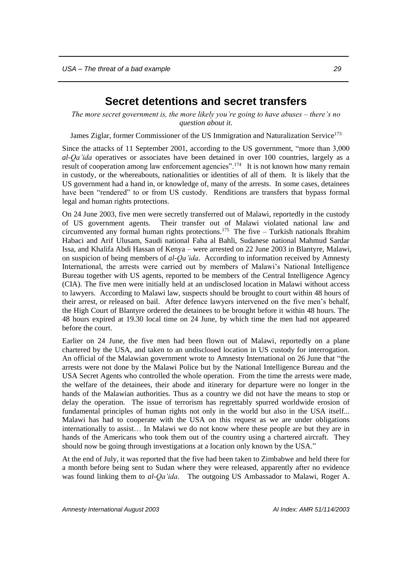## **Secret detentions and secret transfers**

<span id="page-30-0"></span>*The more secret government is, the more likely you're going to have abuses – there's no question about it*.

James Ziglar, former Commissioner of the US Immigration and Naturalization Service<sup>173</sup>

Since the attacks of 11 September 2001, according to the US government, "more than 3,000 *al-Qa'ida* operatives or associates have been detained in over 100 countries, largely as a result of cooperation among law enforcement agencies".<sup>174</sup> It is not known how many remain in custody, or the whereabouts, nationalities or identities of all of them. It is likely that the US government had a hand in, or knowledge of, many of the arrests. In some cases, detainees have been "rendered" to or from US custody. Renditions are transfers that bypass formal legal and human rights protections.

On 24 June 2003, five men were secretly transferred out of Malawi, reportedly in the custody of US government agents. Their transfer out of Malawi violated national law and circumvented any formal human rights protections.<sup>175</sup> The five  $-$  Turkish nationals Ibrahim Habaci and Arif Ulusam, Saudi national Faha al Bahli, Sudanese national Mahmud Sardar Issa, and Khalifa Abdi Hassan of Kenya – were arrested on 22 June 2003 in Blantyre, Malawi, on suspicion of being members of *al-Qa'ida*. According to information received by Amnesty International, the arrests were carried out by members of Malawi's National Intelligence Bureau together with US agents, reported to be members of the Central Intelligence Agency (CIA). The five men were initially held at an undisclosed location in Malawi without access to lawyers. According to Malawi law, suspects should be brought to court within 48 hours of their arrest, or released on bail. After defence lawyers intervened on the five men's behalf, the High Court of Blantyre ordered the detainees to be brought before it within 48 hours. The 48 hours expired at 19.30 local time on 24 June, by which time the men had not appeared before the court.

Earlier on 24 June, the five men had been flown out of Malawi, reportedly on a plane chartered by the USA, and taken to an undisclosed location in US custody for interrogation. An official of the Malawian government wrote to Amnesty International on 26 June that "the arrests were not done by the Malawi Police but by the National Intelligence Bureau and the USA Secret Agents who controlled the whole operation. From the time the arrests were made, the welfare of the detainees, their abode and itinerary for departure were no longer in the hands of the Malawian authorities. Thus as a country we did not have the means to stop or delay the operation. The issue of terrorism has regrettably spurred worldwide erosion of fundamental principles of human rights not only in the world but also in the USA itself... Malawi has had to cooperate with the USA on this request as we are under obligations internationally to assist… In Malawi we do not know where these people are but they are in hands of the Americans who took them out of the country using a chartered aircraft. They should now be going through investigations at a location only known by the USA."

At the end of July, it was reported that the five had been taken to Zimbabwe and held there for a month before being sent to Sudan where they were released, apparently after no evidence was found linking them to *al-Qa'ida*. The outgoing US Ambassador to Malawi, Roger A.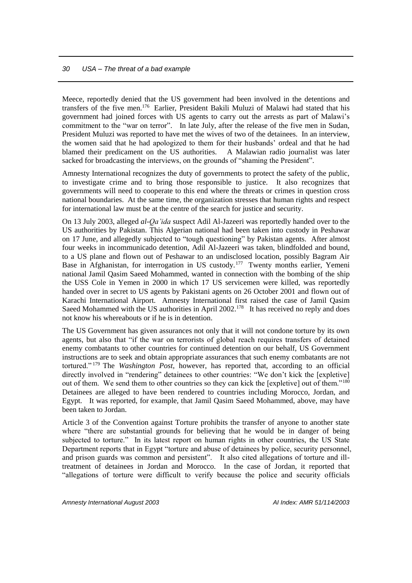Meece, reportedly denied that the US government had been involved in the detentions and transfers of the five men.<sup>176</sup> Earlier, President Bakili Muluzi of Malawi had stated that his government had joined forces with US agents to carry out the arrests as part of Malawi's commitment to the "war on terror". In late July, after the release of the five men in Sudan, President Muluzi was reported to have met the wives of two of the detainees. In an interview, the women said that he had apologized to them for their husbands' ordeal and that he had blamed their predicament on the US authorities. A Malawian radio journalist was later sacked for broadcasting the interviews, on the grounds of "shaming the President".

Amnesty International recognizes the duty of governments to protect the safety of the public, to investigate crime and to bring those responsible to justice. It also recognizes that governments will need to cooperate to this end where the threats or crimes in question cross national boundaries. At the same time, the organization stresses that human rights and respect for international law must be at the centre of the search for justice and security.

On 13 July 2003, alleged *al-Qa'ida* suspect Adil Al-Jazeeri was reportedly handed over to the US authorities by Pakistan. This Algerian national had been taken into custody in Peshawar on 17 June, and allegedly subjected to "tough questioning" by Pakistan agents. After almost four weeks in incommunicado detention, Adil Al-Jazeeri was taken, blindfolded and bound, to a US plane and flown out of Peshawar to an undisclosed location, possibly Bagram Air Base in Afghanistan, for interrogation in US custody.<sup>177</sup> Twenty months earlier, Yemeni national Jamil Qasim Saeed Mohammed, wanted in connection with the bombing of the ship the USS Cole in Yemen in 2000 in which 17 US servicemen were killed, was reportedly handed over in secret to US agents by Pakistani agents on 26 October 2001 and flown out of Karachi International Airport. Amnesty International first raised the case of Jamil Qasim Saeed Mohammed with the US authorities in April 2002.<sup>178</sup> It has received no reply and does not know his whereabouts or if he is in detention.

The US Government has given assurances not only that it will not condone torture by its own agents, but also that "if the war on terrorists of global reach requires transfers of detained enemy combatants to other countries for continued detention on our behalf, US Government instructions are to seek and obtain appropriate assurances that such enemy combatants are not tortured." <sup>179</sup> The *Washington Post*, however, has reported that, according to an official directly involved in "rendering" detainees to other countries: "We don't kick the [expletive] out of them. We send them to other countries so they can kick the [expletive] out of them."<sup>180</sup> Detainees are alleged to have been rendered to countries including Morocco, Jordan, and Egypt. It was reported, for example, that Jamil Qasim Saeed Mohammed, above, may have been taken to Jordan.

Article 3 of the Convention against Torture prohibits the transfer of anyone to another state where "there are substantial grounds for believing that he would be in danger of being subjected to torture." In its latest report on human rights in other countries, the US State Department reports that in Egypt "torture and abuse of detainees by police, security personnel, and prison guards was common and persistent". It also cited allegations of torture and illtreatment of detainees in Jordan and Morocco. In the case of Jordan, it reported that "allegations of torture were difficult to verify because the police and security officials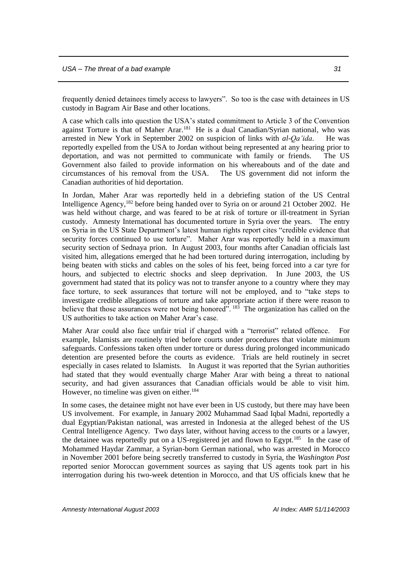frequently denied detainees timely access to lawyers". So too is the case with detainees in US custody in Bagram Air Base and other locations.

A case which calls into question the USA's stated commitment to Article 3 of the Convention against Torture is that of Maher Arar.<sup>181</sup> He is a dual Canadian/Syrian national, who was arrested in New York in September 2002 on suspicion of links with *al-Qa'ida*. He was reportedly expelled from the USA to Jordan without being represented at any hearing prior to deportation, and was not permitted to communicate with family or friends. The US Government also failed to provide information on his whereabouts and of the date and circumstances of his removal from the USA. The US government did not inform the Canadian authorities of hid deportation.

In Jordan, Maher Arar was reportedly held in a debriefing station of the US Central Intelligence Agency, <sup>182</sup> before being handed over to Syria on or around 21 October 2002. He was held without charge, and was feared to be at risk of torture or ill-treatment in Syrian custody. Amnesty International has documented torture in Syria over the years. The entry on Syria in the US State Department's latest human rights report cites "credible evidence that security forces continued to use torture". Maher Arar was reportedly held in a maximum security section of Sednaya prion. In August 2003, four months after Canadian officials last visited him, allegations emerged that he had been tortured during interrogation, including by being beaten with sticks and cables on the soles of his feet, being forced into a car tyre for hours, and subjected to electric shocks and sleep deprivation. In June 2003, the US government had stated that its policy was not to transfer anyone to a country where they may face torture, to seek assurances that torture will not be employed, and to "take steps to investigate credible allegations of torture and take appropriate action if there were reason to believe that those assurances were not being honored". <sup>183</sup> The organization has called on the US authorities to take action on Maher Arar's case.

Maher Arar could also face unfair trial if charged with a "terrorist" related offence. For example, Islamists are routinely tried before courts under procedures that violate minimum safeguards. Confessions taken often under torture or duress during prolonged incommunicado detention are presented before the courts as evidence. Trials are held routinely in secret especially in cases related to Islamists. In August it was reported that the Syrian authorities had stated that they would eventually charge Maher Arar with being a threat to national security, and had given assurances that Canadian officials would be able to visit him. However, no timeline was given on either.<sup>184</sup>

In some cases, the detainee might not have ever been in US custody, but there may have been US involvement. For example, in January 2002 Muhammad Saad Iqbal Madni, reportedly a dual Egyptian/Pakistan national, was arrested in Indonesia at the alleged behest of the US Central Intelligence Agency. Two days later, without having access to the courts or a lawyer, the detainee was reportedly put on a US-registered jet and flown to Egypt.<sup>185</sup> In the case of Mohammed Haydar Zammar, a Syrian-born German national, who was arrested in Morocco in November 2001 before being secretly transferred to custody in Syria, the *Washington Post* reported senior Moroccan government sources as saying that US agents took part in his interrogation during his two-week detention in Morocco, and that US officials knew that he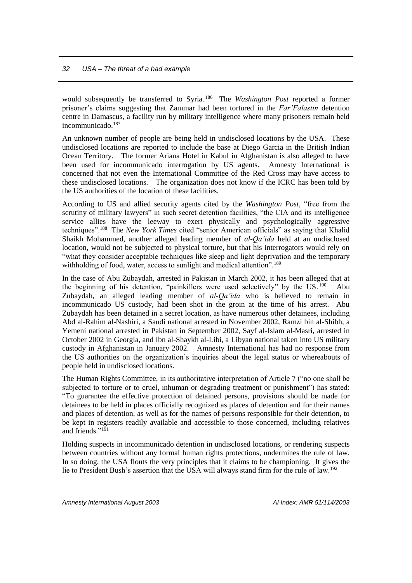would subsequently be transferred to Syria. <sup>186</sup> The *Washington Post* reported a former prisoner's claims suggesting that Zammar had been tortured in the *Far'Falastin* detention centre in Damascus, a facility run by military intelligence where many prisoners remain held incommunicado.<sup>187</sup>

An unknown number of people are being held in undisclosed locations by the USA. These undisclosed locations are reported to include the base at Diego Garcia in the British Indian Ocean Territory. The former Ariana Hotel in Kabul in Afghanistan is also alleged to have been used for incommunicado interrogation by US agents. Amnesty International is concerned that not even the International Committee of the Red Cross may have access to these undisclosed locations. The organization does not know if the ICRC has been told by the US authorities of the location of these facilities.

According to US and allied security agents cited by the *Washington Post*, "free from the scrutiny of military lawyers" in such secret detention facilities, "the CIA and its intelligence service allies have the leeway to exert physically and psychologically aggressive techniques".<sup>188</sup> The *New York Times* cited "senior American officials" as saying that Khalid Shaikh Mohammed, another alleged leading member of *al-Qa'ida* held at an undisclosed location, would not be subjected to physical torture, but that his interrogators would rely on "what they consider acceptable techniques like sleep and light deprivation and the temporary withholding of food, water, access to sunlight and medical attention".<sup>189</sup>

In the case of Abu Zubaydah, arrested in Pakistan in March 2002, it has been alleged that at the beginning of his detention, "painkillers were used selectively" by the US.<sup>190</sup> Abu Zubaydah, an alleged leading member of *al-Qa'ida* who is believed to remain in incommunicado US custody, had been shot in the groin at the time of his arrest. Abu Zubaydah has been detained in a secret location, as have numerous other detainees, including Abd al-Rahim al-Nashiri, a Saudi national arrested in November 2002, Ramzi bin al-Shibh, a Yemeni national arrested in Pakistan in September 2002, Sayf al-Islam al-Masri, arrested in October 2002 in Georgia, and Ibn al-Shaykh al-Libi, a Libyan national taken into US military custody in Afghanistan in January 2002. Amnesty International has had no response from the US authorities on the organization's inquiries about the legal status or whereabouts of people held in undisclosed locations.

The Human Rights Committee, in its authoritative interpretation of Article 7 ("no one shall be subjected to torture or to cruel, inhuman or degrading treatment or punishment") has stated: "To guarantee the effective protection of detained persons, provisions should be made for detainees to be held in places officially recognized as places of detention and for their names and places of detention, as well as for the names of persons responsible for their detention, to be kept in registers readily available and accessible to those concerned, including relatives and friends." 191

Holding suspects in incommunicado detention in undisclosed locations, or rendering suspects between countries without any formal human rights protections, undermines the rule of law. In so doing, the USA flouts the very principles that it claims to be championing. It gives the lie to President Bush's assertion that the USA will always stand firm for the rule of law.<sup>192</sup>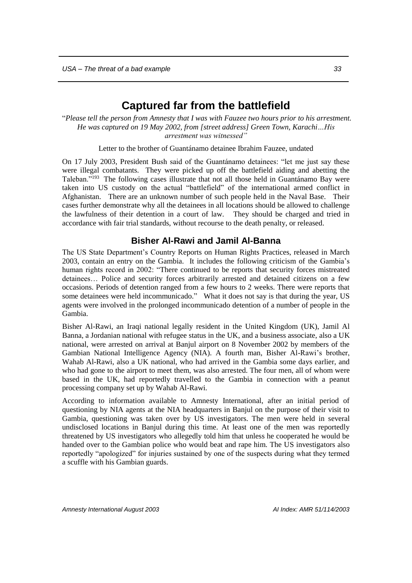## **Captured far from the battlefield**

<span id="page-34-0"></span>"*Please tell the person from Amnesty that I was with Fauzee two hours prior to his arrestment. He was captured on 19 May 2002, from [street address] Green Town, Karachi…His arrestment was witnessed"* 

Letter to the brother of Guantánamo detainee Ibrahim Fauzee, undated

On 17 July 2003, President Bush said of the Guantánamo detainees: "let me just say these were illegal combatants. They were picked up off the battlefield aiding and abetting the Taleban."<sup>193</sup> The following cases illustrate that not all those held in Guantánamo Bay were taken into US custody on the actual "battlefield" of the international armed conflict in Afghanistan. There are an unknown number of such people held in the Naval Base. Their cases further demonstrate why all the detainees in all locations should be allowed to challenge the lawfulness of their detention in a court of law. They should be charged and tried in accordance with fair trial standards, without recourse to the death penalty, or released.

#### **Bisher Al-Rawi and Jamil Al-Banna**

<span id="page-34-1"></span>The US State Department's Country Reports on Human Rights Practices, released in March 2003, contain an entry on the Gambia. It includes the following criticism of the Gambia's human rights record in 2002: "There continued to be reports that security forces mistreated detainees… Police and security forces arbitrarily arrested and detained citizens on a few occasions. Periods of detention ranged from a few hours to 2 weeks. There were reports that some detainees were held incommunicado." What it does not say is that during the year, US agents were involved in the prolonged incommunicado detention of a number of people in the Gambia.

Bisher Al-Rawi, an Iraqi national legally resident in the United Kingdom (UK), Jamil Al Banna, a Jordanian national with refugee status in the UK, and a business associate, also a UK national, were arrested on arrival at Banjul airport on 8 November 2002 by members of the Gambian National Intelligence Agency (NIA). A fourth man, Bisher Al-Rawi's brother, Wahab Al-Rawi, also a UK national, who had arrived in the Gambia some days earlier, and who had gone to the airport to meet them, was also arrested. The four men, all of whom were based in the UK, had reportedly travelled to the Gambia in connection with a peanut processing company set up by Wahab Al-Rawi.

According to information available to Amnesty International, after an initial period of questioning by NIA agents at the NIA headquarters in Banjul on the purpose of their visit to Gambia, questioning was taken over by US investigators. The men were held in several undisclosed locations in Banjul during this time. At least one of the men was reportedly threatened by US investigators who allegedly told him that unless he cooperated he would be handed over to the Gambian police who would beat and rape him. The US investigators also reportedly "apologized" for injuries sustained by one of the suspects during what they termed a scuffle with his Gambian guards.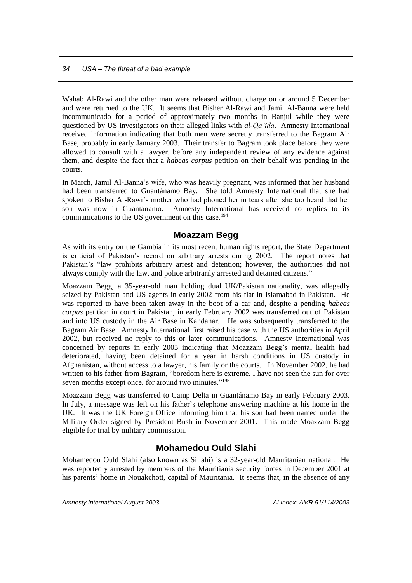Wahab Al-Rawi and the other man were released without charge on or around 5 December and were returned to the UK. It seems that Bisher Al-Rawi and Jamil Al-Banna were held incommunicado for a period of approximately two months in Banjul while they were questioned by US investigators on their alleged links with *al-Qa'ida*. Amnesty International received information indicating that both men were secretly transferred to the Bagram Air Base, probably in early January 2003. Their transfer to Bagram took place before they were allowed to consult with a lawyer, before any independent review of any evidence against them, and despite the fact that a *habeas corpus* petition on their behalf was pending in the courts.

In March, Jamil Al-Banna's wife, who was heavily pregnant, was informed that her husband had been transferred to Guantánamo Bay. She told Amnesty International that she had spoken to Bisher Al-Rawi's mother who had phoned her in tears after she too heard that her son was now in Guantánamo. Amnesty International has received no replies to its communications to the US government on this case.<sup>194</sup>

#### **Moazzam Begg**

<span id="page-35-0"></span>As with its entry on the Gambia in its most recent human rights report, the State Department is criticial of Pakistan's record on arbitrary arrests during 2002. The report notes that Pakistan's "law prohibits arbitrary arrest and detention; however, the authorities did not always comply with the law, and police arbitrarily arrested and detained citizens."

Moazzam Begg, a 35-year-old man holding dual UK/Pakistan nationality, was allegedly seized by Pakistan and US agents in early 2002 from his flat in Islamabad in Pakistan. He was reported to have been taken away in the boot of a car and, despite a pending *habeas corpus* petition in court in Pakistan, in early February 2002 was transferred out of Pakistan and into US custody in the Air Base in Kandahar. He was subsequently transferred to the Bagram Air Base. Amnesty International first raised his case with the US authorities in April 2002, but received no reply to this or later communications. Amnesty International was concerned by reports in early 2003 indicating that Moazzam Begg's mental health had deteriorated, having been detained for a year in harsh conditions in US custody in Afghanistan, without access to a lawyer, his family or the courts. In November 2002, he had written to his father from Bagram, "boredom here is extreme. I have not seen the sun for over seven months except once, for around two minutes."<sup>195</sup>

Moazzam Begg was transferred to Camp Delta in Guantánamo Bay in early February 2003. In July, a message was left on his father's telephone answering machine at his home in the UK. It was the UK Foreign Office informing him that his son had been named under the Military Order signed by President Bush in November 2001. This made Moazzam Begg eligible for trial by military commission.

#### **Mohamedou Ould Slahi**

<span id="page-35-1"></span>Mohamedou Ould Slahi (also known as Sillahi) is a 32-year-old Mauritanian national. He was reportedly arrested by members of the Mauritiania security forces in December 2001 at his parents' home in Nouakchott, capital of Mauritania. It seems that, in the absence of any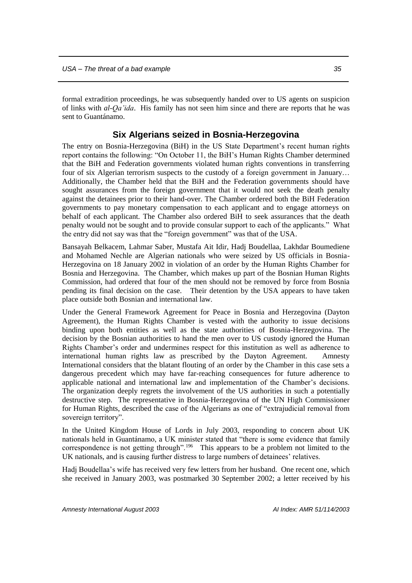formal extradition proceedings, he was subsequently handed over to US agents on suspicion of links with *al-Qa'ida*. His family has not seen him since and there are reports that he was sent to Guantánamo.

#### **Six Algerians seized in Bosnia-Herzegovina**

<span id="page-36-0"></span>The entry on Bosnia-Herzegovina (BiH) in the US State Department's recent human rights report contains the following: "On October 11, the BiH's Human Rights Chamber determined that the BiH and Federation governments violated human rights conventions in transferring four of six Algerian terrorism suspects to the custody of a foreign government in January... Additionally, the Chamber held that the BiH and the Federation governments should have sought assurances from the foreign government that it would not seek the death penalty against the detainees prior to their hand-over. The Chamber ordered both the BiH Federation governments to pay monetary compensation to each applicant and to engage attorneys on behalf of each applicant. The Chamber also ordered BiH to seek assurances that the death penalty would not be sought and to provide consular support to each of the applicants." What the entry did not say was that the "foreign government" was that of the USA.

Bansayah Belkacem, Lahmar Saber, Mustafa Ait Idir, Hadj Boudellaa, Lakhdar Boumediene and Mohamed Nechle are Algerian nationals who were seized by US officials in Bosnia-Herzegovina on 18 January 2002 in violation of an order by the Human Rights Chamber for Bosnia and Herzegovina. The Chamber, which makes up part of the Bosnian Human Rights Commission, had ordered that four of the men should not be removed by force from Bosnia pending its final decision on the case. Their detention by the USA appears to have taken place outside both Bosnian and international law.

Under the General Framework Agreement for Peace in Bosnia and Herzegovina (Dayton Agreement), the Human Rights Chamber is vested with the authority to issue decisions binding upon both entities as well as the state authorities of Bosnia-Herzegovina. The decision by the Bosnian authorities to hand the men over to US custody ignored the Human Rights Chamber's order and undermines respect for this institution as well as adherence to international human rights law as prescribed by the Dayton Agreement. Amnesty International considers that the blatant flouting of an order by the Chamber in this case sets a dangerous precedent which may have far-reaching consequences for future adherence to applicable national and international law and implementation of the Chamber's decisions. The organization deeply regrets the involvement of the US authorities in such a potentially destructive step. The representative in Bosnia-Herzegovina of the UN High Commissioner for Human Rights, described the case of the Algerians as one of "extrajudicial removal from sovereign territory".

In the United Kingdom House of Lords in July 2003, responding to concern about UK nationals held in Guantánamo, a UK minister stated that "there is some evidence that family correspondence is not getting through".<sup>196</sup> This appears to be a problem not limited to the UK nationals, and is causing further distress to large numbers of detainees' relatives.

Hadj Boudellaa's wife has received very few letters from her husband. One recent one, which she received in January 2003, was postmarked 30 September 2002; a letter received by his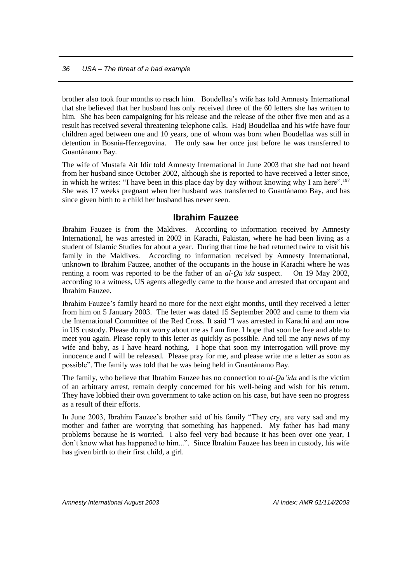brother also took four months to reach him. Boudellaa's wife has told Amnesty International that she believed that her husband has only received three of the 60 letters she has written to him. She has been campaigning for his release and the release of the other five men and as a result has received several threatening telephone calls. Hadj Boudellaa and his wife have four children aged between one and 10 years, one of whom was born when Boudellaa was still in detention in Bosnia-Herzegovina. He only saw her once just before he was transferred to Guantánamo Bay.

The wife of Mustafa Ait Idir told Amnesty International in June 2003 that she had not heard from her husband since October 2002, although she is reported to have received a letter since, in which he writes: "I have been in this place day by day without knowing why I am here".<sup>197</sup> She was 17 weeks pregnant when her husband was transferred to Guantánamo Bay, and has since given birth to a child her husband has never seen.

#### **Ibrahim Fauzee**

<span id="page-37-0"></span>Ibrahim Fauzee is from the Maldives. According to information received by Amnesty International, he was arrested in 2002 in Karachi, Pakistan, where he had been living as a student of Islamic Studies for about a year. During that time he had returned twice to visit his family in the Maldives. According to information received by Amnesty International, unknown to Ibrahim Fauzee, another of the occupants in the house in Karachi where he was renting a room was reported to be the father of an *al-Qa'ida* suspect. On 19 May 2002, according to a witness, US agents allegedly came to the house and arrested that occupant and Ibrahim Fauzee.

Ibrahim Fauzee's family heard no more for the next eight months, until they received a letter from him on 5 January 2003. The letter was dated 15 September 2002 and came to them via the International Committee of the Red Cross. It said "I was arrested in Karachi and am now in US custody. Please do not worry about me as I am fine. I hope that soon be free and able to meet you again. Please reply to this letter as quickly as possible. And tell me any news of my wife and baby, as I have heard nothing. I hope that soon my interrogation will prove my innocence and I will be released. Please pray for me, and please write me a letter as soon as possible". The family was told that he was being held in Guantánamo Bay.

The family, who believe that Ibrahim Fauzee has no connection to *al-Qa'ida* and is the victim of an arbitrary arrest, remain deeply concerned for his well-being and wish for his return. They have lobbied their own government to take action on his case, but have seen no progress as a result of their efforts.

In June 2003, Ibrahim Fauzee's brother said of his family "They cry, are very sad and my mother and father are worrying that something has happened. My father has had many problems because he is worried. I also feel very bad because it has been over one year, I don't know what has happened to him...". Since Ibrahim Fauzee has been in custody, his wife has given birth to their first child, a girl.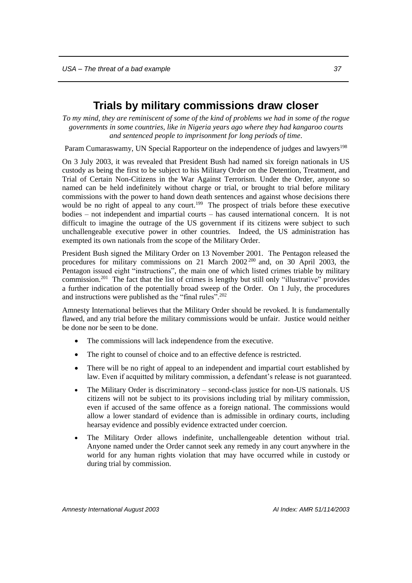## **Trials by military commissions draw closer**

<span id="page-38-0"></span>*To my mind, they are reminiscent of some of the kind of problems we had in some of the rogue governments in some countries, like in Nigeria years ago where they had kangaroo courts and sentenced people to imprisonment for long periods of time*.

Param Cumaraswamy, UN Special Rapporteur on the independence of judges and lawyers<sup>198</sup>

On 3 July 2003, it was revealed that President Bush had named six foreign nationals in US custody as being the first to be subject to his Military Order on the Detention, Treatment, and Trial of Certain Non-Citizens in the War Against Terrorism. Under the Order, anyone so named can be held indefinitely without charge or trial, or brought to trial before military commissions with the power to hand down death sentences and against whose decisions there would be no right of appeal to any court.<sup>199</sup> The prospect of trials before these executive bodies – not independent and impartial courts – has caused international concern. It is not difficult to imagine the outrage of the US government if its citizens were subject to such unchallengeable executive power in other countries. Indeed, the US administration has exempted its own nationals from the scope of the Military Order.

President Bush signed the Military Order on 13 November 2001. The Pentagon released the procedures for military commissions on 21 March 2002 <sup>200</sup> and, on 30 April 2003, the Pentagon issued eight "instructions", the main one of which listed crimes triable by military commission. <sup>201</sup> The fact that the list of crimes is lengthy but still only "illustrative" provides a further indication of the potentially broad sweep of the Order. On 1 July, the procedures and instructions were published as the "final rules".<sup>202</sup>

Amnesty International believes that the Military Order should be revoked. It is fundamentally flawed, and any trial before the military commissions would be unfair. Justice would neither be done nor be seen to be done.

- The commissions will lack independence from the executive.
- The right to counsel of choice and to an effective defence is restricted.
- There will be no right of appeal to an independent and impartial court established by law. Even if acquitted by military commission, a defendant's release is not guaranteed.
- The Military Order is discriminatory second-class justice for non-US nationals. US citizens will not be subject to its provisions including trial by military commission, even if accused of the same offence as a foreign national. The commissions would allow a lower standard of evidence than is admissible in ordinary courts, including hearsay evidence and possibly evidence extracted under coercion.
- The Military Order allows indefinite, unchallengeable detention without trial. Anyone named under the Order cannot seek any remedy in any court anywhere in the world for any human rights violation that may have occurred while in custody or during trial by commission.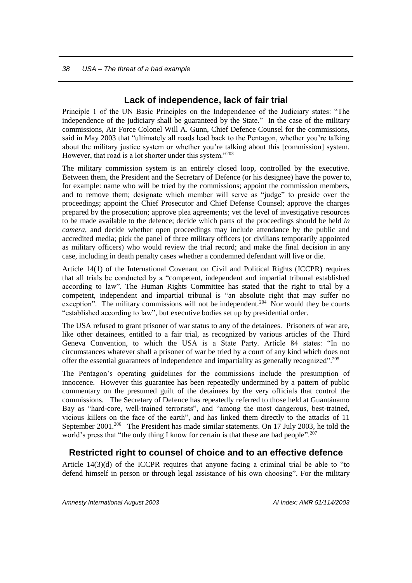#### **Lack of independence, lack of fair trial**

<span id="page-39-0"></span>Principle 1 of the UN Basic Principles on the Independence of the Judiciary states: "The independence of the judiciary shall be guaranteed by the State." In the case of the military commissions, Air Force Colonel Will A. Gunn, Chief Defence Counsel for the commissions, said in May 2003 that "ultimately all roads lead back to the Pentagon, whether you're talking about the military justice system or whether you're talking about this [commission] system. However, that road is a lot shorter under this system."<sup>203</sup>

The military commission system is an entirely closed loop, controlled by the executive. Between them, the President and the Secretary of Defence (or his designee) have the power to, for example: name who will be tried by the commissions; appoint the commission members, and to remove them; designate which member will serve as "judge" to preside over the proceedings; appoint the Chief Prosecutor and Chief Defense Counsel; approve the charges prepared by the prosecution; approve plea agreements; vet the level of investigative resources to be made available to the defence; decide which parts of the proceedings should be held *in camera*, and decide whether open proceedings may include attendance by the public and accredited media; pick the panel of three military officers (or civilians temporarily appointed as military officers) who would review the trial record; and make the final decision in any case, including in death penalty cases whether a condemned defendant will live or die.

Article 14(1) of the International Covenant on Civil and Political Rights (ICCPR) requires that all trials be conducted by a "competent, independent and impartial tribunal established according to law". The Human Rights Committee has stated that the right to trial by a competent, independent and impartial tribunal is "an absolute right that may suffer no exception". The military commissions will not be independent.<sup>204</sup> Nor would they be courts "established according to law", but executive bodies set up by presidential order.

The USA refused to grant prisoner of war status to any of the detainees. Prisoners of war are, like other detainees, entitled to a fair trial, as recognized by various articles of the Third Geneva Convention, to which the USA is a State Party. Article 84 states: "In no circumstances whatever shall a prisoner of war be tried by a court of any kind which does not offer the essential guarantees of independence and impartiality as generally recognized".<sup>205</sup>

The Pentagon's operating guidelines for the commissions include the presumption of innocence. However this guarantee has been repeatedly undermined by a pattern of public commentary on the presumed guilt of the detainees by the very officials that control the commissions. The Secretary of Defence has repeatedly referred to those held at Guantánamo Bay as "hard-core, well-trained terrorists", and "among the most dangerous, best-trained, vicious killers on the face of the earth", and has linked them directly to the attacks of 11 September 2001.<sup>206</sup> The President has made similar statements. On 17 July 2003, he told the world's press that "the only thing I know for certain is that these are bad people".<sup>207</sup>

### <span id="page-39-1"></span>**Restricted right to counsel of choice and to an effective defence**

Article 14(3)(d) of the ICCPR requires that anyone facing a criminal trial be able to "to defend himself in person or through legal assistance of his own choosing". For the military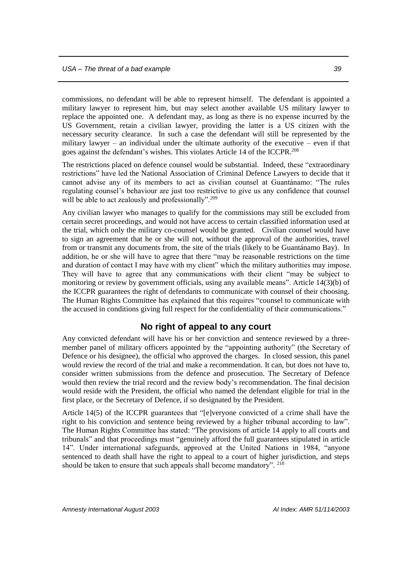commissions, no defendant will be able to represent himself. The defendant is appointed a military lawyer to represent him, but may select another available US military lawyer to replace the appointed one. A defendant may, as long as there is no expense incurred by the US Government, retain a civilian lawyer, providing the latter is a US citizen with the necessary security clearance. In such a case the defendant will still be represented by the military lawyer – an individual under the ultimate authority of the executive – even if that goes against the defendant's wishes. This violates Article 14 of the ICCPR.<sup>208</sup>

The restrictions placed on defence counsel would be substantial. Indeed, these "extraordinary restrictions" have led the National Association of Criminal Defence Lawyers to decide that it cannot advise any of its members to act as civilian counsel at Guantánamo: "The rules regulating counsel's behaviour are just too restrictive to give us any confidence that counsel will be able to act zealously and professionally".<sup>209</sup>

Any civilian lawyer who manages to qualify for the commissions may still be excluded from certain secret proceedings, and would not have access to certain classified information used at the trial, which only the military co-counsel would be granted. Civilian counsel would have to sign an agreement that he or she will not, without the approval of the authorities, travel from or transmit any documents from, the site of the trials (likely to be Guantánamo Bay). In addition, he or she will have to agree that there "may be reasonable restrictions on the time and duration of contact I may have with my client" which the military authorities may impose. They will have to agree that any communications with their client "may be subject to monitoring or review by government officials, using any available means". Article 14(3)(b) of the ICCPR guarantees the right of defendants to communicate with counsel of their choosing. The Human Rights Committee has explained that this requires "counsel to communicate with the accused in conditions giving full respect for the confidentiality of their communications."

#### **No right of appeal to any court**

<span id="page-40-0"></span>Any convicted defendant will have his or her conviction and sentence reviewed by a threemember panel of military officers appointed by the "appointing authority" (the Secretary of Defence or his designee), the official who approved the charges. In closed session, this panel would review the record of the trial and make a recommendation. It can, but does not have to, consider written submissions from the defence and prosecution. The Secretary of Defence would then review the trial record and the review body's recommendation. The final decision would reside with the President, the official who named the defendant eligible for trial in the first place, or the Secretary of Defence, if so designated by the President.

Article 14(5) of the ICCPR guarantees that "[e]veryone convicted of a crime shall have the right to his conviction and sentence being reviewed by a higher tribunal according to law". The Human Rights Committee has stated: "The provisions of article 14 apply to all courts and tribunals" and that proceedings must "genuinely afford the full guarantees stipulated in article 14". Under international safeguards, approved at the United Nations in 1984, "anyone sentenced to death shall have the right to appeal to a court of higher jurisdiction, and steps should be taken to ensure that such appeals shall become mandatory". 210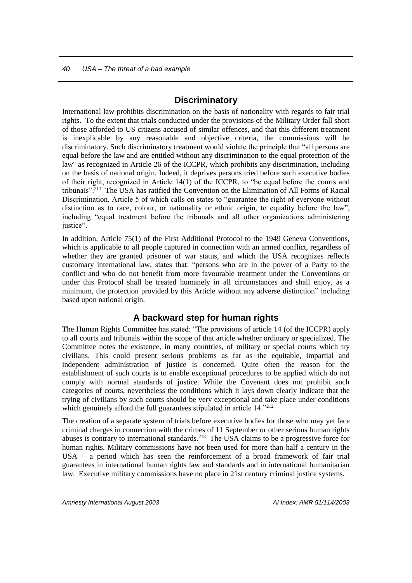#### **Discriminatory**

<span id="page-41-0"></span>International law prohibits discrimination on the basis of nationality with regards to fair trial rights. To the extent that trials conducted under the provisions of the Military Order fall short of those afforded to US citizens accused of similar offences, and that this different treatment is inexplicable by any reasonable and objective criteria, the commissions will be discriminatory. Such discriminatory treatment would violate the principle that "all persons are equal before the law and are entitled without any discrimination to the equal protection of the law'' as recognized in Article 26 of the ICCPR, which prohibits any discrimination, including on the basis of national origin. Indeed, it deprives persons tried before such executive bodies of their right, recognized in Article 14(1) of the ICCPR, to "be equal before the courts and tribunals".<sup>211</sup> The USA has ratified the Convention on the Elimination of All Forms of Racial Discrimination, Article 5 of which calls on states to "guarantee the right of everyone without distinction as to race, colour, or nationality or ethnic origin, to equality before the law", including "equal treatment before the tribunals and all other organizations administering iustice"

In addition, Article 75(1) of the First Additional Protocol to the 1949 Geneva Conventions, which is applicable to all people captured in connection with an armed conflict, regardless of whether they are granted prisoner of war status, and which the USA recognizes reflects customary international law, states that: "persons who are in the power of a Party to the conflict and who do not benefit from more favourable treatment under the Conventions or under this Protocol shall be treated humanely in all circumstances and shall enjoy, as a minimum, the protection provided by this Article without any adverse distinction" including based upon national origin.

#### **A backward step for human rights**

<span id="page-41-1"></span>The Human Rights Committee has stated: "The provisions of article 14 (of the ICCPR) apply to all courts and tribunals within the scope of that article whether ordinary or specialized. The Committee notes the existence, in many countries, of military or special courts which try civilians. This could present serious problems as far as the equitable, impartial and independent administration of justice is concerned. Quite often the reason for the establishment of such courts is to enable exceptional procedures to be applied which do not comply with normal standards of justice. While the Covenant does not prohibit such categories of courts, nevertheless the conditions which it lays down clearly indicate that the trying of civilians by such courts should be very exceptional and take place under conditions which genuinely afford the full guarantees stipulated in article 14.<sup>"212</sup>

The creation of a separate system of trials before executive bodies for those who may yet face criminal charges in connection with the crimes of 11 September or other serious human rights abuses is contrary to international standards.<sup>213</sup> The USA claims to be a progressive force for human rights. Military commissions have not been used for more than half a century in the USA – a period which has seen the reinforcement of a broad framework of fair trial guarantees in international human rights law and standards and in international humanitarian law. Executive military commissions have no place in 21st century criminal justice systems.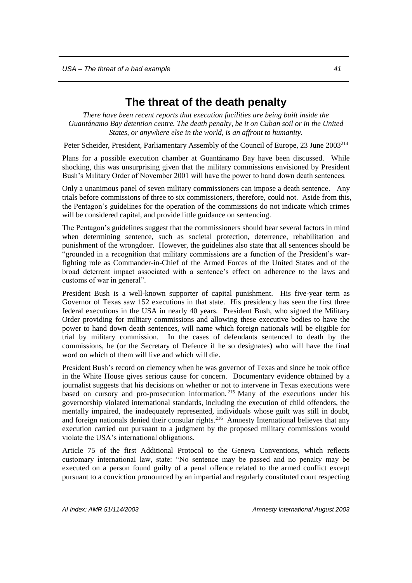## **The threat of the death penalty**

<span id="page-42-0"></span>*There have been recent reports that execution facilities are being built inside the Guantánamo Bay detention centre. The death penalty, be it on Cuban soil or in the United States, or anywhere else in the world, is an affront to humanity.* 

Peter Scheider, President, Parliamentary Assembly of the Council of Europe, 23 June 2003<sup>214</sup>

Plans for a possible execution chamber at Guantánamo Bay have been discussed. While shocking, this was unsurprising given that the military commissions envisioned by President Bush's Military Order of November 2001 will have the power to hand down death sentences.

Only a unanimous panel of seven military commissioners can impose a death sentence. Any trials before commissions of three to six commissioners, therefore, could not. Aside from this, the Pentagon's guidelines for the operation of the commissions do not indicate which crimes will be considered capital, and provide little guidance on sentencing.

The Pentagon's guidelines suggest that the commissioners should bear several factors in mind when determining sentence, such as societal protection, deterrence, rehabilitation and punishment of the wrongdoer. However, the guidelines also state that all sentences should be "grounded in a recognition that military commissions are a function of the President's warfighting role as Commander-in-Chief of the Armed Forces of the United States and of the broad deterrent impact associated with a sentence's effect on adherence to the laws and customs of war in general".

President Bush is a well-known supporter of capital punishment. His five-year term as Governor of Texas saw 152 executions in that state. His presidency has seen the first three federal executions in the USA in nearly 40 years. President Bush, who signed the Military Order providing for military commissions and allowing these executive bodies to have the power to hand down death sentences, will name which foreign nationals will be eligible for trial by military commission. In the cases of defendants sentenced to death by the commissions, he (or the Secretary of Defence if he so designates) who will have the final word on which of them will live and which will die.

President Bush's record on clemency when he was governor of Texas and since he took office in the White House gives serious cause for concern. Documentary evidence obtained by a journalist suggests that his decisions on whether or not to intervene in Texas executions were based on cursory and pro-prosecution information. <sup>215</sup> Many of the executions under his governorship violated international standards, including the execution of child offenders, the mentally impaired, the inadequately represented, individuals whose guilt was still in doubt, and foreign nationals denied their consular rights.<sup>216</sup> Amnesty International believes that any execution carried out pursuant to a judgment by the proposed military commissions would violate the USA's international obligations.

Article 75 of the first Additional Protocol to the Geneva Conventions, which reflects customary international law, state: "No sentence may be passed and no penalty may be executed on a person found guilty of a penal offence related to the armed conflict except pursuant to a conviction pronounced by an impartial and regularly constituted court respecting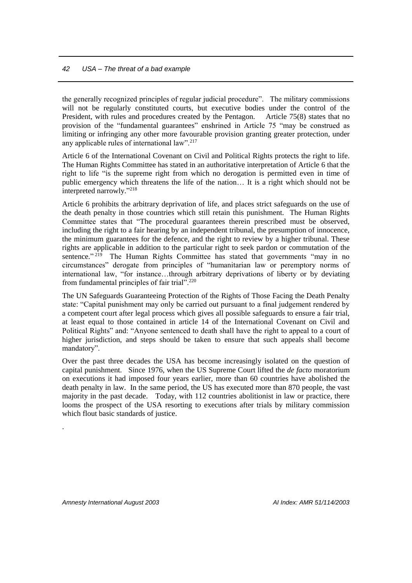the generally recognized principles of regular judicial procedure". The military commissions will not be regularly constituted courts, but executive bodies under the control of the President, with rules and procedures created by the Pentagon. Article 75(8) states that no provision of the "fundamental guarantees" enshrined in Article 75 "may be construed as limiting or infringing any other more favourable provision granting greater protection, under any applicable rules of international law".<sup>217</sup>

Article 6 of the International Covenant on Civil and Political Rights protects the right to life. The Human Rights Committee has stated in an authoritative interpretation of Article 6 that the right to life "is the supreme right from which no derogation is permitted even in time of public emergency which threatens the life of the nation… It is a right which should not be interpreted narrowly." 218

Article 6 prohibits the arbitrary deprivation of life, and places strict safeguards on the use of the death penalty in those countries which still retain this punishment. The Human Rights Committee states that "The procedural guarantees therein prescribed must be observed, including the right to a fair hearing by an independent tribunal, the presumption of innocence, the minimum guarantees for the defence, and the right to review by a higher tribunal. These rights are applicable in addition to the particular right to seek pardon or commutation of the sentence."<sup>219</sup> The Human Rights Committee has stated that governments "may in no circumstances" derogate from principles of "humanitarian law or peremptory norms of international law, "for instance…through arbitrary deprivations of liberty or by deviating from fundamental principles of fair trial".<sup>220</sup>

The UN Safeguards Guaranteeing Protection of the Rights of Those Facing the Death Penalty state: "Capital punishment may only be carried out pursuant to a final judgement rendered by a competent court after legal process which gives all possible safeguards to ensure a fair trial, at least equal to those contained in article 14 of the International Covenant on Civil and Political Rights" and: "Anyone sentenced to death shall have the right to appeal to a court of higher jurisdiction, and steps should be taken to ensure that such appeals shall become mandatory".

Over the past three decades the USA has become increasingly isolated on the question of capital punishment. Since 1976, when the US Supreme Court lifted the *de facto* moratorium on executions it had imposed four years earlier, more than 60 countries have abolished the death penalty in law. In the same period, the US has executed more than 870 people, the vast majority in the past decade. Today, with 112 countries abolitionist in law or practice, there looms the prospect of the USA resorting to executions after trials by military commission which flout basic standards of justice.

.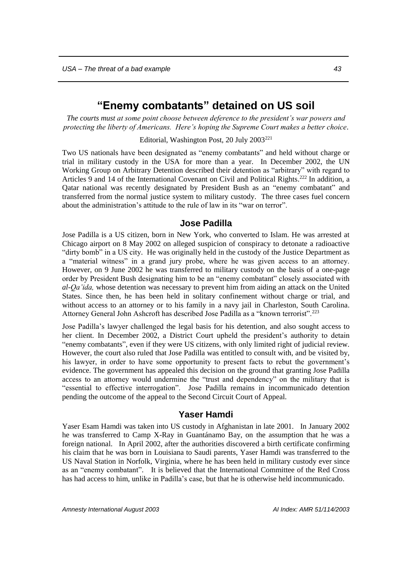## **"Enemy combatants" detained on US soil**

<span id="page-44-0"></span>*The courts must at some point choose between deference to the president's war powers and protecting the liberty of Americans. Here's hoping the Supreme Court makes a better choice*.

Editorial, Washington Post, 20 July 2003<sup>221</sup>

Two US nationals have been designated as "enemy combatants" and held without charge or trial in military custody in the USA for more than a year. In December 2002, the UN Working Group on Arbitrary Detention described their detention as "arbitrary" with regard to Articles 9 and 14 of the International Covenant on Civil and Political Rights.<sup>222</sup> In addition, a Qatar national was recently designated by President Bush as an "enemy combatant" and transferred from the normal justice system to military custody. The three cases fuel concern about the administration's attitude to the rule of law in its "war on terror".

#### **Jose Padilla**

<span id="page-44-1"></span>Jose Padilla is a US citizen, born in New York, who converted to Islam. He was arrested at Chicago airport on 8 May 2002 on alleged suspicion of conspiracy to detonate a radioactive "dirty bomb" in a US city. He was originally held in the custody of the Justice Department as a "material witness" in a grand jury probe, where he was given access to an attorney. However, on 9 June 2002 he was transferred to military custody on the basis of a one-page order by President Bush designating him to be an "enemy combatant" closely associated with *al-Qa'ida,* whose detention was necessary to prevent him from aiding an attack on the United States. Since then, he has been held in solitary confinement without charge or trial, and without access to an attorney or to his family in a navy jail in Charleston, South Carolina. Attorney General John Ashcroft has described Jose Padilla as a "known terrorist".<sup>223</sup>

Jose Padilla's lawyer challenged the legal basis for his detention, and also sought access to her client. In December 2002, a District Court upheld the president's authority to detain "enemy combatants", even if they were US citizens, with only limited right of judicial review. However, the court also ruled that Jose Padilla was entitled to consult with, and be visited by, his lawyer, in order to have some opportunity to present facts to rebut the government's evidence. The government has appealed this decision on the ground that granting Jose Padilla access to an attorney would undermine the "trust and dependency" on the military that is "essential to effective interrogation". Jose Padilla remains in incommunicado detention pending the outcome of the appeal to the Second Circuit Court of Appeal.

#### **Yaser Hamdi**

<span id="page-44-2"></span>Yaser Esam Hamdi was taken into US custody in Afghanistan in late 2001. In January 2002 he was transferred to Camp X-Ray in Guantánamo Bay, on the assumption that he was a foreign national. In April 2002, after the authorities discovered a birth certificate confirming his claim that he was born in Louisiana to Saudi parents, Yaser Hamdi was transferred to the US Naval Station in Norfolk, Virginia, where he has been held in military custody ever since as an "enemy combatant". It is believed that the International Committee of the Red Cross has had access to him, unlike in Padilla's case, but that he is otherwise held incommunicado.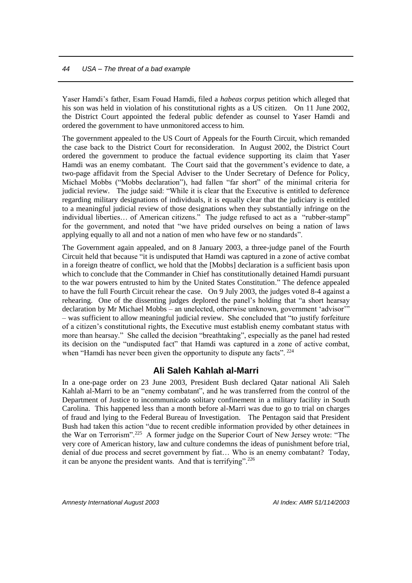Yaser Hamdi's father, Esam Fouad Hamdi, filed a *habeas corpus* petition which alleged that his son was held in violation of his constitutional rights as a US citizen. On 11 June 2002, the District Court appointed the federal public defender as counsel to Yaser Hamdi and ordered the government to have unmonitored access to him.

The government appealed to the US Court of Appeals for the Fourth Circuit, which remanded the case back to the District Court for reconsideration. In August 2002, the District Court ordered the government to produce the factual evidence supporting its claim that Yaser Hamdi was an enemy combatant. The Court said that the government's evidence to date, a two-page affidavit from the Special Adviser to the Under Secretary of Defence for Policy, Michael Mobbs ("Mobbs declaration"), had fallen "far short" of the minimal criteria for judicial review. The judge said: "While it is clear that the Executive is entitled to deference regarding military designations of individuals, it is equally clear that the judiciary is entitled to a meaningful judicial review of those designations when they substantially infringe on the individual liberties… of American citizens." The judge refused to act as a "rubber-stamp" for the government, and noted that "we have prided ourselves on being a nation of laws applying equally to all and not a nation of men who have few or no standards".

The Government again appealed, and on 8 January 2003, a three-judge panel of the Fourth Circuit held that because "it is undisputed that Hamdi was captured in a zone of active combat in a foreign theatre of conflict, we hold that the [Mobbs] declaration is a sufficient basis upon which to conclude that the Commander in Chief has constitutionally detained Hamdi pursuant to the war powers entrusted to him by the United States Constitution." The defence appealed to have the full Fourth Circuit rehear the case. On 9 July 2003, the judges voted 8-4 against a rehearing. One of the dissenting judges deplored the panel's holding that "a short hearsay declaration by Mr Michael Mobbs – an unelected, otherwise unknown, government 'advisor'" – was sufficient to allow meaningful judicial review. She concluded that "to justify forfeiture of a citizen's constitutional rights, the Executive must establish enemy combatant status with more than hearsay." She called the decision "breathtaking", especially as the panel had rested its decision on the "undisputed fact" that Hamdi was captured in a zone of active combat, when "Hamdi has never been given the opportunity to dispute any facts". <sup>224</sup>

#### **Ali Saleh Kahlah al-Marri**

<span id="page-45-0"></span>In a one-page order on 23 June 2003, President Bush declared Qatar national Ali Saleh Kahlah al-Marri to be an "enemy combatant", and he was transferred from the control of the Department of Justice to incommunicado solitary confinement in a military facility in South Carolina. This happened less than a month before al-Marri was due to go to trial on charges of fraud and lying to the Federal Bureau of Investigation. The Pentagon said that President Bush had taken this action "due to recent credible information provided by other detainees in the War on Terrorism".<sup>225</sup> A former judge on the Superior Court of New Jersey wrote: "The very core of American history, law and culture condemns the ideas of punishment before trial, denial of due process and secret government by fiat… Who is an enemy combatant? Today, it can be anyone the president wants. And that is terrifying".<sup>226</sup>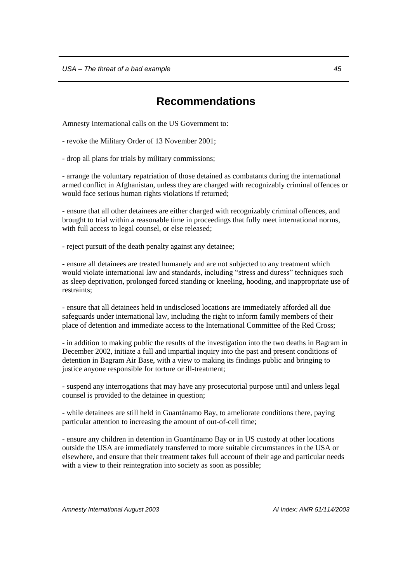## **Recommendations**

<span id="page-46-0"></span>Amnesty International calls on the US Government to:

- revoke the Military Order of 13 November 2001;

- drop all plans for trials by military commissions;

- arrange the voluntary repatriation of those detained as combatants during the international armed conflict in Afghanistan, unless they are charged with recognizably criminal offences or would face serious human rights violations if returned;

- ensure that all other detainees are either charged with recognizably criminal offences, and brought to trial within a reasonable time in proceedings that fully meet international norms, with full access to legal counsel, or else released;

- reject pursuit of the death penalty against any detainee;

- ensure all detainees are treated humanely and are not subjected to any treatment which would violate international law and standards, including "stress and duress" techniques such as sleep deprivation, prolonged forced standing or kneeling, hooding, and inappropriate use of restraints;

- ensure that all detainees held in undisclosed locations are immediately afforded all due safeguards under international law, including the right to inform family members of their place of detention and immediate access to the International Committee of the Red Cross;

- in addition to making public the results of the investigation into the two deaths in Bagram in December 2002, initiate a full and impartial inquiry into the past and present conditions of detention in Bagram Air Base, with a view to making its findings public and bringing to justice anyone responsible for torture or ill-treatment;

- suspend any interrogations that may have any prosecutorial purpose until and unless legal counsel is provided to the detainee in question;

- while detainees are still held in Guantánamo Bay, to ameliorate conditions there, paying particular attention to increasing the amount of out-of-cell time;

- ensure any children in detention in Guantánamo Bay or in US custody at other locations outside the USA are immediately transferred to more suitable circumstances in the USA or elsewhere, and ensure that their treatment takes full account of their age and particular needs with a view to their reintegration into society as soon as possible;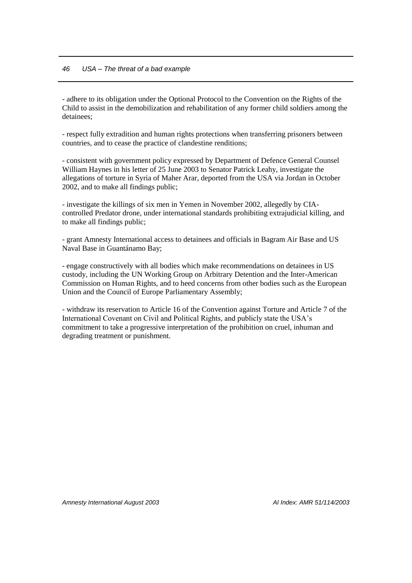- adhere to its obligation under the Optional Protocol to the Convention on the Rights of the Child to assist in the demobilization and rehabilitation of any former child soldiers among the detainees;

- respect fully extradition and human rights protections when transferring prisoners between countries, and to cease the practice of clandestine renditions;

- consistent with government policy expressed by Department of Defence General Counsel William Haynes in his letter of 25 June 2003 to Senator Patrick Leahy, investigate the allegations of torture in Syria of Maher Arar, deported from the USA via Jordan in October 2002, and to make all findings public;

- investigate the killings of six men in Yemen in November 2002, allegedly by CIAcontrolled Predator drone, under international standards prohibiting extrajudicial killing, and to make all findings public;

- grant Amnesty International access to detainees and officials in Bagram Air Base and US Naval Base in Guantánamo Bay;

- engage constructively with all bodies which make recommendations on detainees in US custody, including the UN Working Group on Arbitrary Detention and the Inter-American Commission on Human Rights, and to heed concerns from other bodies such as the European Union and the Council of Europe Parliamentary Assembly;

- withdraw its reservation to Article 16 of the Convention against Torture and Article 7 of the International Covenant on Civil and Political Rights, and publicly state the USA's commitment to take a progressive interpretation of the prohibition on cruel, inhuman and degrading treatment or punishment.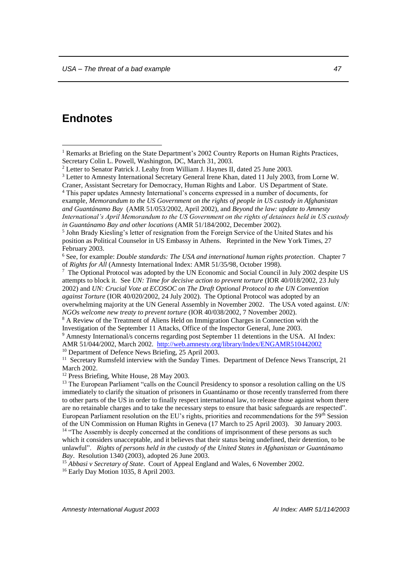## <span id="page-48-0"></span>**Endnotes**

 $\overline{a}$ 

<sup>4</sup> This paper updates Amnesty International's concerns expressed in a number of documents, for example, *Memorandum to the US Government on the rights of people in US custody in Afghanistan and Guantánamo Bay* (AMR 51/053/2002, April 2002), and *Beyond the law: update to Amnesty International's April Memorandum to the US Government on the rights of detainees held in US custody in Guantánamo Bay and other locations* (AMR 51/184/2002, December 2002).

<sup>8</sup> A Review of the Treatment of Aliens Held on Immigration Charges in Connection with the Investigation of the September 11 Attacks, Office of the Inspector General, June 2003.

<sup>9</sup> Amnesty International/s concerns regarding post September 11 detentions in the USA. AI Index: AMR 51/044/2002, March 2002. <http://web.amnesty.org/library/Index/ENGAMR510442002> <sup>10</sup> Department of Defence News Briefing, 25 April 2003.

<sup>11</sup> Secretary Rumsfeld interview with the Sunday Times. Department of Defence News Transcript, 21 March 2002.

<sup>12</sup> Press Briefing, White House, 28 May 2003.

<sup>16</sup> Early Day Motion 1035, 8 April 2003.

<sup>&</sup>lt;sup>1</sup> Remarks at Briefing on the State Department's 2002 Country Reports on Human Rights Practices, Secretary Colin L. Powell, Washington, DC, March 31, 2003.

<sup>2</sup> Letter to Senator Patrick J. Leahy from William J. Haynes II, dated 25 June 2003.

<sup>3</sup> Letter to Amnesty International Secretary General Irene Khan, dated 11 July 2003, from Lorne W. Craner, Assistant Secretary for Democracy, Human Rights and Labor. US Department of State.

<sup>&</sup>lt;sup>5</sup> John Brady Kiesling's letter of resignation from the Foreign Service of the United States and his position as Political Counselor in US Embassy in Athens. Reprinted in the New York Times, 27 February 2003.

<sup>6</sup> See, for example: *Double standards: The USA and international human rights protection*. Chapter 7 of *Rights for All* (Amnesty International Index: AMR 51/35/98, October 1998).

<sup>&</sup>lt;sup>7</sup> The Optional Protocol was adopted by the UN Economic and Social Council in July 2002 despite US attempts to block it. See *UN: Time for decisive action to prevent torture* (IOR 40/018/2002, 23 July 2002) and *UN: Crucial Vote at ECOSOC on The Draft Optional Protocol to the UN Convention against Torture* (IOR 40/020/2002, 24 July 2002). The Optional Protocol was adopted by an overwhelming majority at the UN General Assembly in November 2002. The USA voted against. *UN: NGOs welcome new treaty to prevent torture* (IOR 40/038/2002, 7 November 2002).

<sup>&</sup>lt;sup>13</sup> The European Parliament "calls on the Council Presidency to sponsor a resolution calling on the US immediately to clarify the situation of prisoners in Guantánamo or those recently transferred from there to other parts of the US in order to finally respect international law, to release those against whom there are no retainable charges and to take the necessary steps to ensure that basic safeguards are respected". European Parliament resolution on the EU's rights, priorities and recommendations for the 59<sup>th</sup> Session of the UN Commission on Human Rights in Geneva (17 March to 25 April 2003). 30 January 2003.

<sup>&</sup>lt;sup>14</sup> "The Assembly is deeply concerned at the conditions of imprisonment of these persons as such which it considers unacceptable, and it believes that their status being undefined, their detention, to be unlawful". *Rights of persons held in the custody of the United States in Afghanistan or Guantánamo Bay*. Resolution 1340 (2003), adopted 26 June 2003.

<sup>&</sup>lt;sup>15</sup> Abbasi v Secretary of State. Court of Appeal England and Wales, 6 November 2002.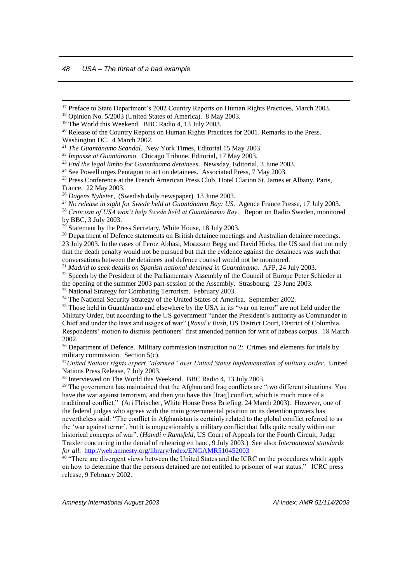<u>.</u>

<sup>17</sup> Preface to State Department's 2002 Country Reports on Human Rights Practices, March 2003.

<sup>18</sup> Opinion No. 5/2003 (United States of America). 8 May 2003.

<sup>19</sup> The World this Weekend. BBC Radio 4, 13 July 2003.

<sup>20</sup> Release of the Country Reports on Human Rights Practices for 2001. Remarks to the Press. Washington DC. 4 March 2002.

<sup>21</sup> *The Guantánamo Scandal*. New York Times, Editorial 15 May 2003.

<sup>22</sup> *Impasse at Guantánamo*. Chicago Tribune, Editorial, 17 May 2003.

<sup>23</sup> *End the legal limbo for Guantánamo detainees*. Newsday, Editorial, 3 June 2003.

<sup>24</sup> See Powell urges Pentagon to act on detainees. Associated Press, 7 May 2003.

<sup>25</sup> Press Conference at the French American Press Club, Hotel Clarion St. James et Albany, Paris, France. 22 May 2003.

<sup>26</sup> *Dagens Nyheter*, (Swedish daily newspaper) 13 June 2003.

<sup>27</sup> *No release in sight for Swede held at Guantánamo Bay: US*. Agence France Presse, 17 July 2003.

<sup>28</sup> *Criticism of USA won't help Swede held at Guantánamo Bay*. Report on Radio Sweden, monitored by BBC, 3 July 2003.

 $^{29}$  Statement by the Press Secretary, White House, 18 July 2003.

<sup>30</sup> Department of Defence statements on British detainee meetings and Australian detainee meetings. 23 July 2003. In the cases of Feroz Abbasi, Moazzam Begg and David Hicks, the US said that not only that the death penalty would not be pursued but that the evidence against the detainees was such that conversations between the detainees and defence counsel would not be monitored.

<sup>31</sup> *Madrid to seek details on Spanish national detained in Guantánamo*. AFP, 24 July 2003.

<sup>32</sup> Speech by the President of the Parliamentary Assembly of the Council of Europe Peter Schieder at the opening of the summer 2003 part-session of the Assembly. Strasbourg. 23 June 2003. <sup>33</sup> National Strategy for Combating Terrorism. February 2003.

<sup>34</sup> The National Security Strategy of the United States of America. September 2002.

<sup>35</sup> Those held in Guantánamo and elsewhere by the USA in its "war on terror" are not held under the Military Order, but according to the US government "under the President's authority as Commander in

Chief and under the laws and usages of war" (*Rasul v Bush*, US District Court, District of Columbia. Respondents' motion to dismiss petitioners' first amended petition for writ of habeas corpus. 18 March 2002.

<sup>36</sup> Department of Defence. Military commission instruction no.2: Crimes and elements for trials by military commission. Section 5(c).

<sup>37</sup>*United Nations rights expert "alarmed" over United States implementation of military order*. United Nations Press Release, 7 July 2003.

<sup>38</sup> Interviewed on The World this Weekend. BBC Radio 4, 13 July 2003.

<sup>39</sup> The government has maintained that the Afghan and Iraq conflicts are "two different situations. You have the war against terrorism, and then you have this [Iraq] conflict, which is much more of a traditional conflict." (Ari Fleischer, White House Press Briefing, 24 March 2003). However, one of the federal judges who agrees with the main governmental position on its detention powers has nevertheless said: "The conflict in Afghanistan is certainly related to the global conflict referred to as the 'war against terror', but it is unquestionably a military conflict that falls quite neatly within our historical concepts of war". (*Hamdi v Rumsfeld*, US Court of Appeals for the Fourth Circuit, Judge

Traxler concurring in the denial of rehearing en banc, 9 July 2003.) See also: *International standards for all*. <http://web.amnesty.org/library/Index/ENGAMR510452003>

<sup>40</sup> "There are divergent views between the United States and the ICRC on the procedures which apply on how to determine that the persons detained are not entitled to prisoner of war status." ICRC press release, 9 February 2002.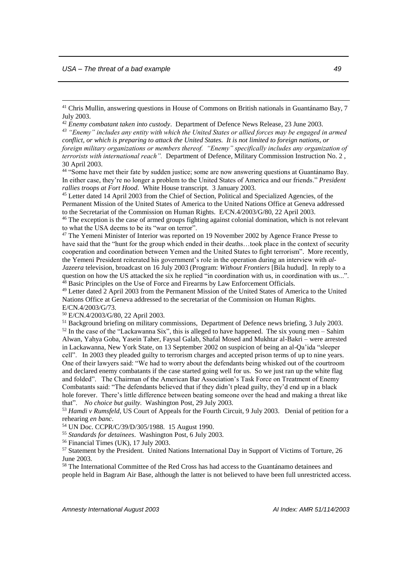<u>.</u>

<sup>45</sup> Letter dated 14 April 2003 from the Chief of Section, Political and Specialized Agencies, of the Permanent Mission of the United States of America to the United Nations Office at Geneva addressed to the Secretariat of the Commission on Human Rights. E/CN.4/2003/G/80, 22 April 2003.

<sup>46</sup> The exception is the case of armed groups fighting against colonial domination, which is not relevant to what the USA deems to be its "war on terror".

<sup>47</sup> The Yemeni Minister of Interior was reported on 19 November 2002 by Agence France Presse to have said that the "hunt for the group which ended in their deaths...took place in the context of security cooperation and coordination between Yemen and the United States to fight terrorism". More recently, the Yemeni President reiterated his government's role in the operation during an interview with *al-Jazeera* television, broadcast on 16 July 2003 (Program: *Without Frontiers* [Bila hudud]. In reply to a question on how the US attacked the six he replied "in coordination with us, in coordination with us...". <sup>48</sup> Basic Principles on the Use of Force and Firearms by Law Enforcement Officials.

<sup>49</sup> Letter dated 2 April 2003 from the Permanent Mission of the United States of America to the United Nations Office at Geneva addressed to the secretariat of the Commission on Human Rights. E/CN.4/2003/G/73.

<sup>50</sup> E/CN.4/2003/G/80, 22 April 2003.

<sup>51</sup> Background briefing on military commissions, Department of Defence news briefing, 3 July 2003. <sup>52</sup> In the case of the "Lackawanna Six", this is alleged to have happened. The six young men – Sahim Alwan, Yahya Goba, Yasein Taher, Faysal Galab, Shafal Mosed and Mukhtar al-Bakri – were arrested in Lackawanna, New York State, on 13 September 2002 on suspicion of being an al-Qa'ida "sleeper cell". In 2003 they pleaded guilty to terrorism charges and accepted prison terms of up to nine years. One of their lawyers said: "We had to worry about the defendants being whisked out of the courtroom and declared enemy combatants if the case started going well for us. So we just ran up the white flag and folded". The Chairman of the American Bar Association's Task Force on Treatment of Enemy Combatants said: "The defendants believed that if they didn't plead guilty, they'd end up in a black hole forever. There's little difference between beating someone over the head and making a threat like that". *No choice but guilty.* Washington Post, 29 July 2003.

<sup>53</sup> *Hamdi v Rumsfeld*, US Court of Appeals for the Fourth Circuit, 9 July 2003. Denial of petition for a rehearing *en banc*.

<sup>54</sup> UN Doc. CCPR/C/39/D/305/1988. 15 August 1990.

<sup>55</sup> *Standards for detainees*. Washington Post, 6 July 2003.

<sup>56</sup> Financial Times (UK), 17 July 2003.

<sup>57</sup> Statement by the President. United Nations International Day in Support of Victims of Torture, 26 June 2003.

<sup>58</sup> The International Committee of the Red Cross has had access to the Guantánamo detainees and people held in Bagram Air Base, although the latter is not believed to have been full unrestricted access.

<sup>41</sup> Chris Mullin, answering questions in House of Commons on British nationals in Guantánamo Bay, 7 July 2003.

<sup>42</sup> *Enemy combatant taken into custody*. Department of Defence News Release, 23 June 2003.

*<sup>43</sup> "Enemy" includes any entity with which the United States or allied forces may be engaged in armed conflict, or which is preparing to attack the United States. It is not limited to foreign nations, or* 

*foreign military organizations or members thereof. "Enemy" specifically includes any organization of terrorists with international reach".* Department of Defence, Military Commission Instruction No. 2 , 30 April 2003.

<sup>&</sup>lt;sup>44</sup> "Some have met their fate by sudden justice; some are now answering questions at Guantánamo Bay. In either case, they're no longer a problem to the United States of America and our friends." *President rallies troops at Fort Hood*. White House transcript. 3 January 2003.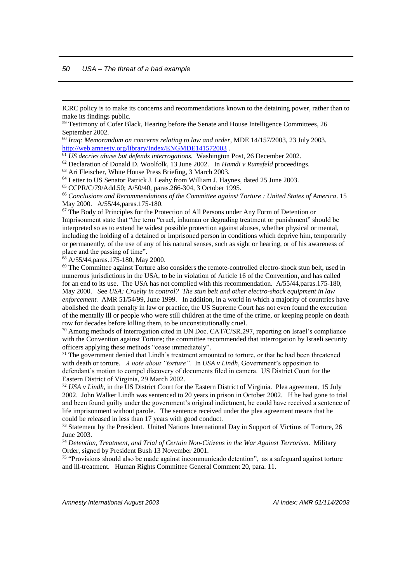<u>.</u>

ICRC policy is to make its concerns and recommendations known to the detaining power, rather than to make its findings public.

<sup>59</sup> Testimony of Cofer Black, Hearing before the Senate and House Intelligence Committees, 26 September 2002.

<sup>60</sup> *Iraq: Memorandum on concerns relating to law and order*, MDE 14/157/2003, 23 July 2003. <http://web.amnesty.org/library/Index/ENGMDE141572003>.

<sup>61</sup> *US decries abuse but defends interrogations.* Washington Post, 26 December 2002.

<sup>62</sup> Declaration of Donald D. Woolfolk, 13 June 2002. In *Hamdi v Rumsfeld* proceedings.

<sup>63</sup> Ari Fleischer, White House Press Briefing, 3 March 2003.

<sup>64</sup> Letter to US Senator Patrick J. Leahy from William J. Haynes, dated 25 June 2003.

<sup>65</sup> CCPR/C/79/Add.50; A/50/40, paras.266-304, 3 October 1995.

<sup>66</sup> *Conclusions and Recommendations of the Committee against Torture : United States of America*. 15 May 2000. A/55/44,paras.175-180.

 $67$  The Body of Principles for the Protection of All Persons under Any Form of Detention or Imprisonment state that "the term "cruel, inhuman or degrading treatment or punishment" should be interpreted so as to extend he widest possible protection against abuses, whether physical or mental, including the holding of a detained or imprisoned person in conditions which deprive him, temporarily or permanently, of the use of any of his natural senses, such as sight or hearing, or of his awareness of place and the passing of time".

<sup>68</sup> A/55/44,paras.175-180, May 2000.

<sup>69</sup> The Committee against Torture also considers the remote-controlled electro-shock stun belt, used in numerous jurisdictions in the USA, to be in violation of Article 16 of the Convention, and has called for an end to its use. The USA has not complied with this recommendation.  $A/55/44$ , paras.175-180, May 2000. See *USA: Cruelty in control? The stun belt and other electro-shock equipment in law enforcement.* AMR 51/54/99, June 1999. In addition, in a world in which a majority of countries have abolished the death penalty in law or practice, the US Supreme Court has not even found the execution of the mentally ill or people who were still children at the time of the crime, or keeping people on death row for decades before killing them, to be unconstitutionally cruel.

<sup>70</sup> Among methods of interrogation cited in UN Doc. CAT/C/SR.297, reporting on Israel's compliance with the Convention against Torture; the committee recommended that interrogation by Israeli security officers applying these methods "cease immediately".

 $71$  The government denied that Lindh's treatment amounted to torture, or that he had been threatened with death or torture. *A note about "torture".* In *USA v Lindh*, Government's opposition to defendant's motion to compel discovery of documents filed in camera. US District Court for the Eastern District of Virginia, 29 March 2002.

<sup>72</sup> *USA v Lindh*, in the US District Court for the Eastern District of Virginia. Plea agreement, 15 July 2002. John Walker Lindh was sentenced to 20 years in prison in October 2002. If he had gone to trial and been found guilty under the government's original indictment, he could have received a sentence of life imprisonment without parole. The sentence received under the plea agreement means that he could be released in less than 17 years with good conduct.

<sup>73</sup> Statement by the President. United Nations International Day in Support of Victims of Torture, 26 June 2003.

<sup>74</sup> *Detention, Treatment, and Trial of Certain Non-Citizens in the War Against Terrorism*. Military Order, signed by President Bush 13 November 2001.

<sup>75</sup> "Provisions should also be made against incommunicado detention", as a safeguard against torture and ill-treatment. Human Rights Committee General Comment 20, para. 11.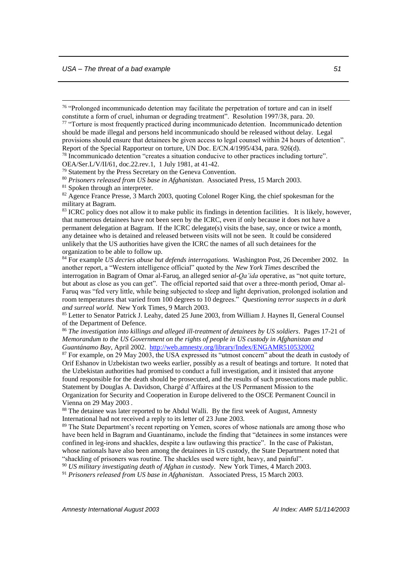<u>.</u>

<sup>76</sup> "Prolonged incommunicado detention may facilitate the perpetration of torture and can in itself constitute a form of cruel, inhuman or degrading treatment". Resolution 1997/38, para. 20.

<sup>77</sup> "Torture is most frequently practiced during incommunicado detention. Incommunicado detention should be made illegal and persons held incommunicado should be released without delay. Legal provisions should ensure that detainees be given access to legal counsel within 24 hours of detention". Report of the Special Rapporteur on torture, UN Doc. E/CN.4/1995/434, para. 926(d).

<sup>78</sup> Incommunicado detention "creates a situation conducive to other practices including torture".

OEA/Ser.L/V/II/61, doc.22.rev.1, 1 July 1981, at 41-42.

<sup>79</sup> Statement by the Press Secretary on the Geneva Convention.

<sup>80</sup> *Prisoners released from US base in Afghanistan*. Associated Press, 15 March 2003.

<sup>82</sup> Agence France Presse, 3 March 2003, quoting Colonel Roger King, the chief spokesman for the military at Bagram.

<sup>83</sup> ICRC policy does not allow it to make public its findings in detention facilities. It is likely, however, that numerous detainees have not been seen by the ICRC, even if only because it does not have a permanent delegation at Bagram. If the ICRC delegate(s) visits the base, say, once or twice a month, any detainee who is detained and released between visits will not be seen. It could be considered unlikely that the US authorities have given the ICRC the names of all such detainees for the organization to be able to follow up.

<sup>84</sup> For example *US decries abuse but defends interrogations.* Washington Post, 26 December 2002. In another report, a "Western intelligence official" quoted by the *New York Times* described the interrogation in Bagram of Omar al-Faruq, an alleged senior *al-Qa'ida* operative, as "not quite torture, but about as close as you can get". The official reported said that over a three-month period, Omar al-Faruq was "fed very little, while being subjected to sleep and light deprivation, prolonged isolation and room temperatures that varied from 100 degrees to 10 degrees." *Questioning terror suspects in a dark and surreal world*. New York Times, 9 March 2003.

<sup>85</sup> Letter to Senator Patrick J. Leahy, dated 25 June 2003, from William J. Haynes II, General Counsel of the Department of Defence.

<sup>86</sup> *The investigation into killings and alleged ill-treatment of detainees by US soldiers*. Pages 17-21 of *Memorandum to the US Government on the rights of people in US custody in Afghanistan and Guantánamo Bay*, April 2002. <http://web.amnesty.org/library/Index/ENGAMR510532002>

<sup>87</sup> For example, on 29 May 2003, the USA expressed its "utmost concern" about the death in custody of Orif Eshanov in Uzbekistan two weeks earlier, possibly as a result of beatings and torture. It noted that the Uzbekistan authorities had promised to conduct a full investigation, and it insisted that anyone found responsible for the death should be prosecuted, and the results of such prosecutions made public. Statement by Douglas A. Davidson, Chargé d'Affaires at the US Permanent Mission to the Organization for Security and Cooperation in Europe delivered to the OSCE Permanent Council in Vienna on 29 May 2003 *.* 

<sup>88</sup> The detainee was later reported to be Abdul Walli. By the first week of August, Amnesty International had not received a reply to its letter of 23 June 2003.

<sup>89</sup> The State Department's recent reporting on Yemen, scores of whose nationals are among those who have been held in Bagram and Guantánamo, include the finding that "detainees in some instances were confined in leg-irons and shackles, despite a law outlawing this practice". In the case of Pakistan, whose nationals have also been among the detainees in US custody, the State Department noted that "shackling of prisoners was routine. The shackles used were tight, heavy, and painful".

<sup>90</sup> *US military investigating death of Afghan in custody*. New York Times, 4 March 2003.

<sup>91</sup> *Prisoners released from US base in Afghanistan*. Associated Press, 15 March 2003.

<sup>&</sup>lt;sup>81</sup> Spoken through an interpreter.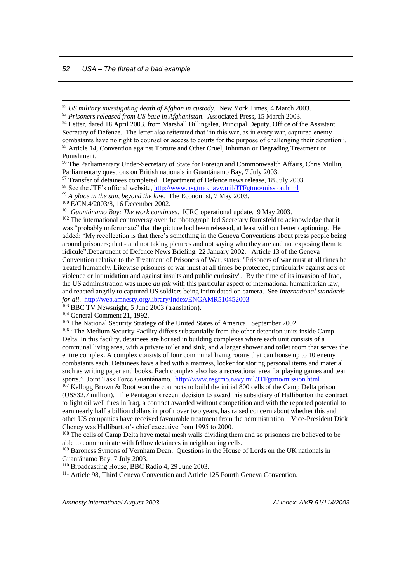<u>.</u>

<sup>92</sup> *US military investigating death of Afghan in custody*. New York Times, 4 March 2003.

<sup>97</sup> Transfer of detainees completed. Department of Defence news release, 18 July 2003.

<sup>101</sup> *Guantánamo Bay: The work continues*. ICRC operational update. 9 May 2003.

 $\overline{103}$  BBC TV Newsnight, 5 June 2003 (translation).

<sup>104</sup> General Comment 21, 1992.

<sup>105</sup> The National Security Strategy of the United States of America. September 2002.

<sup>106</sup> "The Medium Security Facility differs substantially from the other detention units inside Camp Delta. In this facility, detainees are housed in building complexes where each unit consists of a communal living area, with a private toilet and sink, and a larger shower and toilet room that serves the entire complex. A complex consists of four communal living rooms that can house up to 10 enemy combatants each. Detainees have a bed with a mattress, locker for storing personal items and material such as writing paper and books. Each complex also has a recreational area for playing games and team sports." Joint Task Force Guantánamo. <http://www.nsgtmo.navy.mil/JTFgtmo/mission.html>

 $107$  Kellogg Brown & Root won the contracts to build the initial 800 cells of the Camp Delta prison (US\$32.7 million). The Pentagon's recent decision to award this subsidiary of Halliburton the contract to fight oil well fires in Iraq, a contract awarded without competition and with the reported potential to earn nearly half a billion dollars in profit over two years, has raised concern about whether this and other US companies have received favourable treatment from the administration. Vice-President Dick Cheney was Halliburton's chief executive from 1995 to 2000.

<sup>108</sup> The cells of Camp Delta have metal mesh walls dividing them and so prisoners are believed to be able to communicate with fellow detainees in neighbouring cells.

<sup>109</sup> Baroness Symons of Vernham Dean. Questions in the House of Lords on the UK nationals in Guantánamo Bay, 7 July 2003.

<sup>110</sup> Broadcasting House, BBC Radio 4, 29 June 2003.

<sup>111</sup> Article 98. Third Geneva Convention and Article 125 Fourth Geneva Convention.

<sup>93</sup> *Prisoners released from US base in Afghanistan*. Associated Press, 15 March 2003.

<sup>&</sup>lt;sup>94</sup> Letter, dated 18 April 2003, from Marshall Billingslea, Principal Deputy, Office of the Assistant Secretary of Defence. The letter also reiterated that "in this war, as in every war, captured enemy combatants have no right to counsel or access to courts for the purpose of challenging their detention". <sup>95</sup> Article 14, Convention against Torture and Other Cruel, Inhuman or Degrading Treatment or Punishment.

<sup>96</sup> The Parliamentary Under-Secretary of State for Foreign and Commonwealth Affairs, Chris Mullin, Parliamentary questions on British nationals in Guantánamo Bay, 7 July 2003.

<sup>&</sup>lt;sup>98</sup> See the JTF's official website[, http://www.nsgtmo.navy.mil/JTFgtmo/mission.html](http://www.nsgtmo.navy.mil/JTFgtmo/mission.html)

<sup>99</sup> *A place in the sun, beyond the law*. The Economist, 7 May 2003.

<sup>&</sup>lt;sup>100</sup> E/CN.4/2003/8, 16 December 2002.

<sup>&</sup>lt;sup>102</sup> The international controversy over the photograph led Secretary Rumsfeld to acknowledge that it was "probably unfortunate" that the picture had been released, at least without better captioning. He added: "My recollection is that there's something in the Geneva Conventions about press people being around prisoners; that - and not taking pictures and not saying who they are and not exposing them to ridicule".Department of Defence News Briefing, 22 January 2002. Article 13 of the Geneva Convention relative to the Treatment of Prisoners of War, states: "Prisoners of war must at all times be treated humanely. Likewise prisoners of war must at all times be protected, particularly against acts of violence or intimidation and against insults and public curiosity". By the time of its invasion of Iraq, the US administration was more *au fait* with this particular aspect of international humanitarian law, and reacted angrily to captured US soldiers being intimidated on camera. See *International standards for all*. <http://web.amnesty.org/library/Index/ENGAMR510452003>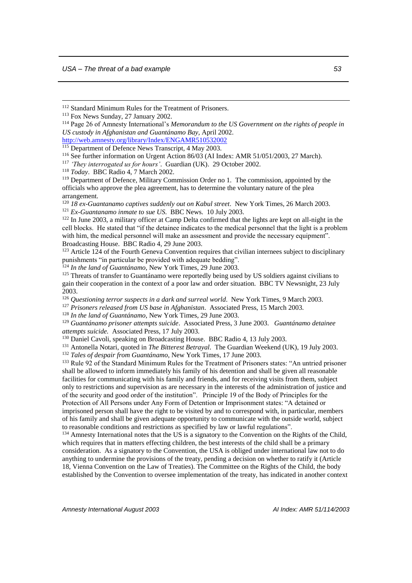<u>.</u>

<sup>115</sup> Department of Defence News Transcript, 4 May 2003.

<sup>117</sup> *'They interrogated us for hours'*. Guardian (UK). 29 October 2002.

<sup>118</sup> *Today*. BBC Radio 4, 7 March 2002.

<sup>120</sup> *18 ex-Guantanamo captives suddenly out on Kabul street*. New York Times, 26 March 2003. <sup>121</sup> *Ex-Guantanamo inmate to sue US*. BBC News. 10 July 2003.

<sup>122</sup> In June 2003, a military officer at Camp Delta confirmed that the lights are kept on all-night in the cell blocks. He stated that "if the detainee indicates to the medical personnel that the light is a problem with him, the medical personnel will make an assessment and provide the necessary equipment". Broadcasting House. BBC Radio 4, 29 June 2003.

 $123$  Article 124 of the Fourth Geneva Convention requires that civilian internees subject to disciplinary punishments "in particular be provided with adequate bedding".

<sup>124</sup> *In the land of Guantánamo*, New York Times, 29 June 2003.

<sup>125</sup> Threats of transfer to Guantánamo were reportedly being used by US soldiers against civilians to gain their cooperation in the context of a poor law and order situation. BBC TV Newsnight, 23 July 2003.

<sup>126</sup> *Questioning terror suspects in a dark and surreal world*. New York Times, 9 March 2003.

<sup>127</sup> *Prisoners released from US base in Afghanistan*. Associated Press, 15 March 2003.

<sup>128</sup> *In the land of Guantánamo*, New York Times, 29 June 2003.

<sup>129</sup> *Guantánamo prisoner attempts suicide*. Associated Press, 3 June 2003. *Guantánamo detainee attempts suicide.* Associated Press, 17 July 2003.

<sup>130</sup> Daniel Cavoli, speaking on Broadcasting House. BBC Radio 4, 13 July 2003.

<sup>131</sup> Antonella Notari, quoted in *The Bitterest Betrayal*. The Guardian Weekend (UK), 19 July 2003.

<sup>132</sup> *Tales of despair from Guantánamo*, New York Times, 17 June 2003.

<sup>133</sup> Rule 92 of the Standard Minimum Rules for the Treatment of Prisoners states: "An untried prisoner shall be allowed to inform immediately his family of his detention and shall be given all reasonable facilities for communicating with his family and friends, and for receiving visits from them, subject only to restrictions and supervision as are necessary in the interests of the administration of justice and of the security and good order of the institution". Principle 19 of the Body of Principles for the Protection of All Persons under Any Form of Detention or Imprisonment states: "A detained or imprisoned person shall have the right to be visited by and to correspond with, in particular, members of his family and shall be given adequate opportunity to communicate with the outside world, subject to reasonable conditions and restrictions as specified by law or lawful regulations".

<sup>134</sup> Amnesty International notes that the US is a signatory to the Convention on the Rights of the Child, which requires that in matters effecting children, the best interests of the child shall be a primary consideration. As a signatory to the Convention, the USA is obliged under international law not to do anything to undermine the provisions of the treaty, pending a decision on whether to ratify it (Article 18, Vienna Convention on the Law of Treaties). The Committee on the Rights of the Child, the body established by the Convention to oversee implementation of the treaty, has indicated in another context

<sup>112</sup> Standard Minimum Rules for the Treatment of Prisoners.

<sup>113</sup> Fox News Sunday, 27 January 2002.

<sup>114</sup> Page 26 of Amnesty International's *Memorandum to the US Government on the rights of people in US custody in Afghanistan and Guantánamo Bay,* April 2002. <http://web.amnesty.org/library/Index/ENGAMR510532002>

<sup>116</sup> See further information on Urgent Action 86/03 (AI Index: AMR 51/051/2003, 27 March).

<sup>&</sup>lt;sup>119</sup> Department of Defence, Military Commission Order no 1. The commission, appointed by the officials who approve the plea agreement, has to determine the voluntary nature of the plea arrangement.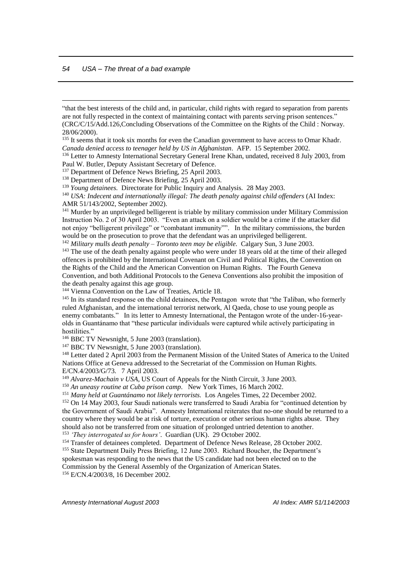<u>.</u>

"that the best interests of the child and, in particular, child rights with regard to separation from parents are not fully respected in the context of maintaining contact with parents serving prison sentences." (CRC/C/15/Add.126,Concluding Observations of the Committee on the Rights of the Child : Norway. 28/06/2000).

<sup>135</sup> It seems that it took six months for even the Canadian government to have access to Omar Khadr. *Canada denied access to teenager held by US in Afghanistan*. AFP. 15 September 2002.

<sup>136</sup> Letter to Amnesty International Secretary General Irene Khan, undated, received 8 July 2003, from Paul W. Butler, Deputy Assistant Secretary of Defence.

<sup>137</sup> Department of Defence News Briefing, 25 April 2003.

<sup>138</sup> Department of Defence News Briefing, 25 April 2003.

<sup>139</sup> *Young detainees.* Directorate for Public Inquiry and Analysis. 28 May 2003.

<sup>140</sup> USA: Indecent and internationally illegal: The death penalty against child offenders (AI Index: AMR 51/143/2002, September 2002).

<sup>141</sup> Murder by an unprivileged belligerent is triable by military commission under Military Commission Instruction No. 2 of 30 April 2003. "Even an attack on a soldier would be a crime if the attacker did not enjoy "belligerent privilege" or "combatant immunity"". In the military commissions, the burden would be on the prosecution to prove that the defendant was an unprivileged belligerent.

<sup>142</sup> *Military mulls death penalty – Toronto teen may be eligible.* Calgary Sun, 3 June 2003.

<sup>143</sup> The use of the death penalty against people who were under 18 years old at the time of their alleged offences is prohibited by the International Covenant on Civil and Political Rights, the Convention on the Rights of the Child and the American Convention on Human Rights. The Fourth Geneva Convention, and both Additional Protocols to the Geneva Conventions also prohibit the imposition of the death penalty against this age group.

<sup>144</sup> Vienna Convention on the Law of Treaties, Article 18.

<sup>145</sup> In its standard response on the child detainees, the Pentagon wrote that "the Taliban, who formerly ruled Afghanistan, and the international terrorist network, Al Qaeda, chose to use young people as enemy combatants." In its letter to Amnesty International, the Pentagon wrote of the under-16-vearolds in Guantánamo that "these particular individuals were captured while actively participating in hostilities."

<sup>146</sup> BBC TV Newsnight, 5 June 2003 (translation).

<sup>147</sup> BBC TV Newsnight, 5 June 2003 (translation).

<sup>148</sup> Letter dated 2 April 2003 from the Permanent Mission of the United States of America to the United Nations Office at Geneva addressed to the Secretariat of the Commission on Human Rights. E/CN.4/2003/G/73. 7 April 2003.

<sup>149</sup> *Alvarez-Machain v USA*, US Court of Appeals for the Ninth Circuit, 3 June 2003.

<sup>150</sup> *An uneasy routine at Cuba prison camp*. New York Times, 16 March 2002.

<sup>151</sup> *Many held at Guantánamo not likely terrorists.* Los Angeles Times, 22 December 2002.

<sup>152</sup> On 14 May 2003, four Saudi nationals were transferred to Saudi Arabia for "continued detention by the Government of Saudi Arabia". Amnesty International reiterates that no-one should be returned to a country where they would be at risk of torture, execution or other serious human rights abuse. They should also not be transferred from one situation of prolonged untried detention to another. <sup>153</sup> *'They interrogated us for hours'*. Guardian (UK). 29 October 2002.

<sup>154</sup> Transfer of detainees completed. Department of Defence News Release, 28 October 2002.

<sup>155</sup> State Department Daily Press Briefing, 12 June 2003. Richard Boucher, the Department's spokesman was responding to the news that the US candidate had not been elected on to the

Commission by the General Assembly of the Organization of American States.

<sup>156</sup> E/CN.4/2003/8, 16 December 2002.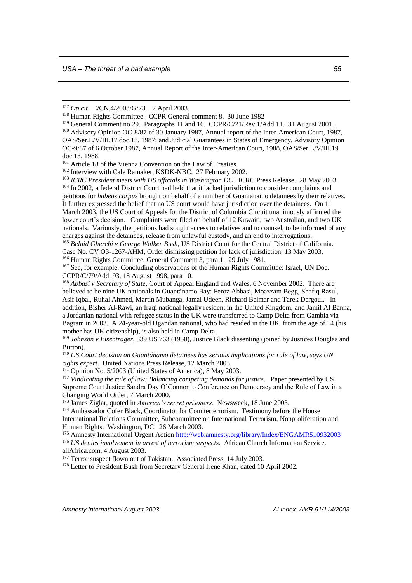<u>.</u>

<sup>163</sup> *ICRC President meets with US officials in Washington DC.* ICRC Press Release. 28 May 2003. <sup>164</sup> In 2002, a federal District Court had held that it lacked jurisdiction to consider complaints and petitions for *habeas corpus* brought on behalf of a number of Guantánamo detainees by their relatives. It further expressed the belief that no US court would have jurisdiction over the detainees. On 11 March 2003, the US Court of Appeals for the District of Columbia Circuit unanimously affirmed the lower court's decision. Complaints were filed on behalf of 12 Kuwaiti, two Australian, and two UK nationals. Variously, the petitions had sought access to relatives and to counsel, to be informed of any charges against the detainees, release from unlawful custody, and an end to interrogations.

<sup>165</sup> *Belaid Gherebi v George Walker Bush*, US District Court for the Central District of California. Case No. CV O3-1267-AHM, Order dismissing petition for lack of jurisdiction. 13 May 2003. <sup>166</sup> Human Rights Committee, General Comment 3, para 1. 29 July 1981.

<sup>167</sup> See, for example, Concluding observations of the Human Rights Committee: Israel, UN Doc. CCPR/C/79/Add. 93, 18 August 1998, para 10.

<sup>168</sup> *Abbasi v Secretary of State*, Court of Appeal England and Wales, 6 November 2002. There are believed to be nine UK nationals in Guantánamo Bay: Feroz Abbasi, Moazzam Begg, Shafiq Rasul, Asif Iqbal, Ruhal Ahmed, Martin Mubanga, Jamal Udeen, Richard Belmar and Tarek Dergoul. In addition, Bisher Al-Rawi, an Iraqi national legally resident in the United Kingdom, and Jamil Al Banna, a Jordanian national with refugee status in the UK were transferred to Camp Delta from Gambia via Bagram in 2003. A 24-year-old Ugandan national, who had resided in the UK from the age of 14 (his mother has UK citizenship), is also held in Camp Delta.

<sup>169</sup> *Johnson v Eisentrager*, 339 US 763 (1950), Justice Black dissenting (joined by Justices Douglas and Burton).

<sup>170</sup> *US Court decision on Guantánamo detainees has serious implications for rule of law, says UN rights expert*. United Nations Press Release, 12 March 2003.

 $171$  Opinion No. 5/2003 (United States of America), 8 May 2003.

<sup>172</sup> Vindicating the rule of law: Balancing competing demands for justice. Paper presented by US Supreme Court Justice Sandra Day O'Connor to Conference on Democracy and the Rule of Law in a Changing World Order, 7 March 2000.

<sup>173</sup> James Ziglar, quoted in *America's secret prisoners*. Newsweek, 18 June 2003.

<sup>174</sup> Ambassador Cofer Black, Coordinator for Counterterrorism. Testimony before the House International Relations Committee, Subcommittee on International Terrorism, Nonproliferation and Human Rights. Washington, DC. 26 March 2003.

<sup>175</sup> Amnesty International Urgent Action<http://web.amnesty.org/library/Index/ENGAMR510932003>

<sup>176</sup> *US denies involvement in arrest of terrorism suspects*. African Church Information Service. allAfrica.com, 4 August 2003.

<sup>177</sup> Terror suspect flown out of Pakistan. Associated Press, 14 July 2003.

<sup>178</sup> Letter to President Bush from Secretary General Irene Khan, dated 10 April 2002.

<sup>157</sup> *Op.cit*. E/CN.4/2003/G/73. 7 April 2003.

<sup>158</sup> Human Rights Committee. CCPR General comment 8. 30 June 1982

<sup>159</sup> General Comment no 29. Paragraphs 11 and 16. CCPR/C/21/Rev.1/Add.11. 31 August 2001. <sup>160</sup> Advisory Opinion OC-8/87 of 30 January 1987, Annual report of the Inter-American Court, 1987, OAS/Ser.L/V/III.17 doc.13, 1987; and Judicial Guarantees in States of Emergency, Advisory Opinion OC-9/87 of 6 October 1987, Annual Report of the Inter-American Court, 1988, OAS/Ser.L/V/III.19 doc.13, 1988.

<sup>&</sup>lt;sup>161</sup> Article 18 of the Vienna Convention on the Law of Treaties.

<sup>162</sup> Interview with Cale Ramaker, KSDK-NBC. 27 February 2002.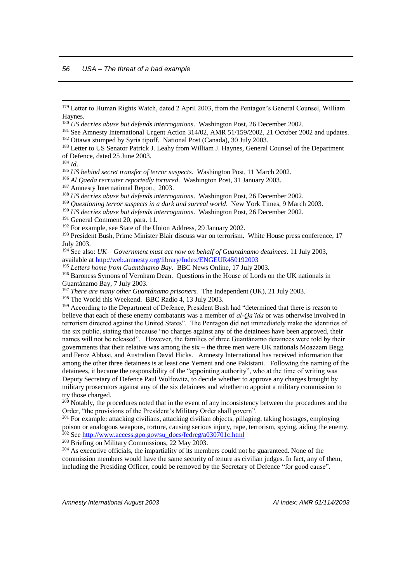<sup>184</sup> *Id*.

<u>.</u>

<sup>187</sup> Amnesty International Report, 2003.

- <sup>189</sup> *Questioning terror suspects in a dark and surreal world.* New York Times, 9 March 2003.
- <sup>190</sup> *US decries abuse but defends interrogations*. Washington Post, 26 December 2002.
- <sup>191</sup> General Comment 20, para. 11.
- <sup>192</sup> For example, see State of the Union Address, 29 January 2002.
- <sup>193</sup> President Bush, Prime Minister Blair discuss war on terrorism. White House press conference, 17 July 2003.

<sup>194</sup> See also: *UK – Government must act now on behalf of Guantánamo detainees*. 11 July 2003, available at<http://web.amnesty.org/library/Index/ENGEUR450192003>

<sup>195</sup> *Letters home from Guantánamo Bay*. BBC News Online, 17 July 2003.

<sup>196</sup> Baroness Symons of Vernham Dean. Questions in the House of Lords on the UK nationals in Guantánamo Bay, 7 July 2003.

<sup>197</sup> *There are many other Guantánamo prisoners.* The Independent (UK), 21 July 2003.

<sup>198</sup> The World this Weekend. BBC Radio 4, 13 July 2003.

<sup>199</sup> According to the Department of Defence, President Bush had "determined that there is reason to believe that each of these enemy combatants was a member of *al-Qa'ida* or was otherwise involved in terrorism directed against the United States". The Pentagon did not immediately make the identities of the six public, stating that because "no charges against any of the detainees have been approved, their names will not be released". However, the families of three Guantánamo detainees were told by their governments that their relative was among the six – the three men were UK nationals Moazzam Begg and Feroz Abbasi, and Australian David Hicks. Amnesty International has received information that among the other three detainees is at least one Yemeni and one Pakistani. Following the naming of the detainees, it became the responsibility of the "appointing authority", who at the time of writing was Deputy Secretary of Defence Paul Wolfowitz, to decide whether to approve any charges brought by military prosecutors against any of the six detainees and whether to appoint a military commission to try those charged.

<sup>200</sup> Notably, the procedures noted that in the event of any inconsistency between the procedures and the Order, "the provisions of the President's Military Order shall govern".

<sup>201</sup> For example: attacking civilians, attacking civilian objects, pillaging, taking hostages, employing poison or analogous weapons, torture, causing serious injury, rape, terrorism, spying, aiding the enemy. <sup>202</sup> See [http://www.access.gpo.gov/su\\_docs/fedreg/a030701c.html](http://www.access.gpo.gov/su_docs/fedreg/a030701c.html)

<sup>203</sup> Briefing on Military Commissions, 22 May 2003.

<sup>204</sup> As executive officials, the impartiality of its members could not be guaranteed. None of the commission members would have the same security of tenure as civilian judges. In fact, any of them, including the Presiding Officer, could be removed by the Secretary of Defence "for good cause".

*<sup>56</sup> USA – The threat of a bad example*

<sup>179</sup> Letter to Human Rights Watch, dated 2 April 2003, from the Pentagon's General Counsel, William Haynes.

<sup>180</sup> *US decries abuse but defends interrogations*. Washington Post, 26 December 2002.

<sup>&</sup>lt;sup>181</sup> See Amnesty International Urgent Action 314/02, AMR 51/159/2002, 21 October 2002 and updates. <sup>182</sup> Ottawa stumped by Syria tipoff. National Post (Canada), 30 July 2003.

<sup>&</sup>lt;sup>183</sup> Letter to US Senator Patrick J. Leahy from William J. Haynes, General Counsel of the Department of Defence, dated 25 June 2003.

<sup>185</sup> *US behind secret transfer of terror suspects*. Washington Post, 11 March 2002.

<sup>186</sup> *Al Qaeda recruiter reportedly tortured*. Washington Post, 31 January 2003.

<sup>188</sup> *US decries abuse but defends interrogations*. Washington Post, 26 December 2002.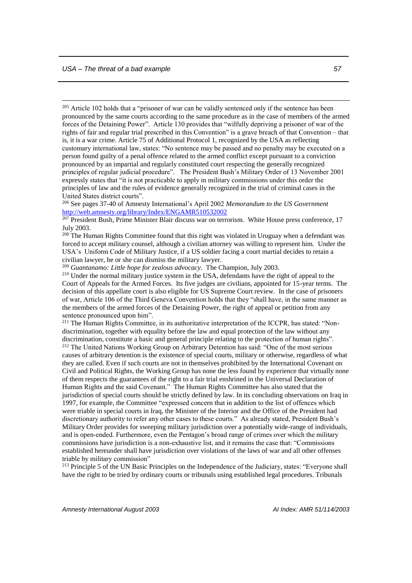<u>.</u>

<sup>205</sup> Article 102 holds that a "prisoner of war can be validly sentenced only if the sentence has been pronounced by the same courts according to the same procedure as in the case of members of the armed forces of the Detaining Power". Article 130 provides that "wilfully depriving a prisoner of war of the rights of fair and regular trial prescribed in this Convention" is a grave breach of that Convention – that is, it is a war crime. Article 75 of Additional Protocol 1, recognized by the USA as reflecting customary international law, states: "No sentence may be passed and no penalty may be executed on a person found guilty of a penal offence related to the armed conflict except pursuant to a conviction pronounced by an impartial and regularly constituted court respecting the generally recognized principles of regular judicial procedure". The President Bush's Military Order of 13 November 2001 expressly states that "it is not practicable to apply in military commissions under this order the principles of law and the rules of evidence generally recognized in the trial of criminal cases in the United States district courts".

<sup>206</sup> See pages 37-40 of Amnesty International's April 2002 *Memorandum to the US Government* <http://web.amnesty.org/library/Index/ENGAMR510532002>

<sup>208</sup> The Human Rights Committee found that this right was violated in Uruguay when a defendant was forced to accept military counsel, although a civilian attorney was willing to represent him. Under the USA's Uniform Code of Military Justice, if a US soldier facing a court martial decides to retain a civilian lawyer, he or she can dismiss the military lawyer.

<sup>209</sup> *Guantanamo: Little hope for zealous advocacy*. The Champion, July 2003.

<sup>210</sup> Under the normal military justice system in the USA, defendants have the right of appeal to the Court of Appeals for the Armed Forces. Its five judges are civilians, appointed for 15-year terms. The decision of this appellate court is also eligible for US Supreme Court review. In the case of prisoners of war, Article 106 of the Third Geneva Convention holds that they "shall have, in the same manner as the members of the armed forces of the Detaining Power, the right of appeal or petition from any sentence pronounced upon him".

<sup>211</sup> The Human Rights Committee, in its authoritative interpretation of the ICCPR, has stated: "Nondiscrimination, together with equality before the law and equal protection of the law without any discrimination, constitute a basic and general principle relating to the protection of human rights". <sup>212</sup> The United Nations Working Group on Arbitrary Detention has said: "One of the most serious causes of arbitrary detention is the existence of special courts, military or otherwise, regardless of what they are called. Even if such courts are not in themselves prohibited by the International Covenant on Civil and Political Rights, the Working Group has none the less found by experience that virtually none of them respects the guarantees of the right to a fair trial enshrined in the Universal Declaration of Human Rights and the said Covenant." The Human Rights Committee has also stated that the jurisdiction of special courts should be strictly defined by law. In its concluding observations on Iraq in 1997, for example, the Committee "expressed concern that in addition to the list of offences which were triable in special courts in Iraq, the Minister of the Interior and the Office of the President had discretionary authority to refer any other cases to these courts." As already stated, President Bush's Military Order provides for sweeping military jurisdiction over a potentially wide-range of individuals, and is open-ended. Furthermore, even the Pentagon's broad range of crimes over which the military commissions have jurisdiction is a non-exhaustive list, and it remains the case that: "Commissions established hereunder shall have jurisdiction over violations of the laws of war and all other offenses triable by military commission"

<sup>213</sup> Principle 5 of the UN Basic Principles on the Independence of the Judiciary, states: "Everyone shall have the right to be tried by ordinary courts or tribunals using established legal procedures. Tribunals

<sup>&</sup>lt;sup>207</sup> President Bush, Prime Minister Blair discuss war on terrorism. White House press conference, 17 July 2003.